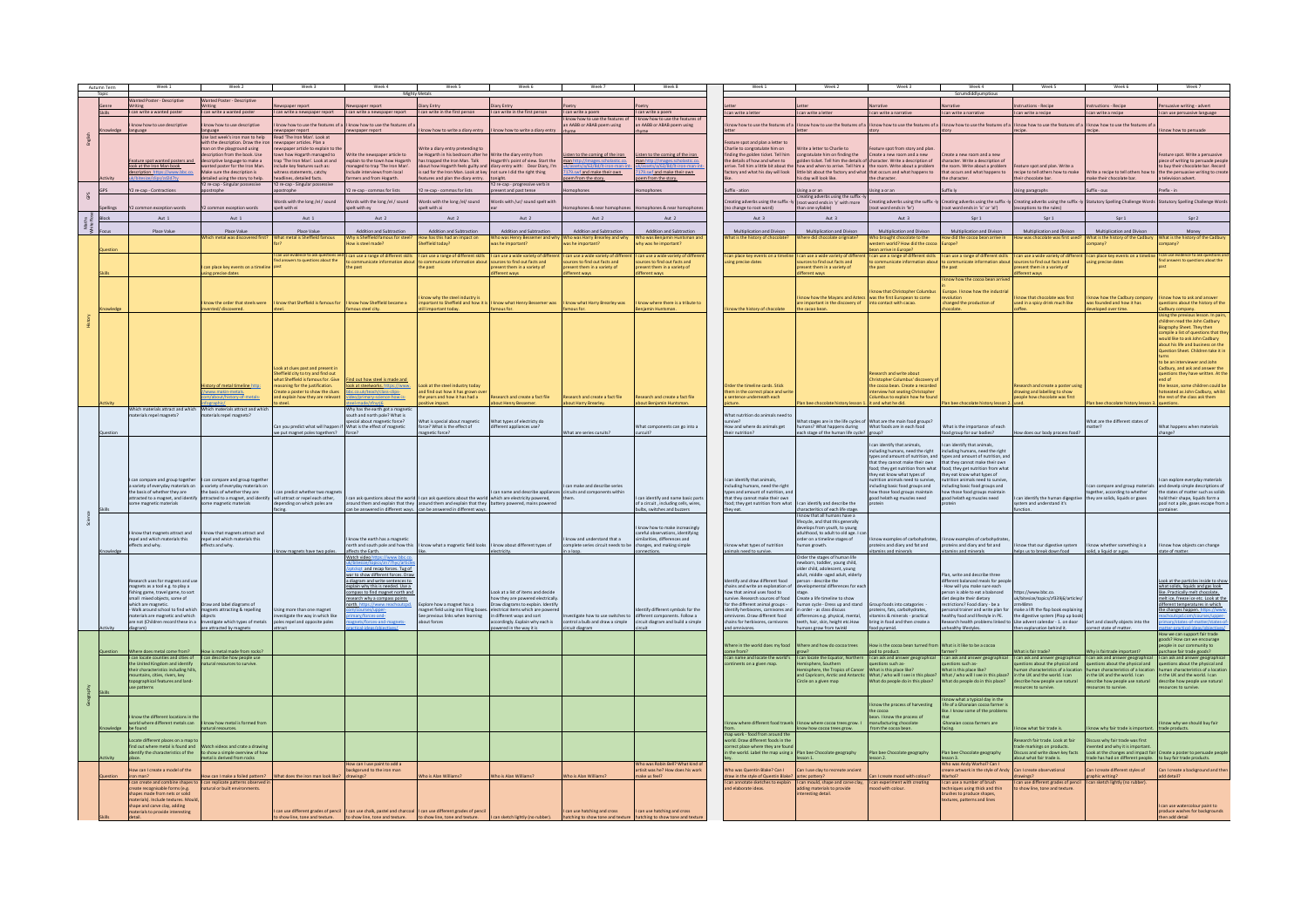|                   | Autumn Term | Week 1                                                                  |                                                                                                                                                           |                                                                    | Week-                                                                 | Week !                                                                                                                                      | Week                                                                |                                                             | Week 8                                                                   |                |                                                                                                                   |                                                                                                               |                                                                                                                                                    | Week 4                                                                                         | Week                                                               |                                                                                                                                 | Week '                                                                                         |
|-------------------|-------------|-------------------------------------------------------------------------|-----------------------------------------------------------------------------------------------------------------------------------------------------------|--------------------------------------------------------------------|-----------------------------------------------------------------------|---------------------------------------------------------------------------------------------------------------------------------------------|---------------------------------------------------------------------|-------------------------------------------------------------|--------------------------------------------------------------------------|----------------|-------------------------------------------------------------------------------------------------------------------|---------------------------------------------------------------------------------------------------------------|----------------------------------------------------------------------------------------------------------------------------------------------------|------------------------------------------------------------------------------------------------|--------------------------------------------------------------------|---------------------------------------------------------------------------------------------------------------------------------|------------------------------------------------------------------------------------------------|
|                   |             | ted Poster - Descriptive                                                | Wanted Poster - Descriptive                                                                                                                               |                                                                    |                                                                       |                                                                                                                                             |                                                                     |                                                             |                                                                          |                |                                                                                                                   |                                                                                                               |                                                                                                                                                    |                                                                                                |                                                                    |                                                                                                                                 |                                                                                                |
|                   |             | can write a wanted poste                                                | can write a wanted poster                                                                                                                                 |                                                                    | I can write a newspaper report I can write in the first person        |                                                                                                                                             | I can write in the first person                                     | I can write a poem                                          | I can write a poem                                                       |                |                                                                                                                   |                                                                                                               |                                                                                                                                                    |                                                                                                | tions - Recipe                                                     | tions - Recipi                                                                                                                  | asive writing - adver                                                                          |
|                   |             |                                                                         |                                                                                                                                                           | I can write a newspaper report                                     |                                                                       |                                                                                                                                             |                                                                     | now how to use the features of                              | now how to use the features                                              |                | I can write a letter                                                                                              | can write a letter                                                                                            | can write a narrative                                                                                                                              | I can write a narrative                                                                        | I can write a recipe                                               | I can write a recipe                                                                                                            | I can use persuasive language                                                                  |
|                   |             | now how to use descriptive                                              | now how to use descriptive                                                                                                                                | mow how to use the features of a                                   | I know how to use the features of                                     |                                                                                                                                             |                                                                     | n AABB or ABAB poem using                                   | an AABB or ABAB poem using                                               |                |                                                                                                                   | low how to use the features of a I know how to use the features of a                                          |                                                                                                                                                    | know how to use the features of a I know how to use the features of a                          | know how to use the features of a                                  | know how to use the features of                                                                                                 |                                                                                                |
|                   |             | nguage                                                                  | anguage<br>Ise last week's iron man to help                                                                                                               | newspaper report<br>Read 'The Iron Man'. Look at                   | wspaper report                                                        | know how to write a diary entry                                                                                                             | now how to write a diary entry                                      |                                                             |                                                                          |                |                                                                                                                   |                                                                                                               |                                                                                                                                                    |                                                                                                |                                                                    |                                                                                                                                 | ow how to persuade                                                                             |
|                   |             |                                                                         | with the description. Draw the in                                                                                                                         | ewspaper articles. Plan a                                          |                                                                       |                                                                                                                                             |                                                                     |                                                             |                                                                          |                | ature spot and plan a letter to                                                                                   |                                                                                                               |                                                                                                                                                    |                                                                                                |                                                                    |                                                                                                                                 |                                                                                                |
|                   |             |                                                                         | n on the playground using<br>cription from the book. Use                                                                                                  | spaper article to explain to<br>In how Hogarth managed to          | rite the newspaper article to                                         | te a diary entry pretending to<br>be Hogarth in his bedroom after he Write the diary entry from                                             |                                                                     | in to the coming of the iron.                               | en to the coming of the iron                                             |                | harlie to congratulate him on<br>nding the golden ticket. Tell him                                                | rite a letter to Charlie to<br>ongratulate him on finding the                                                 | ure spot from story and plan<br>Create a new room and a new                                                                                        | Create a new room and a new                                                                    |                                                                    |                                                                                                                                 | eature spot. Write a persuasive                                                                |
|                   |             | ture spot wanted poster                                                 | criptive language to make a<br>nted poster for the Iron Man                                                                                               | trap 'The Iron Man', Look at and                                   | plain to the town how Hogarth                                         | as trapped the Iron Man. Talk                                                                                                               | Hogarth's point of view. Start the                                  |                                                             | an http://images.                                                        |                | the details of how and when to                                                                                    | colden ticket. Tell him the details of character. Write a description of                                      |                                                                                                                                                    | character. Write a description of                                                              |                                                                    |                                                                                                                                 | piece of writing to persuade people<br>to buy their chocolate bar. Record                      |
|                   |             | ook at the Iron Man book<br>cription https://ww                         | Aake sure the description is                                                                                                                              | ude key features such as:<br>tness statements, catchy              | naged to trap 'The Iron Man'<br>lude interviews from local            | about how Hogarth feels guilty and diary entry with: Dear Diary, I'm<br>is sad for the Iron Man. Look at key not sure I did the right thing |                                                                     | 79.swf and make their own.                                  | 3.swf and make their own                                                 |                | ive. Tell him a little bit about the<br>ctory and what his day will look                                          | how and when to arrive. Tell him a<br>little bit about the factory and what that occurs and what happens to   | the room. Write about a problem                                                                                                                    | the room. Write a bout a problem<br>that occurs and what happens to                            | ture spot and plan. Write a<br>ecipe to tell others how to make    |                                                                                                                                 | rite a recipe to tell others how to the the persuasive writing to creat                        |
|                   |             |                                                                         | tailed using the story to help.                                                                                                                           | eadlines, detailed facts.                                          | rmers and from Hogarth                                                | features and plan the diary entry. tonight.                                                                                                 |                                                                     | from the story                                              | from the story.                                                          |                |                                                                                                                   | his day will look like.                                                                                       | the character.                                                                                                                                     | the character.                                                                                 | eir chocolate bar.                                                 | nake their chocolate bar.                                                                                                       | a television advert                                                                            |
|                   |             | 2 re-cap - Contractio                                                   | 2 re-cap - Singular possessive<br>trophe                                                                                                                  | Y2 re-cap - Singular possessiv<br>trophe                           | re-cap - commas for lists                                             | Y2 re-cap - commas for lists                                                                                                                | Y2 re-cap - progressive verb in<br>present and past tense           |                                                             |                                                                          | Suffix - ation |                                                                                                                   | Ising a or an                                                                                                 | ing a or an                                                                                                                                        | Suffix ly                                                                                      | ing paragraphs                                                     | ffix - ous                                                                                                                      | refix - in                                                                                     |
| Ses               |             |                                                                         |                                                                                                                                                           | Words with the long /el / sound                                    | rds with the long /el / sound                                         | rds with the long /el/ sound                                                                                                                | rds with /ur/ sound spelt with                                      |                                                             |                                                                          |                |                                                                                                                   | Creating adverbs using the suffix-ly<br>ating adverbs using the suffix-ly<br>(root word ends in 'y' with more |                                                                                                                                                    | ating adverbs using the suffix $\cdot$ ly Creating adverbs using the suffix $\cdot$ ly $\vert$ | ating adverbs using the suffix -h                                  | atutory Spelling Challenge Word                                                                                                 | Statutory Spelling Challenge Won                                                               |
|                   |             |                                                                         | on exception words                                                                                                                                        | spelt with ei                                                      | pelt with ey                                                          | pelt with ai                                                                                                                                |                                                                     | tes & near ho                                               | ses & near ho                                                            |                | (no change to root word)                                                                                          | than one syllable)                                                                                            | oot word ends in 'le')                                                                                                                             | root word ends in 'ic' or 'al')                                                                | exceptions to the rules                                            |                                                                                                                                 |                                                                                                |
|                   |             | Aut 1                                                                   | Aut 1                                                                                                                                                     | Aut 1                                                              | Aut 2                                                                 | Aut 2                                                                                                                                       | Aut 2                                                               | Aut 2                                                       | Aut 2                                                                    |                | Aut 3                                                                                                             | Aut 3                                                                                                         | Aut 3                                                                                                                                              | Spr 1                                                                                          | Spr 1                                                              | Snr 1                                                                                                                           | Spr 2                                                                                          |
| Maths<br>hite Ros |             |                                                                         |                                                                                                                                                           |                                                                    |                                                                       |                                                                                                                                             |                                                                     |                                                             |                                                                          |                |                                                                                                                   |                                                                                                               |                                                                                                                                                    |                                                                                                |                                                                    |                                                                                                                                 |                                                                                                |
|                   |             | Place Valu                                                              | Place Value<br>ich metal was discovered firs                                                                                                              | Place Value<br>What metal is Sheffield far                         | Addition and Subtraction<br>Thy is Sheffield famous for steel         | Addition and Subtractio<br>How has this had an impact on                                                                                    | Addition and Subtraction<br>Who was Henry Bessemer and why          | Addition and Subtractio<br>Who was Harry Brearley and why   | Addition and Subtractio<br>Vho was Benjamin Hur                          |                | Multiplication and Divison<br>at is the history of chocolate                                                      | Multiplication and Diviso<br>Vhere did chocolate origniate                                                    | Multiplication and Divisor<br>tho brought chocolate to the                                                                                         | Multiplication and Diviso<br>How did the cocoa bean arrive is                                  | Multiplication and Divis<br>ow was chocolate was first used        | Multiplication and Div.<br>What is the history of the Cadbur                                                                    | What is the history of the Cadbur                                                              |
|                   |             |                                                                         |                                                                                                                                                           |                                                                    | w is steel made?                                                      | Sheffield today?                                                                                                                            | was he important?                                                   | as he important?                                            | hy was he important?                                                     |                |                                                                                                                   |                                                                                                               | tern world? How did the corn:                                                                                                                      | Europe?                                                                                        |                                                                    | pany?                                                                                                                           | spany?                                                                                         |
|                   |             |                                                                         |                                                                                                                                                           | can use evidence to ask questi                                     | can use a range of different skills                                   | I can use a range of different skill:                                                                                                       | I can use a wide variety of diff                                    | an use a wide variety of dif                                | can use a wide variety of diffe                                          |                | can place key events on a time                                                                                    | can use a wide variety of differ                                                                              | an arrive in Europe?<br>an use a range of different skills                                                                                         | I can use a range of different skills                                                          | can use a wide variety of diffe                                    | an place key events on a timel                                                                                                  |                                                                                                |
|                   |             |                                                                         | n place key events on a tir                                                                                                                               | lind answers to questions about the                                | e past                                                                | cate information about<br>he past                                                                                                           | urces to find out facts and<br>esent them in a variety of           | rces to find out facts and<br>sent them in a variety o      | rces to find out facts and<br>sent them in a variety of                  |                | ng precise dates                                                                                                  | rces to find out facts and<br>sent them in a variety of                                                       | mmunicate information about<br>e past                                                                                                              | ate information abou<br>the past                                                               | rces to find out facts and<br>sent them in a variety of            | ng precise dates                                                                                                                | ind answers to questions about the                                                             |
|                   |             |                                                                         | ing precise dates                                                                                                                                         |                                                                    |                                                                       |                                                                                                                                             | different ways                                                      | ferent ways                                                 | ferent ways                                                              |                |                                                                                                                   | ifferent ways                                                                                                 |                                                                                                                                                    |                                                                                                | fferent ways                                                       |                                                                                                                                 |                                                                                                |
|                   |             |                                                                         |                                                                                                                                                           |                                                                    |                                                                       |                                                                                                                                             |                                                                     |                                                             |                                                                          |                |                                                                                                                   |                                                                                                               |                                                                                                                                                    | know how the cocoa hean                                                                        |                                                                    |                                                                                                                                 |                                                                                                |
|                   |             |                                                                         |                                                                                                                                                           |                                                                    |                                                                       |                                                                                                                                             |                                                                     |                                                             |                                                                          |                |                                                                                                                   |                                                                                                               | ow that Christopher Columbi                                                                                                                        | Furone I know how the industria                                                                |                                                                    |                                                                                                                                 |                                                                                                |
|                   |             |                                                                         | now the order that steels were                                                                                                                            | I know that Sheffield is famous for                                | know how Sheffield became a                                           | ow why the steel industry is                                                                                                                | mportant to Sheffield and how it is  I know what Henry Bessemer was | know what Harry Brearley was                                | know where there is a tribute to                                         |                |                                                                                                                   | ow how the Mayans and Aztec<br>are important in the discovery of                                              | was the first European to come<br>into contact with cacao.                                                                                         | changed the production of                                                                      | now that chocolate was first<br>ised in a spicy drink much like    | vas founded and how it has                                                                                                      | tow how to ask and answe<br>questions about the history of the                                 |
|                   |             |                                                                         | ented/discovered                                                                                                                                          |                                                                    | nous steel city.                                                      | till important today.                                                                                                                       | famous for                                                          |                                                             |                                                                          |                | know the history of chocolate                                                                                     | the cacao bean.                                                                                               |                                                                                                                                                    |                                                                                                |                                                                    | eveloped over time.                                                                                                             | adbury company.                                                                                |
|                   |             |                                                                         |                                                                                                                                                           |                                                                    |                                                                       |                                                                                                                                             |                                                                     |                                                             |                                                                          |                |                                                                                                                   |                                                                                                               |                                                                                                                                                    |                                                                                                |                                                                    |                                                                                                                                 | Ising the previous lesson. In pair<br>hildren read the John Cadbury                            |
|                   |             |                                                                         |                                                                                                                                                           |                                                                    |                                                                       |                                                                                                                                             |                                                                     |                                                             |                                                                          |                |                                                                                                                   |                                                                                                               |                                                                                                                                                    |                                                                                                |                                                                    |                                                                                                                                 | Biography Sheet. They then<br>compile a list of questions that the                             |
|                   |             |                                                                         |                                                                                                                                                           |                                                                    |                                                                       |                                                                                                                                             |                                                                     |                                                             |                                                                          |                |                                                                                                                   |                                                                                                               |                                                                                                                                                    |                                                                                                |                                                                    |                                                                                                                                 | would like to ask John Cadbury                                                                 |
|                   |             |                                                                         |                                                                                                                                                           |                                                                    |                                                                       |                                                                                                                                             |                                                                     |                                                             |                                                                          |                |                                                                                                                   |                                                                                                               |                                                                                                                                                    |                                                                                                |                                                                    |                                                                                                                                 | about his life and husiness on the<br>estion Sheet. Children take it i                         |
|                   |             |                                                                         |                                                                                                                                                           |                                                                    |                                                                       |                                                                                                                                             |                                                                     |                                                             |                                                                          |                |                                                                                                                   |                                                                                                               |                                                                                                                                                    |                                                                                                |                                                                    |                                                                                                                                 |                                                                                                |
|                   |             |                                                                         |                                                                                                                                                           | ook at clues past and present                                      |                                                                       |                                                                                                                                             |                                                                     |                                                             |                                                                          |                |                                                                                                                   |                                                                                                               |                                                                                                                                                    |                                                                                                |                                                                    |                                                                                                                                 | to be an interviewer and John<br>Cadbury, and ask and answer the                               |
|                   |             |                                                                         |                                                                                                                                                           | Sheffield city to try and find out                                 |                                                                       |                                                                                                                                             |                                                                     |                                                             |                                                                          |                |                                                                                                                   |                                                                                                               | earch and write about                                                                                                                              |                                                                                                |                                                                    |                                                                                                                                 | questions they have written. At the                                                            |
|                   |             |                                                                         | listory of metal timeline http:                                                                                                                           | what Sheffield is famous for, Give<br>oning for the justification. | nd out how steel is made and<br>look at steelworks, https://www.      | ok at the steel industry today                                                                                                              |                                                                     |                                                             |                                                                          |                | rder the timeline cards. Stick                                                                                    |                                                                                                               | Christopher Columbus' discovery<br>cocoa bean. Create a recorde                                                                                    |                                                                                                | earch and create a poster usin                                     |                                                                                                                                 | nd of<br>he lesson, some children could b                                                      |
|                   |             |                                                                         | www.makin-metals.                                                                                                                                         | eate a poster to show the clues                                    | c.co.uk/teach/class-clips-                                            | and find out how it has grown ov                                                                                                            |                                                                     |                                                             |                                                                          |                | em in the correct place and writ-                                                                                 |                                                                                                               | rview hot seating Christophe                                                                                                                       |                                                                                                | rawing and labelling to show                                       |                                                                                                                                 | otseated as John Cadbury, whilst                                                               |
|                   |             |                                                                         | bout/history-of-metals                                                                                                                                    | nd explain how they are relevant<br>o steel.                       | /primary-science-how-is-                                              | the years and how it has had a<br>sitive impact.                                                                                            | Research and create a fact file<br>bout Henry Bessemer.             | search and create a fact file<br>bout Harry Brearley.       | Research and create a fact file<br>bout Benjamin Huntsman.               | ture.          | entence underneath each                                                                                           | n bee chocolate history lesson 1. it and what he did.                                                         | lumbus to explain how he four                                                                                                                      | Plan bee chocolate history lesson:                                                             | ople how chocolate was first                                       | lan bee chocolate history lesson 3. questions.                                                                                  | the rest of the class ask them                                                                 |
|                   |             | Which materials attract and which                                       | Which materials attract and whic<br>terials repel magnets?                                                                                                |                                                                    | /hy has the earth got a magnet<br>uth and north pole? What is         |                                                                                                                                             |                                                                     |                                                             |                                                                          |                | What nutrition do animals need to                                                                                 |                                                                                                               |                                                                                                                                                    |                                                                                                |                                                                    |                                                                                                                                 |                                                                                                |
|                   |             |                                                                         |                                                                                                                                                           |                                                                    | cial about magnetic force?                                            | at is special about magnetic                                                                                                                | What types of electricty do                                         |                                                             |                                                                          |                |                                                                                                                   | What stages are in the life cycles o                                                                          | What are the main food groups?                                                                                                                     |                                                                                                |                                                                    | Vhat are the different states o                                                                                                 |                                                                                                |
|                   |             |                                                                         |                                                                                                                                                           | Can you predict what will happen                                   | What is the effect of magnetic                                        | force? What is the effect of                                                                                                                | different appliances use?                                           |                                                             | Vhat components can go into a<br>cuit?                                   |                | How and where do animals get<br>their nutrition?                                                                  | humans? What happens during                                                                                   | What foods are in each food                                                                                                                        | What is the importance of each                                                                 |                                                                    | natter?                                                                                                                         | Vhat happens when materials                                                                    |
|                   |             |                                                                         |                                                                                                                                                           | ve put magnet poles togethers?                                     |                                                                       | nagnetic force?                                                                                                                             |                                                                     | hat are series curuits?                                     |                                                                          |                |                                                                                                                   | ach stage of the human life cycle? group?                                                                     |                                                                                                                                                    | od group for our bodies?                                                                       | w does our body process food?                                      |                                                                                                                                 | hange?                                                                                         |
|                   |             |                                                                         |                                                                                                                                                           |                                                                    |                                                                       |                                                                                                                                             |                                                                     |                                                             |                                                                          |                |                                                                                                                   |                                                                                                               | can identify that animals.                                                                                                                         | can identify that animals.                                                                     |                                                                    |                                                                                                                                 |                                                                                                |
|                   |             |                                                                         |                                                                                                                                                           |                                                                    |                                                                       |                                                                                                                                             |                                                                     |                                                             |                                                                          |                |                                                                                                                   |                                                                                                               | Including humans, need the right<br>types and amount of nutrition, and<br>types and amount of nutrition, and<br>types and amount of nutrition, and |                                                                                                |                                                                    |                                                                                                                                 |                                                                                                |
|                   |             |                                                                         |                                                                                                                                                           |                                                                    |                                                                       |                                                                                                                                             |                                                                     |                                                             |                                                                          |                |                                                                                                                   |                                                                                                               | that they cannot make their own<br>ood; they get nutrition from what                                                                               | that they cannot make their own<br>food; they get nutrition from what                          |                                                                    |                                                                                                                                 |                                                                                                |
|                   |             |                                                                         |                                                                                                                                                           |                                                                    |                                                                       |                                                                                                                                             |                                                                     |                                                             |                                                                          |                |                                                                                                                   |                                                                                                               | they eat know what types of                                                                                                                        | they eat know what types of                                                                    |                                                                    |                                                                                                                                 |                                                                                                |
|                   |             | an compare and group together<br>variety of everyday materials on       | can compare and group togeth<br>a variety of everyday materials of                                                                                        |                                                                    |                                                                       |                                                                                                                                             |                                                                     | an make and describe series                                 |                                                                          |                | can identify that animals<br>uding humans, need the right                                                         |                                                                                                               | trition animals need to survive<br>ncluding basic food groups and                                                                                  | trition animals need to surviv<br>including basic food groups and                              |                                                                    |                                                                                                                                 | an explore everyday materials<br>compare and group materials and develp simple descriptions of |
|                   |             | the basis of whether they are                                           | the basis of whether they are                                                                                                                             | can predict whether two magne                                      |                                                                       |                                                                                                                                             | can name and describe appliar                                       | ircuits and components within                               |                                                                          |                | types and amount of nutrition, an                                                                                 |                                                                                                               | ow those food groups maintain                                                                                                                      | how those food groups maintain                                                                 |                                                                    | together, according to whether                                                                                                  | the states of matter such as solids                                                            |
|                   |             |                                                                         | attracted to a magnet, and identify attracted to a magnet, and identify will attract or repel each other, some magnetic materials some magnetic materials |                                                                    |                                                                       | can ask questions about the world I can ask questions about the world which are electricity powered.                                        |                                                                     |                                                             | can identify and name basic par<br>of a circuit, including cells, wires, |                | hat they cannot make their own<br>d; they get nutrition from what                                                 | n identify and describe the                                                                                   | good helath eg muscles need                                                                                                                        | good helath eg muscles need                                                                    | can identify the human digegstive<br>stem and understand it's      | hey are solids, liquids or gases                                                                                                | hold their shape. liquids form a<br>ol not a pile, gases escape from:                          |
|                   |             |                                                                         |                                                                                                                                                           |                                                                    |                                                                       | can be answered in different ways. Can be answered in different ways.<br>The answered in different ways. Can be answered in different ways. |                                                                     |                                                             | ulbs, switches and buzzers                                               | they eat.      |                                                                                                                   | haracteritics of each life stage                                                                              |                                                                                                                                                    |                                                                                                | ction.                                                             |                                                                                                                                 |                                                                                                |
|                   |             |                                                                         |                                                                                                                                                           |                                                                    |                                                                       |                                                                                                                                             |                                                                     |                                                             |                                                                          |                |                                                                                                                   | know that all humans have a<br>fecycle, and that this generally                                               |                                                                                                                                                    |                                                                                                |                                                                    |                                                                                                                                 |                                                                                                |
|                   |             |                                                                         |                                                                                                                                                           |                                                                    |                                                                       |                                                                                                                                             |                                                                     |                                                             | know how to make increasingly                                            |                |                                                                                                                   | elops from youth, to young<br>adulthood to adult to old age 1                                                 |                                                                                                                                                    |                                                                                                |                                                                    |                                                                                                                                 |                                                                                                |
|                   |             | I know that magnets attract and<br>repel and which materials this       | I know that magnets attract and<br>repel and which materials this                                                                                         |                                                                    | now the earth has a magnetic                                          |                                                                                                                                             |                                                                     | now and understand that a                                   | careful observations, identifying<br>similarities, differences and       |                |                                                                                                                   | rder on a timeline stages of                                                                                  | w examples of carbohydra                                                                                                                           |                                                                                                |                                                                    |                                                                                                                                 |                                                                                                |
|                   |             | ffects and why.                                                         | ffects and why.                                                                                                                                           | now magnets have two poles.                                        | orth and south pole and how this<br>affects the Earth.                | know what a magnetic field looks  I know about different types of                                                                           |                                                                     | mplete series circuit needs to be<br>n a loop.              | changes, and making simple                                               |                | know what types of nutrition<br>animals need to survive.                                                          | human growth.                                                                                                 | oteins and diary and fat and<br>mins and minerals                                                                                                  | teins and diary and fat and<br>vitamins and minerals                                           | know that our digestive system<br>lps us to break down food        | now whether something is a<br>solid, a liquid or a gas.                                                                         | know how objects can change<br>tate of matter.                                                 |
|                   |             |                                                                         |                                                                                                                                                           |                                                                    | Watch video https://www.bbc.co                                        |                                                                                                                                             |                                                                     |                                                             |                                                                          |                |                                                                                                                   | Order the stages of human life                                                                                |                                                                                                                                                    |                                                                                                |                                                                    |                                                                                                                                 |                                                                                                |
|                   |             |                                                                         |                                                                                                                                                           |                                                                    | gt_and recap forces. Tug of                                           |                                                                                                                                             |                                                                     |                                                             |                                                                          |                |                                                                                                                   | ewborn, toddler, young child.<br>der child, adolescent                                                        |                                                                                                                                                    |                                                                                                |                                                                    |                                                                                                                                 |                                                                                                |
|                   |             |                                                                         |                                                                                                                                                           |                                                                    | war to show different forces. Draw                                    |                                                                                                                                             |                                                                     |                                                             |                                                                          |                |                                                                                                                   | adult, middle -aged adult, elder                                                                              |                                                                                                                                                    | Plan, write and describe three<br>different balanced meals for peop                            |                                                                    |                                                                                                                                 |                                                                                                |
|                   |             | earch uses for magnets and us<br>magnets as a tool e.g. to play a       |                                                                                                                                                           |                                                                    | a diagram and write sentences to<br>explain why this is needed. Use a |                                                                                                                                             |                                                                     |                                                             |                                                                          |                | Identify and draw different food<br>hains and write an explanation o                                              | person - describe the<br>elopmental differences for ear                                                       |                                                                                                                                                    | - How will you make sure each                                                                  |                                                                    |                                                                                                                                 | Look at the particles inside to show<br>what solids, liquids and gas look                      |
|                   |             | fishing game, travel game, to sort                                      |                                                                                                                                                           |                                                                    | noass to find magnet north and                                        |                                                                                                                                             | Look at a list of items and decide                                  |                                                             |                                                                          |                | how that animal uses food to<br>vive. Research sources of food                                                    | Create a life timeline to show                                                                                |                                                                                                                                                    | son is able to eat a balanced                                                                  | tps://www.bbc.co                                                   |                                                                                                                                 | like. Practically melt chocolate.<br>melt ice, freeze ice etc. Look at the                     |
|                   |             | small mixed objects, some of<br>which are magnetic                      | w and label diagram                                                                                                                                       |                                                                    | search why a compass points.<br>erth_https://www.reachoutcp           | re how a magnet has a                                                                                                                       | how they are powered electrically<br>Draw diagrams to explain. Ide  |                                                             |                                                                          |                | r the different animal groups -                                                                                   | nan cycle - Dress up and stand                                                                                | p foods into catagories                                                                                                                            | diet despite their dietary<br>tions? Food diary - be a                                         | uk/bitesize/topics/zf339j6/articles                                |                                                                                                                                 | different temperatures in which.                                                               |
|                   |             | Walk around school to find which                                        | magnets attracting & repelling<br>objects                                                                                                                 | Using more than one magnet                                         | ary/forces-and-                                                       | magnet field using iron filling boxe<br>See previous links when learning                                                                    | ectrical items which are power<br>in different ways and sort        | stigate how to use switches to                              | ntify different symbols for the<br>different components. Follow a        |                | entify herbivores, carnivores and<br>ivores. Draw different food                                                  | n order - as class discuss<br>differences e.g. physical, mental,                                              | oteins, fats, carbohydrates,                                                                                                                       | sonal trainer and write plan for<br>healthy food and lifestyle in PE.                          | nake a lift the flap book explainir                                |                                                                                                                                 | the changes happen, https://ww                                                                 |
|                   |             | materials are magnetic and which<br>are not (Children record these in a | stigate which types of metals                                                                                                                             | estigate the way in which like<br>les repel and opposite poles     |                                                                       | out forces                                                                                                                                  | rdingly. Explain why each is                                        | ntrol a bulb and draw a simple                              | ircuit diagram and build a simp                                          |                | chains for herbivores, carnivores                                                                                 | eth, hair, skin, height etc.How                                                                               | itamins & minerals - practical<br>pring in food and then create a                                                                                  | arch health probl                                                                              | the digestive system (Plop up bool                                 | t and classify objects into the                                                                                                 |                                                                                                |
|                   |             | liagram)                                                                | are attracted by magnets                                                                                                                                  |                                                                    |                                                                       |                                                                                                                                             | tred in the way it is                                               | cuit diagram                                                |                                                                          |                | and omnivores.                                                                                                    | nans grow from twinkl                                                                                         | od pyramid.                                                                                                                                        | ealthy lifestyles.                                                                             | hen explanation behind it.                                         | correct state of matter.                                                                                                        |                                                                                                |
|                   |             |                                                                         |                                                                                                                                                           |                                                                    |                                                                       |                                                                                                                                             |                                                                     |                                                             |                                                                          |                |                                                                                                                   |                                                                                                               |                                                                                                                                                    |                                                                                                |                                                                    |                                                                                                                                 | How we can support fair trade<br>goods? How can we encourage                                   |
|                   |             | Where does metal come from?                                             | w is metal made from rocks?                                                                                                                               |                                                                    |                                                                       |                                                                                                                                             |                                                                     |                                                             |                                                                          |                | ne from?                                                                                                          | /here in the world does my food Where and how do cocoa trees                                                  | ow is the cocoa bean turned from What is it like to be a cocoa<br>od to product.                                                                   |                                                                                                | hat is fair trade?                                                 | hy is fairtrade important?                                                                                                      | seople in our community to<br>.<br>hase fair trade goods?                                      |
|                   |             | can locate counties and cities of<br>the United Kingdom and identify    | I can describe how people use<br>atural resources to survive                                                                                              |                                                                    |                                                                       |                                                                                                                                             |                                                                     |                                                             |                                                                          |                | can name and locate the world's                                                                                   | I can locate the Equator, Norther                                                                             | can ask and answer geographica<br>estions such as-                                                                                                 | I can ask and answer geographica<br>estions such as                                            | I can ask and answer geographical<br>stions about the physical and | I can ask and answer geographical<br>restions about the physical and                                                            | I can ask and answer geographics<br>questions about the physical and                           |
|                   |             |                                                                         |                                                                                                                                                           |                                                                    |                                                                       |                                                                                                                                             |                                                                     |                                                             |                                                                          |                | inents on a given map                                                                                             | siphere, Southern<br>sphere, the Tropics of Cance                                                             | hat is this place like?                                                                                                                            | What is this place like?                                                                       | an characteristics of a locat                                      | an characteristics of a location                                                                                                |                                                                                                |
|                   |             | ntains, cities, rivers, key<br>opographical features and land           |                                                                                                                                                           |                                                                    |                                                                       |                                                                                                                                             |                                                                     |                                                             |                                                                          |                |                                                                                                                   | and Capricorn, Arctic and Antarctic<br>Circle on a given map                                                  | What / who will I see in this place<br>What do people do in this place?                                                                            | What / who will I see in this place<br>What do people do in this place?                        | the UK and the world. I can                                        | in the UK and the world. I can                                                                                                  | n the UK and the world. I can<br>describe how people use natural                               |
|                   |             |                                                                         |                                                                                                                                                           |                                                                    |                                                                       |                                                                                                                                             |                                                                     |                                                             |                                                                          |                |                                                                                                                   |                                                                                                               |                                                                                                                                                    |                                                                                                | describe how people use natural<br>resources to survive.           | describe how people use natural                                                                                                 |                                                                                                |
|                   |             |                                                                         |                                                                                                                                                           |                                                                    |                                                                       |                                                                                                                                             |                                                                     |                                                             |                                                                          |                |                                                                                                                   |                                                                                                               |                                                                                                                                                    | I know what a typical day in the                                                               |                                                                    |                                                                                                                                 |                                                                                                |
|                   |             |                                                                         |                                                                                                                                                           |                                                                    |                                                                       |                                                                                                                                             |                                                                     |                                                             |                                                                          |                |                                                                                                                   |                                                                                                               | ow the process of han                                                                                                                              | life of a Ghanaian cocoa farmer is                                                             |                                                                    |                                                                                                                                 |                                                                                                |
|                   |             | know the different locations in th                                      |                                                                                                                                                           |                                                                    |                                                                       |                                                                                                                                             |                                                                     |                                                             |                                                                          |                |                                                                                                                   |                                                                                                               | e cocoa<br>an. I know the process of                                                                                                               | ike. I know some of the proble                                                                 |                                                                    |                                                                                                                                 |                                                                                                |
|                   |             | Id where different metals can                                           | ow how metal is formed from                                                                                                                               |                                                                    |                                                                       |                                                                                                                                             |                                                                     |                                                             |                                                                          |                |                                                                                                                   |                                                                                                               | ufacturing cho                                                                                                                                     |                                                                                                |                                                                    |                                                                                                                                 |                                                                                                |
|                   |             | be found                                                                | atural resources.                                                                                                                                         |                                                                    |                                                                       |                                                                                                                                             |                                                                     |                                                             |                                                                          |                |                                                                                                                   | now how cocoa trees grow.                                                                                     | om the cocoa bean                                                                                                                                  | acing.                                                                                         | know what fair trade is.                                           | now why fair trade is important. trade products.                                                                                |                                                                                                |
|                   |             | cate different places on a map t<br>find out where metal is found and   | Watch videos and crate a drawing                                                                                                                          |                                                                    |                                                                       |                                                                                                                                             |                                                                     |                                                             |                                                                          |                | nam<br>map work - food from around the<br>world. Draw different foods in the<br>prrect place where they are found |                                                                                                               |                                                                                                                                                    |                                                                                                | earch fair trade. Look at fair<br>ade markings on products         | cuss why fair trade was first<br>ented and why it is important                                                                  |                                                                                                |
|                   |             | dentify the characteristics of the                                      | to show a simple overview of hometal is derived from rocks                                                                                                |                                                                    |                                                                       |                                                                                                                                             |                                                                     |                                                             |                                                                          |                | the world. Label the map using a                                                                                  | lan hee Cho<br>colate geography                                                                               | an bee Chocolate geography                                                                                                                         | Plan bee Chocolate geography                                                                   | uss and write down key facts                                       |                                                                                                                                 |                                                                                                |
|                   |             |                                                                         |                                                                                                                                                           |                                                                    | low can I use paint to add a                                          |                                                                                                                                             |                                                                     |                                                             | Tho was Robin Bell? What kind of                                         |                |                                                                                                                   |                                                                                                               |                                                                                                                                                    | 20n3.<br>Who was Andy Warhol? Can                                                              | ut what fair trade is.                                             | Look at the changes and impact fair Create a poster to persual<br>trade has had on different people. to buy fair trade products |                                                                                                |
|                   |             | w can I create a model of the                                           |                                                                                                                                                           |                                                                    | ckgorund to the iron man                                              |                                                                                                                                             |                                                                     |                                                             | tisit was he? How does his wor                                           |                | was Quentin Blake? Can I                                                                                          | I use clay to recreate ancien                                                                                 |                                                                                                                                                    | are artwork in the style of And                                                                |                                                                    | I create different styles of                                                                                                    | 1 I create a background and the                                                                |
|                   |             | iron man?<br>an create and combine shapes to                            | low can I make a foiled pattern?                                                                                                                          | What does the iron man look like? drawings?                        |                                                                       | (ho is Alan Williams                                                                                                                        | Vho is Alan Williams                                                | Vho is Alan William                                         | ake us feel?                                                             |                | draw in the style of Quentin Blake? aztec pottery?                                                                | an mould, shape and carve clay                                                                                | an I create mood with colour?                                                                                                                      | Warhol?                                                                                        | Fawings?<br>an use different grades of pen                         | graphic writing?                                                                                                                | add detail?                                                                                    |
|                   |             | reate recognisable forms (e.g.                                          | I can replicate patterns observed at the matural or built environments.                                                                                   |                                                                    |                                                                       |                                                                                                                                             |                                                                     |                                                             |                                                                          |                | d elaborate ideas                                                                                                 | adding materials to provide                                                                                   | od with colour.                                                                                                                                    | I can use a number of brush<br>hniques using thick and thin                                    | show line, tone and texture.                                       |                                                                                                                                 |                                                                                                |
|                   |             | hapes made from nets or solid                                           |                                                                                                                                                           |                                                                    |                                                                       |                                                                                                                                             |                                                                     |                                                             |                                                                          |                |                                                                                                                   | teresting detail.                                                                                             |                                                                                                                                                    | brushes to produce shapes.<br>textures, patterns and lines                                     |                                                                    |                                                                                                                                 |                                                                                                |
|                   |             | materials). Include textures. Moult<br>hape and carve clay, adding      |                                                                                                                                                           |                                                                    |                                                                       |                                                                                                                                             |                                                                     |                                                             |                                                                          |                |                                                                                                                   |                                                                                                               |                                                                                                                                                    |                                                                                                |                                                                    |                                                                                                                                 | can use watercolour paint to                                                                   |
|                   |             | terials to provide interesting                                          |                                                                                                                                                           | an use different grades of pencil<br>show line, tone and texture   | can use chalk, pastel and charcoal<br>to show line, tone and texture. | can use different grades of pend<br>to show line, tone and texture                                                                          |                                                                     | an use hatching and cross<br>ching to show tone and texture | an use hatching and cros-<br>atching to show tone and to                 |                |                                                                                                                   |                                                                                                               |                                                                                                                                                    |                                                                                                |                                                                    |                                                                                                                                 | roduce washes for backgrounds<br>listeh bbs or                                                 |
|                   |             |                                                                         |                                                                                                                                                           |                                                                    |                                                                       |                                                                                                                                             |                                                                     |                                                             |                                                                          |                |                                                                                                                   |                                                                                                               |                                                                                                                                                    |                                                                                                |                                                                    |                                                                                                                                 |                                                                                                |
|                   |             |                                                                         |                                                                                                                                                           |                                                                    |                                                                       |                                                                                                                                             |                                                                     |                                                             |                                                                          |                |                                                                                                                   |                                                                                                               |                                                                                                                                                    |                                                                                                |                                                                    |                                                                                                                                 |                                                                                                |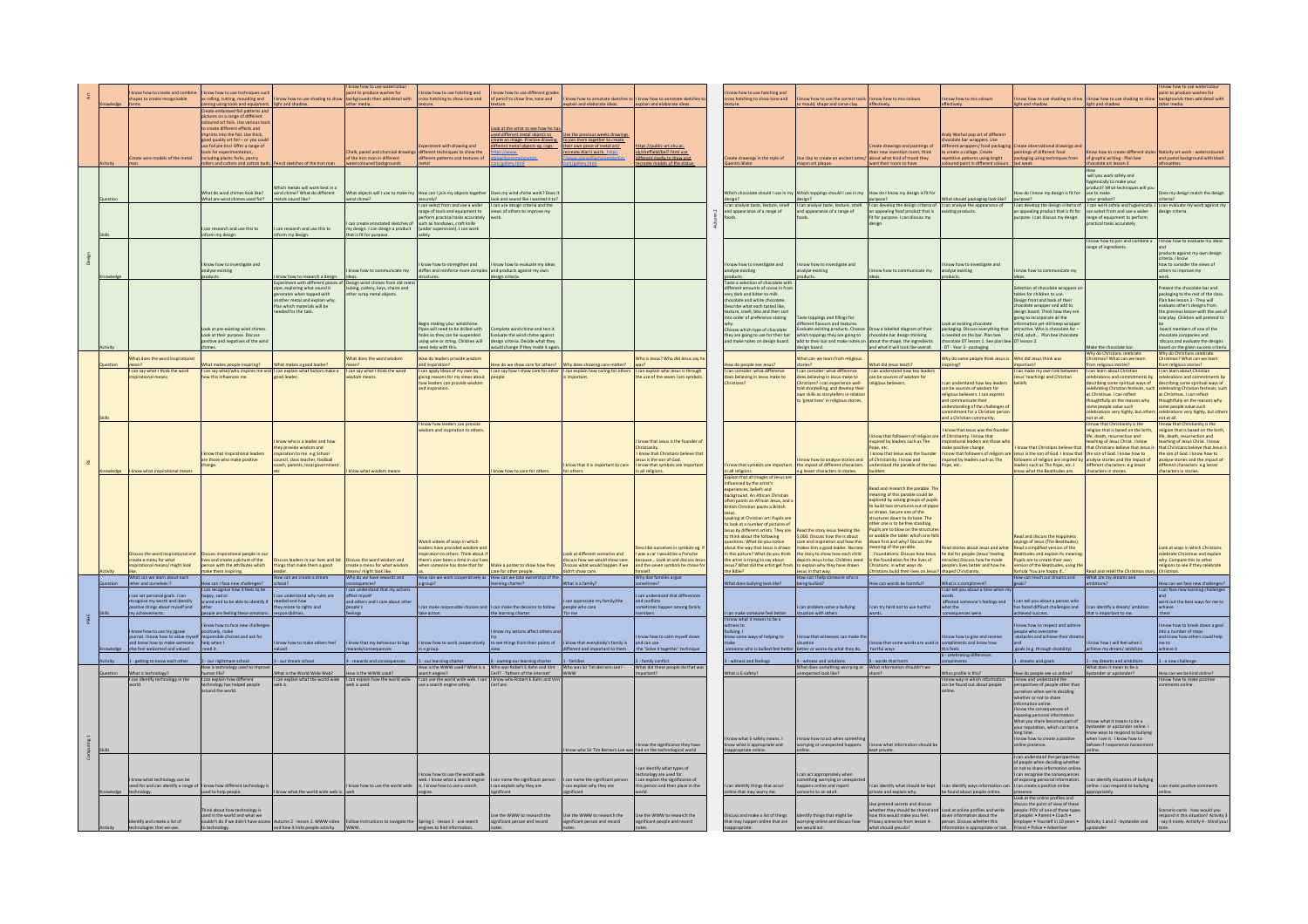|   |          |                                                                    |                                                                                               |                                                                                                                                                    | know how to use watercolour                                        |                                                                                                                                        |                                                                    |                                                                  |                                                                        |                                                                                                          |                                                                                                         |                                                                                                                |                                                                                               |                                                                                                                                           |                                                                            | know how to use watercolour                                                                       |
|---|----------|--------------------------------------------------------------------|-----------------------------------------------------------------------------------------------|----------------------------------------------------------------------------------------------------------------------------------------------------|--------------------------------------------------------------------|----------------------------------------------------------------------------------------------------------------------------------------|--------------------------------------------------------------------|------------------------------------------------------------------|------------------------------------------------------------------------|----------------------------------------------------------------------------------------------------------|---------------------------------------------------------------------------------------------------------|----------------------------------------------------------------------------------------------------------------|-----------------------------------------------------------------------------------------------|-------------------------------------------------------------------------------------------------------------------------------------------|----------------------------------------------------------------------------|---------------------------------------------------------------------------------------------------|
|   |          | now how to create and combin                                       | know how to use techniques sur                                                                |                                                                                                                                                    | aint to produce washes for                                         | know how to use hatching and                                                                                                           | know how to use different grade                                    |                                                                  |                                                                        | know how to use hatching and                                                                             |                                                                                                         |                                                                                                                |                                                                                               |                                                                                                                                           |                                                                            | aint to produce washes fo                                                                         |
|   |          | apes to create recognisable                                        | as rolling, cutting, moulding and                                                             | know how to use shading to show                                                                                                                    | backgrounds then add detail with                                   | ross hatching to show tone and                                                                                                         | f pencil to show line, tone and                                    | now how to annotate sketches!                                    | know how to annotate sketche                                           | ass hatching to show tone and                                                                            | now how to use the correct tools I know how to mix colours                                              |                                                                                                                | cnow how to mix colours                                                                       | know how to use shading to show                                                                                                           | I know how to use shading to show                                          | ackgrounds then add detail with                                                                   |
|   |          |                                                                    | irving using tools and equipment.                                                             | light and shadow                                                                                                                                   | ther media                                                         |                                                                                                                                        |                                                                    | plain and elaborate ideas.                                       | explain and elaborate idea                                             |                                                                                                          | mould, shape and carve clay.                                                                            |                                                                                                                |                                                                                               | light and shadow                                                                                                                          | light and shadow                                                           | her media                                                                                         |
|   |          |                                                                    | Create embossed foil patterns and                                                             |                                                                                                                                                    |                                                                    |                                                                                                                                        |                                                                    |                                                                  |                                                                        |                                                                                                          |                                                                                                         |                                                                                                                |                                                                                               |                                                                                                                                           |                                                                            |                                                                                                   |
|   |          |                                                                    | tures on a range of different                                                                 |                                                                                                                                                    |                                                                    |                                                                                                                                        |                                                                    |                                                                  |                                                                        |                                                                                                          |                                                                                                         |                                                                                                                |                                                                                               |                                                                                                                                           |                                                                            |                                                                                                   |
|   |          |                                                                    | pured art foils. Use various too<br>o create different effects and                            |                                                                                                                                                    |                                                                    |                                                                                                                                        | Look at the artist to see how he ha                                |                                                                  |                                                                        |                                                                                                          |                                                                                                         |                                                                                                                |                                                                                               |                                                                                                                                           |                                                                            |                                                                                                   |
|   |          |                                                                    |                                                                                               |                                                                                                                                                    |                                                                    |                                                                                                                                        | sed different metal objects to                                     | se the previous weeks drawing                                    |                                                                        |                                                                                                          |                                                                                                         |                                                                                                                | ndy Warhol pop art of different                                                               |                                                                                                                                           |                                                                            |                                                                                                   |
|   |          |                                                                    | mprints into the foll. Use thick,<br>good quality art foll – or you could                     |                                                                                                                                                    |                                                                    |                                                                                                                                        | create an image. Practise drawing.                                 | to join them together to create                                  |                                                                        |                                                                                                          |                                                                                                         |                                                                                                                | colate bar wrappers. Use                                                                      |                                                                                                                                           |                                                                            |                                                                                                   |
|   |          |                                                                    | use foil pie tins! Offer a range of                                                           |                                                                                                                                                    |                                                                    | eriment with drawing and                                                                                                               | different metal objects eg. cops.                                  | their own piece of metal art/                                    | tos://public-art.shu.ac                                                |                                                                                                          |                                                                                                         | Create drawings and paintings of                                                                               | different wrappers/ food packaging                                                            | Create observational drawings an                                                                                                          |                                                                            |                                                                                                   |
|   |          |                                                                    | ols for experir                                                                               |                                                                                                                                                    | alk, pastel and charcoal drawings different techniques to show the |                                                                                                                                        |                                                                    | reate Alan's work. https                                         | sheffield/bel7.htm                                                     |                                                                                                          |                                                                                                         |                                                                                                                | create a collage. Create                                                                      | paintings of different food<br>packaging using techniques from                                                                            |                                                                            | ow how to create different styles Nativity art work - watercoloured<br>graphic writing - Plan bee |
|   |          | reate wire models of the metal                                     | uding plastic forks, pastry                                                                   |                                                                                                                                                    | f the Iron man in different                                        | different patterns and textures o                                                                                                      | nwilliamsmetalartist.                                              | www.alanwilliamsmetalartist                                      | different media to draw and                                            | reate drawings in the style of                                                                           | Jse clay to create an ancient aztec/ about what kind of mood they                                       |                                                                                                                | etitive patterns using bright                                                                 |                                                                                                                                           | of graphic writing - Plan bee                                              |                                                                                                   |
|   |          |                                                                    | ollers and cutters and cotton buds. P                                                         | encil sketches of the Iron man                                                                                                                     | atercoloured backgrounds                                           | netal                                                                                                                                  |                                                                    |                                                                  | ate models of the stat                                                 | Quentin Blake                                                                                            | mayan art plaque.                                                                                       | want their room to have.                                                                                       | oured paint in different colours.                                                             | last week                                                                                                                                 | olate art lesson 3                                                         | suettes.                                                                                          |
|   |          |                                                                    |                                                                                               |                                                                                                                                                    |                                                                    |                                                                                                                                        |                                                                    |                                                                  |                                                                        |                                                                                                          |                                                                                                         |                                                                                                                |                                                                                               |                                                                                                                                           |                                                                            |                                                                                                   |
|   |          |                                                                    |                                                                                               |                                                                                                                                                    |                                                                    |                                                                                                                                        |                                                                    |                                                                  |                                                                        |                                                                                                          |                                                                                                         |                                                                                                                |                                                                                               |                                                                                                                                           | will you work safely and                                                   |                                                                                                   |
|   |          |                                                                    |                                                                                               |                                                                                                                                                    |                                                                    |                                                                                                                                        |                                                                    |                                                                  |                                                                        |                                                                                                          |                                                                                                         |                                                                                                                |                                                                                               |                                                                                                                                           | hygienically to make your<br>product? What techniques w                    |                                                                                                   |
|   |          |                                                                    |                                                                                               | ich metals will work best in a                                                                                                                     |                                                                    |                                                                                                                                        |                                                                    |                                                                  |                                                                        |                                                                                                          |                                                                                                         |                                                                                                                |                                                                                               |                                                                                                                                           |                                                                            |                                                                                                   |
|   |          |                                                                    | What do wind chimes look like?                                                                | wind chime? What do different                                                                                                                      |                                                                    | hat objects will I use to make my How can I join my objects together                                                                   | Does my wind chime work? Does                                      |                                                                  |                                                                        |                                                                                                          | Which chocolate should I use in my Which toppings should I use in my How do I know my design is fit for |                                                                                                                |                                                                                               | low do I know my design is fit for                                                                                                        | use to make                                                                | bes my design match the design<br>Ceiroti                                                         |
|   |          |                                                                    | What are wind chimes used for?                                                                | netals sound like?                                                                                                                                 | ind chime?                                                         | securely?                                                                                                                              | look and sound like I wanted it to                                 |                                                                  |                                                                        | design?                                                                                                  | design?                                                                                                 | purpose?                                                                                                       | hat should packaging look like?                                                               | purpose?                                                                                                                                  | your product?                                                              |                                                                                                   |
|   |          |                                                                    |                                                                                               |                                                                                                                                                    |                                                                    | I can select from and use a wider                                                                                                      | I can use design criteria and the<br>views of others to improve my |                                                                  |                                                                        | can analyse taste, texture, smel<br>and appearance of a range of                                         | I can analyse taste, texture, smell<br>and appearance of a range of                                     | I can develop the design criteria of<br>an appealing food product that is                                      | I can analyse the appearance of<br>xisting products.                                          | I can develop the design criteria o<br>an appealing product that is fit for $\vert$ can select from and use a wider                       | I can work safely and hygienically.                                        | I can evaluate my work against my<br>sien criteria.                                               |
|   |          |                                                                    |                                                                                               |                                                                                                                                                    |                                                                    | $\begin{tabular}{l} range of tools and equipment to perform practical tasks accurately such as handsaws, craft knife \\ \end{tabular}$ |                                                                    |                                                                  |                                                                        |                                                                                                          |                                                                                                         | fit for purpose. I can discuss my                                                                              |                                                                                               | pose. I can discuss my design.                                                                                                            | range of equipment to perform                                              |                                                                                                   |
|   |          |                                                                    |                                                                                               |                                                                                                                                                    | an create annotated sketches o                                     |                                                                                                                                        |                                                                    |                                                                  |                                                                        |                                                                                                          |                                                                                                         | design.                                                                                                        |                                                                                               |                                                                                                                                           | ractical tasks accurately                                                  |                                                                                                   |
|   |          |                                                                    | an research and use this to                                                                   | an research and use this to                                                                                                                        | ny design. I can design a product                                  | (under supervision). I can work                                                                                                        |                                                                    |                                                                  |                                                                        |                                                                                                          |                                                                                                         |                                                                                                                |                                                                                               |                                                                                                                                           |                                                                            |                                                                                                   |
|   |          |                                                                    | form my design.                                                                               | form my design.                                                                                                                                    | hat is fit for purpose.                                            |                                                                                                                                        |                                                                    |                                                                  |                                                                        |                                                                                                          |                                                                                                         |                                                                                                                |                                                                                               |                                                                                                                                           |                                                                            |                                                                                                   |
|   |          |                                                                    |                                                                                               |                                                                                                                                                    |                                                                    |                                                                                                                                        |                                                                    |                                                                  |                                                                        |                                                                                                          |                                                                                                         |                                                                                                                |                                                                                               |                                                                                                                                           | I know how to join and combine a                                           | I know how to evaluate my idea                                                                    |
|   |          |                                                                    |                                                                                               |                                                                                                                                                    |                                                                    |                                                                                                                                        |                                                                    |                                                                  |                                                                        |                                                                                                          |                                                                                                         |                                                                                                                |                                                                                               |                                                                                                                                           | range of ingredients                                                       |                                                                                                   |
|   |          |                                                                    |                                                                                               |                                                                                                                                                    |                                                                    |                                                                                                                                        |                                                                    |                                                                  |                                                                        |                                                                                                          |                                                                                                         |                                                                                                                |                                                                                               |                                                                                                                                           |                                                                            | roducts against my own design                                                                     |
|   |          |                                                                    |                                                                                               |                                                                                                                                                    |                                                                    |                                                                                                                                        |                                                                    |                                                                  |                                                                        |                                                                                                          |                                                                                                         |                                                                                                                |                                                                                               |                                                                                                                                           |                                                                            | riteria, I know                                                                                   |
|   |          |                                                                    | now how to investigate and                                                                    |                                                                                                                                                    |                                                                    | tow how to strengthen and                                                                                                              | ow how to evaluate my ideas                                        |                                                                  |                                                                        | mow how to investigate and                                                                               | w how to investigate and                                                                                |                                                                                                                | now how to investigate and                                                                    |                                                                                                                                           |                                                                            | w to consider the views of                                                                        |
|   |          |                                                                    | analyse existing                                                                              |                                                                                                                                                    | ow how to communicate my                                           | stiffen and reinforce more comple.                                                                                                     | and products against my own                                        |                                                                  |                                                                        | nalyse existing                                                                                          | analyse existing                                                                                        | know how to communicate my                                                                                     | analyse existing                                                                              | w how to communicate my                                                                                                                   |                                                                            | thers to improve my                                                                               |
|   |          |                                                                    | products.                                                                                     |                                                                                                                                                    |                                                                    | tructures.                                                                                                                             | design criteria.                                                   |                                                                  |                                                                        | oducts.                                                                                                  | roducts.                                                                                                |                                                                                                                |                                                                                               |                                                                                                                                           |                                                                            |                                                                                                   |
|   |          |                                                                    |                                                                                               | I know how to research a design.<br>Experiment with different pieces of<br>pipe, exploring what sound it                                           | Design wind chimes from old me                                     |                                                                                                                                        |                                                                    |                                                                  |                                                                        | Taste a selection of chocolate wit                                                                       |                                                                                                         |                                                                                                                |                                                                                               |                                                                                                                                           |                                                                            | sent the chocolate bar and                                                                        |
|   |          |                                                                    |                                                                                               | erates when tapped with                                                                                                                            | tubing, cutlery, keys, chains and                                  |                                                                                                                                        |                                                                    |                                                                  |                                                                        | ifferent amounts of cocoa in fror<br>erv dark and bitter to milk                                         |                                                                                                         |                                                                                                                |                                                                                               | election of chocolate wrappers<br>tables for children to use                                                                              |                                                                            | ackaging to the rest of the class                                                                 |
|   |          |                                                                    |                                                                                               | inother metal and explain why.                                                                                                                     | ther scrap metal objects                                           |                                                                                                                                        |                                                                    |                                                                  |                                                                        | colate and white chocolate                                                                               |                                                                                                         |                                                                                                                |                                                                                               | esign front and back of their                                                                                                             |                                                                            | an bee lesson 3 - They will                                                                       |
|   |          |                                                                    |                                                                                               | Plan which materials will be                                                                                                                       |                                                                    |                                                                                                                                        |                                                                    |                                                                  |                                                                        | Describe what each tasted like.                                                                          |                                                                                                         |                                                                                                                |                                                                                               | hocolate wrapper and add to                                                                                                               |                                                                            | aluate other's designs from                                                                       |
|   |          |                                                                    |                                                                                               | eded for the task.                                                                                                                                 |                                                                    |                                                                                                                                        |                                                                    |                                                                  |                                                                        | exture, smell, bite and then sor                                                                         |                                                                                                         |                                                                                                                |                                                                                               | esign board. Think how they are                                                                                                           |                                                                            | he previous lesson with the use o                                                                 |
|   |          |                                                                    |                                                                                               |                                                                                                                                                    |                                                                    |                                                                                                                                        |                                                                    |                                                                  |                                                                        | to order of preference stating                                                                           | aste toppings and fillings for                                                                          |                                                                                                                |                                                                                               | going to incorporate all the                                                                                                              |                                                                            | ble play. Children will pretend to                                                                |
|   |          |                                                                    |                                                                                               |                                                                                                                                                    |                                                                    |                                                                                                                                        |                                                                    |                                                                  |                                                                        |                                                                                                          | ifferent flavours and textures.                                                                         |                                                                                                                | Look at existing chocolate                                                                    | mation yet still keep wrappi                                                                                                              |                                                                            |                                                                                                   |
|   |          |                                                                    | ook at pre-existing wind chimes                                                               |                                                                                                                                                    |                                                                    | Begin making your windchime.<br>Pipes will need to be drilled with<br>holes so they can be suspended                                   | plete wind chime and test it                                       |                                                                  |                                                                        | ,<br>pose which type of chocolate                                                                        | valuate existing products. Choo                                                                         | aw a labelled diagram of their                                                                                 | packaging. Discuss everything that<br>is needed on the bar. Plan bee                          | attractive Who is chorolate for                                                                                                           |                                                                            | pard members of one of the                                                                        |
|   |          |                                                                    | Look at their purpose. Discuss                                                                |                                                                                                                                                    |                                                                    |                                                                                                                                        | valuate the wind chime against                                     |                                                                  |                                                                        | they are going to use for their bar                                                                      | hich toppings they are going to                                                                         | chocolate bar design thinking                                                                                  |                                                                                               | child, adult Plan bee chocolate                                                                                                           |                                                                            | ocolate companies and                                                                             |
|   |          |                                                                    | positive and negatives of the wine                                                            |                                                                                                                                                    |                                                                    | using wire or string. Children will                                                                                                    | design criteria. Decide what they                                  |                                                                  |                                                                        | and make notes on design board.                                                                          | add to their bar and make notes on about the shape, the ingredients                                     |                                                                                                                | ocolate DT lesson 1. See plan bee DT lesson 2.                                                |                                                                                                                                           |                                                                            | discuss and evaluate the designs                                                                  |
|   |          |                                                                    |                                                                                               |                                                                                                                                                    |                                                                    | ed help with this.                                                                                                                     | suld change if they made it ag                                     |                                                                  |                                                                        |                                                                                                          | design board.                                                                                           | and what it will look like overall.                                                                            | DT - Year 3 - packaging                                                                       |                                                                                                                                           | take the chocolate bar                                                     | ised on the given success criter                                                                  |
|   |          |                                                                    |                                                                                               |                                                                                                                                                    |                                                                    |                                                                                                                                        |                                                                    |                                                                  |                                                                        |                                                                                                          |                                                                                                         |                                                                                                                |                                                                                               |                                                                                                                                           | Why do Christians celebrate                                                | Why do Christians celebrate                                                                       |
|   |          | Vhat does the word inspirations                                    |                                                                                               |                                                                                                                                                    | What does the word wisdom                                          | w do leaders provide wisdom                                                                                                            |                                                                    |                                                                  | Who is lesus? Who did lesus say h                                      |                                                                                                          | Vhat can we learn from religious                                                                        |                                                                                                                | thy do some people think lesus is                                                             | Who did lesus think was                                                                                                                   | Christmas? What can we learn                                               | stmas? What can we learn                                                                          |
|   |          |                                                                    | What makes people inspiring?                                                                  | hat makes a good leader?                                                                                                                           |                                                                    | and inspiration?<br>I can apply ideas of my own by                                                                                     | low do we show care for others? Why does showing care matter?      |                                                                  |                                                                        | How do people see Jesus?                                                                                 | tories?<br>can consider: what difference                                                                | What did Jesus teach                                                                                           | Inspiring?                                                                                    | important?                                                                                                                                | om religious stories?                                                      | n religious stories?                                                                              |
|   |          | can say what I think the word<br>pirational means                  | I can say what/who inspires me and I can explain what factors make a<br>ow this influences me | good leader                                                                                                                                        | can say what I think the word<br>sdom means                        |                                                                                                                                        | I can say how I show care for other<br>onle                        | can explain how caring for others<br>important                   | I can explain who Jesus is through<br>the use of the seven I am symbol | can consider: what difference                                                                            |                                                                                                         | I can understand how key leader<br>can be sources of wisdom for                                                |                                                                                               | I can make my own link betwe                                                                                                              | I can learn about Christian<br>celebrations and commitments by             | can learn about Christian<br>lebrations and commitments by                                        |
|   |          |                                                                    |                                                                                               |                                                                                                                                                    |                                                                    | ving reasons for my views about                                                                                                        |                                                                    |                                                                  |                                                                        | loes believing in Jesus make to                                                                          | does believing in Jesus make to                                                                         |                                                                                                                | an understand how key leaders                                                                 | esus' teachings and Christian                                                                                                             |                                                                            |                                                                                                   |
|   |          |                                                                    |                                                                                               |                                                                                                                                                    |                                                                    | how leaders can provide wisdom<br>and inspiration.                                                                                     |                                                                    |                                                                  |                                                                        | ristians?                                                                                                | hristians? I can experience well-<br>told storytelling, and develop their                               | eligious believers.                                                                                            | can be sources of wisdom for                                                                  |                                                                                                                                           | describing some spiritual ways of<br>celebrating Christian festivals, suc- | scribing some spiritual ways of<br>lebrating Christian festivals, such                            |
|   |          |                                                                    |                                                                                               |                                                                                                                                                    |                                                                    |                                                                                                                                        |                                                                    |                                                                  |                                                                        |                                                                                                          |                                                                                                         |                                                                                                                | religious believers. I can express                                                            |                                                                                                                                           |                                                                            |                                                                                                   |
|   |          |                                                                    |                                                                                               |                                                                                                                                                    |                                                                    |                                                                                                                                        |                                                                    |                                                                  |                                                                        |                                                                                                          | wn skills as storytellers in relatio<br>o 'great lives' in religious stories                            |                                                                                                                | and communicate their                                                                         |                                                                                                                                           | as Christmas. I can reflect<br>thoughtfully on the reasons why             | s Christmas. I can reflect<br>houghtfully on the reasons why                                      |
|   |          |                                                                    |                                                                                               |                                                                                                                                                    |                                                                    |                                                                                                                                        |                                                                    |                                                                  |                                                                        |                                                                                                          |                                                                                                         |                                                                                                                | nderstanding of the challenges of                                                             |                                                                                                                                           | some people value such                                                     | ome people value such                                                                             |
|   |          |                                                                    |                                                                                               |                                                                                                                                                    |                                                                    |                                                                                                                                        |                                                                    |                                                                  |                                                                        |                                                                                                          |                                                                                                         |                                                                                                                | ent for a Christian perso                                                                     |                                                                                                                                           | tions very highly, but othe                                                | lebrations very highly, but other                                                                 |
|   |          |                                                                    |                                                                                               |                                                                                                                                                    |                                                                    |                                                                                                                                        |                                                                    |                                                                  |                                                                        |                                                                                                          |                                                                                                         |                                                                                                                | and a Christian community.                                                                    |                                                                                                                                           | not at all.                                                                | ot at all.                                                                                        |
|   |          |                                                                    |                                                                                               |                                                                                                                                                    |                                                                    | know how leaders can provid                                                                                                            |                                                                    |                                                                  |                                                                        |                                                                                                          |                                                                                                         |                                                                                                                |                                                                                               |                                                                                                                                           |                                                                            |                                                                                                   |
|   |          |                                                                    |                                                                                               |                                                                                                                                                    |                                                                    | lom and inspiration to othe                                                                                                            |                                                                    |                                                                  |                                                                        |                                                                                                          |                                                                                                         |                                                                                                                | now that Jesus was the founde                                                                 |                                                                                                                                           | I know that Christianity is the<br>religion that is based on the birth,    | know that Christianity is the<br>eligion that is based on the birth,                              |
|   |          |                                                                    |                                                                                               |                                                                                                                                                    |                                                                    |                                                                                                                                        |                                                                    |                                                                  |                                                                        |                                                                                                          |                                                                                                         | I know that followers of religion are of Christianity. I know that                                             |                                                                                               |                                                                                                                                           | life, death, resurrection and                                              | fe, death, resurrection and                                                                       |
|   |          |                                                                    |                                                                                               | now who is a leader and how                                                                                                                        |                                                                    |                                                                                                                                        |                                                                    |                                                                  | know that Jesus is the founder of                                      |                                                                                                          |                                                                                                         | nspired by leaders such as The                                                                                 | spirational leaders are those wh                                                              |                                                                                                                                           | teaching of Jesus Christ. I know<br>that Christians believe that Jesus     | ching of Jesus Christ. I know                                                                     |
|   |          |                                                                    |                                                                                               | ey provide wisdom and                                                                                                                              |                                                                    |                                                                                                                                        |                                                                    |                                                                  |                                                                        |                                                                                                          |                                                                                                         | Pope, etc.                                                                                                     | ske positive change.                                                                          | know that Christians believe th                                                                                                           |                                                                            | Christians believe that Jesus i                                                                   |
|   |          |                                                                    | know that inspirational leaders                                                               | piration to me. e.g School                                                                                                                         |                                                                    |                                                                                                                                        |                                                                    |                                                                  | I know that Christians believe that                                    |                                                                                                          |                                                                                                         | I know that Jesus was the founder                                                                              |                                                                                               | know that followers of religion are Jesus is the son of God. I know that the son of God. I know how to                                    |                                                                            | he son of God. I know how to                                                                      |
|   |          |                                                                    | are those who make positive                                                                   | ncil, class teacher, football                                                                                                                      |                                                                    |                                                                                                                                        |                                                                    |                                                                  | sus is the son of God                                                  |                                                                                                          | now how to analyse stories and                                                                          | of Christianity I know and                                                                                     | pired by leaders such as The                                                                  | followers of religion are inspired by analyse stories and the impact of leaders such as The Pope, etc. I different characters. e.g lesser |                                                                            | alyse stories and the impact of                                                                   |
|   |          |                                                                    | hange.                                                                                        | ch, parents, local government                                                                                                                      |                                                                    |                                                                                                                                        |                                                                    | now that it is important to care                                 | know that symbols are important                                        | now that symbols are important                                                                           | the impact of different characters.                                                                     | erstand the parable of the two                                                                                 | ppe, etc.                                                                                     |                                                                                                                                           |                                                                            | erent characters, e.g lesser                                                                      |
|   |          | ow what in                                                         |                                                                                               |                                                                                                                                                    |                                                                    |                                                                                                                                        | w how to care for other                                            | or others.                                                       | in all religions.                                                      | in all religions.                                                                                        | e.g lesser characters in stories.                                                                       | <b>builders</b>                                                                                                |                                                                                               | now what the Beatitudes are.                                                                                                              | characters in stories.                                                     | haracters in stories.                                                                             |
|   |          |                                                                    |                                                                                               |                                                                                                                                                    |                                                                    |                                                                                                                                        |                                                                    |                                                                  |                                                                        | Explain that all images of Jesus at<br>fluenced by the artist's                                          |                                                                                                         |                                                                                                                |                                                                                               |                                                                                                                                           |                                                                            |                                                                                                   |
|   |          |                                                                    |                                                                                               |                                                                                                                                                    |                                                                    |                                                                                                                                        |                                                                    |                                                                  |                                                                        | periences, beliefs and                                                                                   |                                                                                                         | Read and research the parable. Th                                                                              |                                                                                               |                                                                                                                                           |                                                                            |                                                                                                   |
|   |          |                                                                    |                                                                                               |                                                                                                                                                    |                                                                    |                                                                                                                                        |                                                                    |                                                                  |                                                                        |                                                                                                          |                                                                                                         |                                                                                                                |                                                                                               |                                                                                                                                           |                                                                            |                                                                                                   |
|   |          |                                                                    |                                                                                               |                                                                                                                                                    |                                                                    |                                                                                                                                        |                                                                    |                                                                  |                                                                        |                                                                                                          |                                                                                                         |                                                                                                                |                                                                                               |                                                                                                                                           |                                                                            |                                                                                                   |
|   |          |                                                                    |                                                                                               |                                                                                                                                                    |                                                                    |                                                                                                                                        |                                                                    |                                                                  |                                                                        | sckground. An African Christian                                                                          |                                                                                                         |                                                                                                                |                                                                                               |                                                                                                                                           |                                                                            |                                                                                                   |
|   |          |                                                                    |                                                                                               |                                                                                                                                                    |                                                                    |                                                                                                                                        |                                                                    |                                                                  |                                                                        | ften paints an African Jesus, and a                                                                      |                                                                                                         | meaning of this parable could be<br>explored by asking groups of pupils<br>to build two structures out of pape |                                                                                               |                                                                                                                                           |                                                                            |                                                                                                   |
|   |          |                                                                    |                                                                                               |                                                                                                                                                    |                                                                    |                                                                                                                                        |                                                                    |                                                                  |                                                                        | Iritish Christian paints a British                                                                       |                                                                                                         |                                                                                                                |                                                                                               |                                                                                                                                           |                                                                            |                                                                                                   |
|   |          |                                                                    |                                                                                               |                                                                                                                                                    |                                                                    |                                                                                                                                        |                                                                    |                                                                  |                                                                        | Looking at Christian art: Pupils are                                                                     |                                                                                                         | or straws. Secure one of the<br>structures down to its base. The                                               |                                                                                               |                                                                                                                                           |                                                                            |                                                                                                   |
|   |          |                                                                    |                                                                                               |                                                                                                                                                    |                                                                    |                                                                                                                                        |                                                                    |                                                                  |                                                                        |                                                                                                          |                                                                                                         | other one is to be free standing.                                                                              |                                                                                               |                                                                                                                                           |                                                                            |                                                                                                   |
|   |          |                                                                    |                                                                                               |                                                                                                                                                    |                                                                    |                                                                                                                                        |                                                                    |                                                                  |                                                                        |                                                                                                          | Read the story Jesus feeding the                                                                        | upils are to blow on the struc                                                                                 |                                                                                               |                                                                                                                                           |                                                                            |                                                                                                   |
|   |          |                                                                    |                                                                                               |                                                                                                                                                    |                                                                    |                                                                                                                                        |                                                                    |                                                                  |                                                                        | o look at a number of pictures of<br>esus by different artists. They are<br>to think about the following | 5,000. Discuss how the is about                                                                         | or wobble the table: which one fall                                                                            |                                                                                               | lead and discuss the Happiness                                                                                                            |                                                                            |                                                                                                   |
|   |          |                                                                    |                                                                                               |                                                                                                                                                    |                                                                    | Vatch videos of ways in which                                                                                                          |                                                                    |                                                                  |                                                                        | tions: What do you notice                                                                                |                                                                                                         | down first and why? Discuss the                                                                                |                                                                                               | ayings of Jesus (The Beatitudes)                                                                                                          |                                                                            |                                                                                                   |
|   |          |                                                                    |                                                                                               |                                                                                                                                                    |                                                                    | aders have provided wisdom and                                                                                                         |                                                                    |                                                                  | cribe ourselves in symbols eg. i                                       | out the way that Jesus is drawn                                                                          | care and inspiration and how this<br>makes him a good leader. Narrate                                   | ining of the parable.                                                                                          | d stories about Jesus and what                                                                | Read a simplified version of the                                                                                                          |                                                                            | ook at ways in which Christians                                                                   |
|   |          | iscuss the word inspirational and                                  | uss inspirational people in ou                                                                | iss leaders in our lives and list                                                                                                                  | iss the word wisdom and                                            | piration to others. Think about if                                                                                                     |                                                                    | ook at different scenarios and                                   | I was a car I would be a Porsche                                       | this picture? What do you think                                                                          | the story to show how each child                                                                        | Foundations: Discuss how Jesus                                                                                 | he did for people.(Jesus' healing                                                             | Beatitudes and explain its meanin                                                                                                         |                                                                            | elebrate Christmas and explain                                                                    |
|   |          | eate a menu for what                                               |                                                                                               |                                                                                                                                                    |                                                                    |                                                                                                                                        | ake a poster to show how they                                      |                                                                  | ause Look at and discuss Jes                                           | he artist is trying to say about                                                                         | epicts Jesus to be. Children need                                                                       | the foundation for the lives of                                                                                |                                                                                               | Pupils are to create their own                                                                                                            |                                                                            | hy. Compare this to other                                                                         |
|   |          | irational means/ might look                                        | lives and create a picture of the<br>person with the attributes which                         | ings that make them a good                                                                                                                         | reate a menu for what wisdom                                       | ere's ever been a time in our live<br>ten someone has done that for                                                                    |                                                                    | scuss how we would show care.<br>scuss what would happen if we   | and the seven symbols he chose for                                     | sus? What did the artist get from                                                                        | to explain why they have drawn                                                                          | ristians: in what ways do                                                                                      | racles) Discuss how he made<br>ople's lives better and how he                                 | rsion of the Beatitudes, using the                                                                                                        |                                                                            | eligions to see if they celebrate                                                                 |
|   |          |                                                                    | nake them inspiring                                                                           | ow can we create a drea                                                                                                                            | ans/ might look like.<br>Why do we have rewards                    |                                                                                                                                        | care for other people.                                             | idn't show care.                                                 | Why doe families argue                                                 | the Bible?                                                                                               | lesus in that way.                                                                                      | ristians build their lives on Jesu                                                                             | aped Christianity.                                                                            |                                                                                                                                           |                                                                            |                                                                                                   |
|   |          | ther and ourselves:?                                               | w can I face new challenges?                                                                  |                                                                                                                                                    | equences?                                                          |                                                                                                                                        | ow can we take ownership of th<br>ming charter?                    | Vhat is a family?                                                | times?                                                                 | What does bullying look like?                                                                            | being bullied?                                                                                          | w can words be harmful?                                                                                        | What is a compliment?                                                                         | fomula 'You are happy if'<br>How can reach our dreams and                                                                                 | Read and retell the Christmas story.<br>What are my dreams and<br>Itions?  | w can we face new challenges?                                                                     |
|   |          |                                                                    | can recognise how it feels to b                                                               |                                                                                                                                                    | tand that my ac                                                    |                                                                                                                                        |                                                                    |                                                                  |                                                                        |                                                                                                          |                                                                                                         |                                                                                                                |                                                                                               |                                                                                                                                           |                                                                            |                                                                                                   |
|   |          | an set personal goals. I can                                       | ppy, sad or                                                                                   | an understand why rules are                                                                                                                        | ect myself                                                         |                                                                                                                                        |                                                                    |                                                                  | an understand that differences                                         |                                                                                                          |                                                                                                         |                                                                                                                | ords                                                                                          |                                                                                                                                           |                                                                            |                                                                                                   |
|   |          |                                                                    | scared and to be able to identify if                                                          | eded and how                                                                                                                                       | and others and I care about other                                  |                                                                                                                                        |                                                                    | can appreciate my family/the                                     | and conflicts                                                          |                                                                                                          |                                                                                                         |                                                                                                                | affected someone's feelings and                                                               | can tell you about a person who                                                                                                           |                                                                            | ork out the best ways for me to                                                                   |
|   |          | ecognise my worth and identify<br>lositive things about myself and |                                                                                               | ey relate to rights and                                                                                                                            |                                                                    | n make respi                                                                                                                           | an make the decision to follow                                     | ople who care                                                    |                                                                        |                                                                                                          | problem-solve a bullying                                                                                | can try hard not to use hurtful                                                                                | hat the                                                                                       | as faced difficult challenges and                                                                                                         | identify a dream/ambition                                                  |                                                                                                   |
|   |          | my achievements.                                                   | cople are feeling these emotion                                                               | ionsibilities.                                                                                                                                     | <b>Ings</b>                                                        | take action                                                                                                                            | the learning charter.                                              | for me                                                           | nbers                                                                  | I can make someone feel better                                                                           | ituation with others                                                                                    |                                                                                                                |                                                                                               | leved success.                                                                                                                            | that is important to me.                                                   |                                                                                                   |
| ğ |          |                                                                    |                                                                                               |                                                                                                                                                    |                                                                    |                                                                                                                                        |                                                                    |                                                                  |                                                                        |                                                                                                          |                                                                                                         |                                                                                                                |                                                                                               |                                                                                                                                           |                                                                            |                                                                                                   |
|   |          | now how to use my liesaw                                           | know how to face new challenge<br>itively, make                                               |                                                                                                                                                    |                                                                    |                                                                                                                                        | know my actions affect others an                                   |                                                                  |                                                                        |                                                                                                          |                                                                                                         |                                                                                                                |                                                                                               | w how to respect and admi<br>ole who ov                                                                                                   |                                                                            | now how to break down a goal                                                                      |
|   |          |                                                                    | sible choices and ask for                                                                     |                                                                                                                                                    |                                                                    |                                                                                                                                        |                                                                    |                                                                  | onow how to calm myself dow                                            | witness to<br>bullying. I<br>know some<br>me ways of helping to                                          | ow that witnesses can make                                                                              |                                                                                                                | know how to give and receive                                                                  | obstacles and achieve their dre-                                                                                                          |                                                                            |                                                                                                   |
|   |          | mal. I know how to value my.<br>d know how to make someone         |                                                                                               | now how to make others feel                                                                                                                        |                                                                    | I know how to work cooperatively                                                                                                       | see things from their points of                                    | know that everybody's family is                                  | and can use                                                            |                                                                                                          |                                                                                                         | ow that some words are used i                                                                                  | pliments and know how                                                                         |                                                                                                                                           | ow how I will feel when                                                    | into a number of steps<br>and know how others could help                                          |
|   |          | else feel welcomed and valued.                                     | help when I                                                                                   | <b>beul</b>                                                                                                                                        | how that my behaviour brings<br>vards/consequences                 |                                                                                                                                        |                                                                    | fferent and important to them                                    | the 'Solve it together' technique                                      | someone who is bullied feel bette                                                                        | etter or worse by what they do.                                                                         | hurtful ways                                                                                                   | his feels                                                                                     | oals (e.g. through disability)                                                                                                            | achieve my dream/ ambition                                                 | hieve it                                                                                          |
|   |          |                                                                    |                                                                                               |                                                                                                                                                    |                                                                    | in a group.                                                                                                                            |                                                                    |                                                                  |                                                                        |                                                                                                          |                                                                                                         |                                                                                                                | celebrating difference                                                                        |                                                                                                                                           |                                                                            |                                                                                                   |
|   |          | getting to know each other                                         | 2 - our nightmare school                                                                      | our dream school                                                                                                                                   | rewards and consequences                                           | - our learning charter                                                                                                                 | owning our learning charter                                        | - families                                                       | - family conflict                                                      | 3 - witness and feelings                                                                                 | witness and solutions                                                                                   | words that harm                                                                                                |                                                                                               | dreams and goals                                                                                                                          | 2 - my dreams and ambition                                                 | - a new challeng                                                                                  |
|   |          |                                                                    |                                                                                               |                                                                                                                                                    |                                                                    | How is the WWW used? What is a                                                                                                         |                                                                    | Who was Sir Tim Berners-Lee? -                                   | What did these people do that was                                      |                                                                                                          | ing worrying o                                                                                          | houldn't we                                                                                                    |                                                                                               |                                                                                                                                           | What does it mean to be a                                                  |                                                                                                   |
|   | Juestion | What is technology?                                                | How is technology used to impro<br>human life?                                                | hat is the World Wide Web?                                                                                                                         | How is the WWW used?                                               | search engine?                                                                                                                         | Who was Robert E.Kahn and Vint                                     | lwww:                                                            | portant?                                                               | What is E-safety?                                                                                        | pected look like?                                                                                       |                                                                                                                | hos profile is this?                                                                          | ow do people see us online?                                                                                                               | bystander or upstander?                                                    | ow can we be kind online?                                                                         |
|   |          |                                                                    | I can explain how different                                                                   |                                                                                                                                                    | unrid wide                                                         |                                                                                                                                        | can use the world wide web. I can I know who Robert E.Kahn and Vin |                                                                  |                                                                        |                                                                                                          |                                                                                                         |                                                                                                                |                                                                                               |                                                                                                                                           |                                                                            |                                                                                                   |
|   |          |                                                                    | inology has helped people                                                                     |                                                                                                                                                    | I can explain h<br>web is used.                                    | use a search engine safely.                                                                                                            | erf are.                                                           |                                                                  |                                                                        |                                                                                                          |                                                                                                         |                                                                                                                | l know way in which informatio<br>can be found out about people                               | know and understand the<br>perspectives of people other than                                                                              |                                                                            | ments online.                                                                                     |
|   |          |                                                                    | round the world.                                                                              |                                                                                                                                                    |                                                                    |                                                                                                                                        |                                                                    |                                                                  |                                                                        |                                                                                                          |                                                                                                         |                                                                                                                |                                                                                               | urselves when we're deciding                                                                                                              |                                                                            |                                                                                                   |
|   |          |                                                                    |                                                                                               |                                                                                                                                                    |                                                                    |                                                                                                                                        |                                                                    |                                                                  |                                                                        |                                                                                                          |                                                                                                         |                                                                                                                |                                                                                               | hether or not to share                                                                                                                    |                                                                            |                                                                                                   |
|   |          |                                                                    |                                                                                               |                                                                                                                                                    |                                                                    |                                                                                                                                        |                                                                    |                                                                  |                                                                        |                                                                                                          |                                                                                                         |                                                                                                                |                                                                                               | prmation online.                                                                                                                          |                                                                            |                                                                                                   |
|   |          |                                                                    |                                                                                               |                                                                                                                                                    |                                                                    |                                                                                                                                        |                                                                    |                                                                  |                                                                        |                                                                                                          |                                                                                                         |                                                                                                                |                                                                                               | know the consequences of                                                                                                                  |                                                                            |                                                                                                   |
|   |          |                                                                    |                                                                                               |                                                                                                                                                    |                                                                    |                                                                                                                                        |                                                                    |                                                                  |                                                                        |                                                                                                          |                                                                                                         |                                                                                                                |                                                                                               | xposing personal information                                                                                                              |                                                                            |                                                                                                   |
|   |          |                                                                    |                                                                                               |                                                                                                                                                    |                                                                    |                                                                                                                                        |                                                                    |                                                                  |                                                                        |                                                                                                          |                                                                                                         |                                                                                                                |                                                                                               | What you share becomes part of                                                                                                            | I know what it means to be a                                               |                                                                                                   |
|   |          |                                                                    |                                                                                               |                                                                                                                                                    |                                                                    |                                                                                                                                        |                                                                    |                                                                  |                                                                        |                                                                                                          |                                                                                                         |                                                                                                                |                                                                                               | our reputation, which can last a                                                                                                          | tander or upstander online                                                 |                                                                                                   |
|   |          |                                                                    |                                                                                               |                                                                                                                                                    |                                                                    |                                                                                                                                        |                                                                    |                                                                  |                                                                        | know what E-safety means. I                                                                              | now how to act when someth                                                                              |                                                                                                                |                                                                                               | long time.<br>know how to create a positive                                                                                               | ow ways to respond to bullying<br>when I see it. I know how to             |                                                                                                   |
|   |          |                                                                    |                                                                                               |                                                                                                                                                    |                                                                    |                                                                                                                                        |                                                                    |                                                                  | ow the significance they have                                          |                                                                                                          |                                                                                                         | w what informatio                                                                                              |                                                                                               | line presence                                                                                                                             | we if I experience ha                                                      |                                                                                                   |
|   |          |                                                                    |                                                                                               |                                                                                                                                                    |                                                                    |                                                                                                                                        |                                                                    | know who Sir Tim Berners-Lee was, had on the technological world |                                                                        | ow what is appropriate and<br>inappropriate online.                                                      | rying or unexpected happens                                                                             | kept private.                                                                                                  |                                                                                               |                                                                                                                                           |                                                                            |                                                                                                   |
|   |          |                                                                    |                                                                                               |                                                                                                                                                    |                                                                    |                                                                                                                                        |                                                                    |                                                                  |                                                                        |                                                                                                          |                                                                                                         |                                                                                                                |                                                                                               |                                                                                                                                           |                                                                            |                                                                                                   |
|   |          |                                                                    |                                                                                               |                                                                                                                                                    |                                                                    |                                                                                                                                        |                                                                    |                                                                  |                                                                        |                                                                                                          |                                                                                                         |                                                                                                                |                                                                                               |                                                                                                                                           |                                                                            |                                                                                                   |
|   |          |                                                                    |                                                                                               |                                                                                                                                                    |                                                                    |                                                                                                                                        |                                                                    |                                                                  | can identify what types of                                             |                                                                                                          |                                                                                                         |                                                                                                                |                                                                                               | I can understand the perspective<br>of people when deciding whethe<br>or not to share information onlin                                   |                                                                            |                                                                                                   |
|   |          |                                                                    |                                                                                               |                                                                                                                                                    |                                                                    | I know how to use the world wide                                                                                                       |                                                                    |                                                                  |                                                                        |                                                                                                          | an act appropriately when                                                                               |                                                                                                                |                                                                                               | can recognise the consequ                                                                                                                 |                                                                            |                                                                                                   |
|   |          | ow what technology can be                                          |                                                                                               |                                                                                                                                                    |                                                                    |                                                                                                                                        | in name the significant person                                     | an name the significant person                                   | technology are used for.<br>I can explain the significance of          |                                                                                                          | nething worrying or unexp                                                                               |                                                                                                                |                                                                                               | exposing personal information                                                                                                             | ntify situations of bullying                                               |                                                                                                   |
|   |          | sed for and can identify a range of                                | I know how different technology is                                                            |                                                                                                                                                    | onow how to use the world wide                                     | web. I know what a search engine<br>is. I know how to use a search                                                                     | I can explain why they are                                         | can explain why they are                                         | this person and their place in the                                     | can identify things that occur                                                                           | happens online and report                                                                               | can identify what should be kept                                                                               | can identify ways inforr                                                                      | can create a positive online                                                                                                              | online. I can respond to bullying                                          | an make positive comments                                                                         |
|   |          |                                                                    | sed to help people                                                                            | now what the world wide web is                                                                                                                     |                                                                    |                                                                                                                                        |                                                                    | ificant                                                          |                                                                        | online that may worry me                                                                                 | erns to an adult.                                                                                       | vate and explain why.                                                                                          | found about people online                                                                     |                                                                                                                                           |                                                                            |                                                                                                   |
|   |          |                                                                    |                                                                                               |                                                                                                                                                    |                                                                    |                                                                                                                                        |                                                                    |                                                                  |                                                                        |                                                                                                          |                                                                                                         |                                                                                                                |                                                                                               | Look at the online profiles and                                                                                                           |                                                                            |                                                                                                   |
|   |          |                                                                    |                                                                                               |                                                                                                                                                    |                                                                    |                                                                                                                                        |                                                                    |                                                                  |                                                                        |                                                                                                          |                                                                                                         | Use pretend secrets and discuss                                                                                |                                                                                               | discuss the point of view of these                                                                                                        |                                                                            |                                                                                                   |
|   |          |                                                                    | ink about how techn                                                                           |                                                                                                                                                    |                                                                    |                                                                                                                                        |                                                                    |                                                                  |                                                                        |                                                                                                          |                                                                                                         |                                                                                                                | ther they should be shared and Look at online profiles and write                              |                                                                                                                                           |                                                                            |                                                                                                   |
|   |          | entify and create a list of                                        | used in the world and what we<br>couldn't do if we didn't have access                         | s<br>Autumn 2 - lesson 2. WWW video Follow instructions to navigate the Spring 1 - lesson 3 - use search<br>and how it links people activity. WWW. |                                                                    |                                                                                                                                        | Use the WWW to research the<br>significant person and record       | Use the WWW to research the<br>significant person and record     | Use the WWW to research the<br>significant people and record           | Discuss and make a list of things<br>that may happen online that are<br>inappropriate.                   | dentify things that might be<br>worrying online and discuss how<br>we would act.                        | how this would make you feel.<br>Privacy scenarios from lesson 4-<br>what should you do?                       | down information about the<br>person. Discuss whether this<br>information is anoronriate or n | people: POV of one of these type:<br>of people: • Parent • Coach •<br>Employer . Yourself in 10 years .<br>Friend . Police . Advertiser   | Activity 1 and 2 - bystander and                                           | pond in this situation? Activity 3<br>- say it nicely. Activity 4 - Mind you                      |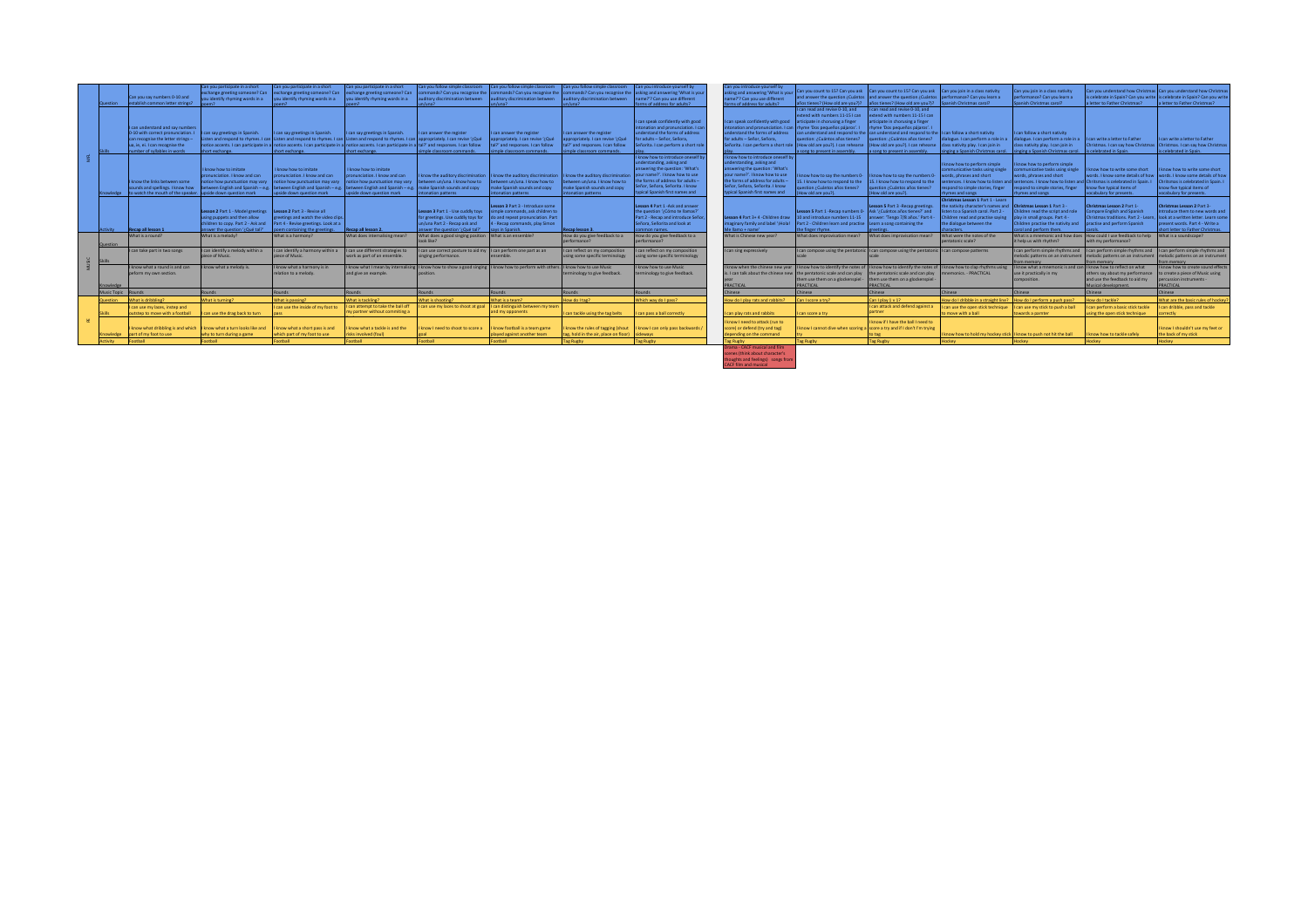| Question        | Can you say numbers 0-10 and<br>establish common letter strings?                                                                                                                | Can you participate in a short<br>ou identify rhyming words in a                                                                                                                              | Can you participate in a short<br>exchange greeting someone? Can exchange greeting someone? Can<br>vou identify rhyming words in a                                                                                                                                             | Can you participate in a short<br>exchange greeting someone? Can<br>you identify rhyming words in a                                                                                                                     | Can you follow simple classroom<br>ditory discrimination between                                                                                                                                    | Can you follow simple classroom<br>mmands? Can you recognise the commands? Can you recognise the<br>auditory discrimination between                             | Can you follow simple classroom Can you introduce yourself by<br>ditory discrimination between                                | mmands? Can you recognise the asking and answering 'What is your<br>ame?'? Can you use different<br>ns of address for adults?                                                                                                               | Can you introduce yourself by<br>ting and answering 'What is you<br>ame?'? Can you use different<br>Satube to address for a                                                                                                                 | Can you count to 15? Can you ask Can you count to 15? Can you ask<br>and answer the question $\lambda$ Cuántos and answer the question $\lambda$ Cuántos performance? Can vou learn a<br>años tienes? (How old are you?)?                                                                                                                                 | años tienes? (How old are you?)? Spanish Christmas carol?                                                                                                                                                                            | Can you join in a class nativity                                                                                                                                                                                                                               | Can you join in a class nativity<br>performance? Can you learn a<br>Spanish Christmas carol?                                                                                                                                                                  | a letter to Father Christmas?                                                                                                                                                                                            | an you understand how Christmas Can you understand how Christma<br>is celebrate in Spain? Can you write is celebrate in Spain? Can you write<br>a letter to Father Christmas? |
|-----------------|---------------------------------------------------------------------------------------------------------------------------------------------------------------------------------|-----------------------------------------------------------------------------------------------------------------------------------------------------------------------------------------------|--------------------------------------------------------------------------------------------------------------------------------------------------------------------------------------------------------------------------------------------------------------------------------|-------------------------------------------------------------------------------------------------------------------------------------------------------------------------------------------------------------------------|-----------------------------------------------------------------------------------------------------------------------------------------------------------------------------------------------------|-----------------------------------------------------------------------------------------------------------------------------------------------------------------|-------------------------------------------------------------------------------------------------------------------------------|---------------------------------------------------------------------------------------------------------------------------------------------------------------------------------------------------------------------------------------------|---------------------------------------------------------------------------------------------------------------------------------------------------------------------------------------------------------------------------------------------|-----------------------------------------------------------------------------------------------------------------------------------------------------------------------------------------------------------------------------------------------------------------------------------------------------------------------------------------------------------|--------------------------------------------------------------------------------------------------------------------------------------------------------------------------------------------------------------------------------------|----------------------------------------------------------------------------------------------------------------------------------------------------------------------------------------------------------------------------------------------------------------|---------------------------------------------------------------------------------------------------------------------------------------------------------------------------------------------------------------------------------------------------------------|--------------------------------------------------------------------------------------------------------------------------------------------------------------------------------------------------------------------------|-------------------------------------------------------------------------------------------------------------------------------------------------------------------------------|
|                 | I can understand and say numbers<br>0-10 with correct pronunciation. I<br>can recognise the letter strings -<br>ua, ie, ei. I can recognise the<br>number of syllables in words | tan say greetings in Spanish.<br>short exchange.                                                                                                                                              | can say greetings in Spanish.<br>sten and respond to rhymes. I can Listen and respond to rhymes. I can Listen and respond to rhymes. I can appropriately. I can revise '¿Qué<br>otice accents. I can participate in a notice accents. I can participate in a<br>hort exchange. | can say greetings in Spanish.<br>notice accents. I can participate in a tal?' and responses. I can follow<br>short exchange.                                                                                            | can answer the register<br>mple classroom commands.                                                                                                                                                 | can answer the register<br>propriately. I can revise '¿Qué<br>al?' and responses. I can follow<br>simple classroom commands.                                    | can answer the register<br>propriately. I can revise '¿Qué<br>tal?' and responses. I can follow<br>simple classroom commands. | can speak confidently with good<br>tonation and pronunciation. I can<br>nderstand the forms of address<br>r adults - Señor, Señora.<br>ñorita. I can perform a short role                                                                   | an speak confidently with good<br>nderstand the forms of address<br>for adults - Señor, Señora,<br>eñorita. I can perform a short role                                                                                                      | can read and revise 0-10, and<br>stend with numbers 11-15 I can<br>articipate in chorusing a finger<br>onation and pronunciation. I can thyme 'Dos pequeños pájaros'. I<br>can understand and respond to the can understand and respond to the<br>question: ¿Cuántos años tienes?<br>(How old are you?). I can rehearse<br>a song to present in assembly. | can read and revise 0-10, and<br>tend with numbers 11-15 I can<br>cipate in chorusing a finger<br>wme 'Dos pequeños pálaros'.<br>Sestion: ¿Cuántos años tienes?<br>low old are you?). I can rehearse<br>song to present in assembly. | can follow a short nativity<br>class nativity play. I can join in<br>singing a Spanish Christmas carol.                                                                                                                                                        | can follow a short nativity<br>alogue. I can perform a role in a la dialogue. I can perform a role in a<br>class nativity play. I can join in<br>singing a Spanish Christmas carol.                                                                           | can write a letter to Father<br>Is celebrated in Spain.                                                                                                                                                                  | can write a letter to Father<br>ristmas. I can say how Christmas   Christmas. I can say how Christmas<br>is celebrated in Spain.                                              |
|                 | I know the links between some<br>sounds and spellings. I know how<br>nowledge lto watch the mouth of the speaker. Jupside down question mark                                    | I know how to imitate<br>pnunciation. I know and can<br>Inotice how punctuation may vary                                                                                                      | I know how to imitate<br>pronunciation. I know and can<br>notice how punctuation may vary<br>etween English and Spanish - e.g. between English and Spanish - e.g<br>pside down question mark                                                                                   | I know how to imitate<br>onunciation. I know and can<br>notice how punctuation may vary   between un/una, I know how to<br>between English and Spanish - e.g. make Spanish sounds and copy<br>upside down question mark | know the auditory discrimination<br>pnation patterns                                                                                                                                                | I know the auditory discrimination I know the auditory discrimination<br>between un/una. I know how to<br>make Spanish sounds and copy<br>stonation patterns    | between un/una. I know how to<br>make Spanish sounds and copy<br>ntonation patterns                                           | onow how to introduce oneself b<br>inderstanding, asking and<br>iswering the question: 'What's<br>your name?'. I know how to use<br>the forms of address for adults -<br>Señor, Señora, Señorita, I know<br>typical Spanish first names and | know how to introduce oneself by<br>inderstanding, asking and<br>nswering the question: 'What's<br>our name?'. I know how to use<br>the forms of address for adults -<br>Señor, Señora, Señorita, I know<br>typical Spanish first names and | now how to say the numbers 0-<br>15. I know how to respond to the<br>uestion ¿Cuántos años tienes?<br>How old are you?).                                                                                                                                                                                                                                  | know how to say the numbers 0<br>15. I know how to respond to the<br>uestion ¿Cuántos años tienes?<br>How old are you?).                                                                                                             | know how to perform simple<br>ommunicative tasks using single<br>words, phrases and short<br>espond to simple stories, finger<br>hymes and songs                                                                                                               | know how to perform simple<br>mmunicative tasks using single<br>words, phrases and short<br>ntences. I know how to listen and sentences. I know how to listen and Chritsmas is celebrated in Spain. I<br>espond to simple stories, finger<br>thymes and songs | I know how to write some short<br>words. I know some details of how<br>ow five typical items of<br>pcabulary for presents.                                                                                               | know how to write some short<br>words. I know some details of how<br>Chritsmas is celebrated in Spain. I<br>know five typical items of<br>vocabulary for presents.            |
| <b>Activity</b> | Recap all lesson 1<br>What is a round?                                                                                                                                          | Lesson 2 Part 1 - Model greetings   Lesson 2 Part 3 - Revise all<br>sing puppets and then allow<br>hildren to copy, Part 2 - Ask and<br>answer the question '/ Qué tal?'<br>What is a melody? | reetings and watch the video clips<br>Part 4 - Revise greetings. Look at a<br>poem containing the greetings.<br>What is a harmony?                                                                                                                                             | Recap all lesson 2.<br>What does internalising mean?                                                                                                                                                                    | Lesson 3 Part 1 - Use cuddly toys<br>or preetings. Use cuddly toys for<br>n/una Part 2 - Recap ask and<br>inswer the question '/Qué tal?'<br>What does a good singing position What is an ensemble? | Lesson 3 Part 3 - Introduce some<br>simple commands, ask children to<br>do and repeat pronunciation. Part<br>4 - Recap commands, play Simon<br>says in Spanish. | Recap lesson 3.<br>How do you give feedback to a                                                                              | lesson 4 Part 1 - Ask and answer<br>the question '/ Cómo te llamas?'<br>Part 2 - Recap and introduce Seño<br>Señora, Señorita and look at<br>mmon names.<br>low do you give feedback to a                                                   | sson 4 Part 3+ 4 -Children draw<br>aginary family and label "iHola!<br>Me llamo + name'<br>What is Chinese new year?                                                                                                                        | Lesson 5 Part 1 - Recap numbers 0   Ask '/ Cuántos años tienes?' and<br>10 and introduce numbers 11-15<br>Part 2 - Children learn and practise Learn a song containing the<br>the finger rhyme.<br>What does improvisation mean?                                                                                                                          | Lesson 5 Part 3 -Recap greetings.<br>answer: 'Tengo 7/8 años.' Part 4 -<br>What does improvisation mean?                                                                                                                             | Christmas Lesson 1 Part 1 - Learn<br>the nativity character's names and <b>Christmas Lesson 1</b> Part 3 -<br>isten to a Spanish carol. Part 2 -<br>Children read and practise saving<br>the dialogue between the<br>characters.<br>What were the notes of the | hildren read the script and role<br>play in small groups. Part 4 -<br>Children practise the nativity and<br>carol and perform them.                                                                                                                           | Christmas Lesson 2 Part 1-<br>ompare English and Spanish<br>hristmas traditions, Part 2 - Lear<br>practise and perform Spanish<br>What is a mnemonic and how does How could I use feedback to help What is a soundscape? | Christmas Lesson 2 Part 3-<br>ntroduce them to new words and<br>look at a written letter. Learn some<br>present words. Part 4 - Write a<br>short letter to Father Christmas.  |
|                 |                                                                                                                                                                                 |                                                                                                                                                                                               |                                                                                                                                                                                                                                                                                |                                                                                                                                                                                                                         |                                                                                                                                                                                                     |                                                                                                                                                                 | performance?                                                                                                                  | erformance?                                                                                                                                                                                                                                 |                                                                                                                                                                                                                                             |                                                                                                                                                                                                                                                                                                                                                           |                                                                                                                                                                                                                                      |                                                                                                                                                                                                                                                                |                                                                                                                                                                                                                                                               |                                                                                                                                                                                                                          |                                                                                                                                                                               |
| Question        |                                                                                                                                                                                 |                                                                                                                                                                                               |                                                                                                                                                                                                                                                                                |                                                                                                                                                                                                                         | Coalil sool                                                                                                                                                                                         |                                                                                                                                                                 |                                                                                                                               |                                                                                                                                                                                                                                             |                                                                                                                                                                                                                                             |                                                                                                                                                                                                                                                                                                                                                           |                                                                                                                                                                                                                                      | pentatonic scale?                                                                                                                                                                                                                                              | it help us with rhythm?                                                                                                                                                                                                                                       | with my performance?                                                                                                                                                                                                     |                                                                                                                                                                               |
| <b>Skille</b>   | I can take part in two sones                                                                                                                                                    | I can identify a melody within a<br>plece of Music                                                                                                                                            | can identify a harmony within a<br>piece of Music                                                                                                                                                                                                                              | can use different strategies to<br>work as part of an ensemble                                                                                                                                                          | can use correct posture to aid my    can perform one part as an<br>nging performance.                                                                                                               |                                                                                                                                                                 | can reflect on my composition<br>using some specific terminology                                                              | can reflect on my composition<br>sing some specific terminology                                                                                                                                                                             | can sing expressively                                                                                                                                                                                                                       | I can compose using the pentatonic II can compose using the pentatonic II can compose patterms                                                                                                                                                                                                                                                            |                                                                                                                                                                                                                                      |                                                                                                                                                                                                                                                                | melodic patterns on an instrument<br>om memory                                                                                                                                                                                                                | It can perform simple rhythms and It can perform simple rhythms and It can perform simple rhythms and<br>m memory                                                                                                        | melodic patterns on an instrument melodic patterns on an instrument<br>vommen mo                                                                                              |
|                 | I know what a round is and can<br>peform my own section.                                                                                                                        | know what a melody is.                                                                                                                                                                        | know what a harmony is in<br>relation to a melody.                                                                                                                                                                                                                             | and give an example                                                                                                                                                                                                     | now what I mean by internalising I know how to show a good singing I know how to perform with others. If                                                                                            |                                                                                                                                                                 | know how to use Music<br>minology to give feedback                                                                            | onow how to use Music<br>minology to give feedback.                                                                                                                                                                                         | <b>PRACTICAL</b>                                                                                                                                                                                                                            | know when the chinese new year II know how to identify the notes of II know how to identify the notes of II know how to dap rhythms using<br>s. I can talk about the chinese new the pentatonic scale and can play<br>them use them on a glockenspiel<br>PRACTICAL                                                                                        | the pentatonic scale and can play<br>them use them on a glockenspiel<br><b>RACTICAL</b>                                                                                                                                              | nemonics, - PRACTICAL                                                                                                                                                                                                                                          | know what a mnemonic is and can II know how to reflect on what<br>use it practically in my<br>omposition.                                                                                                                                                     | others say about my performance<br>and use the feedback to aid my<br>Ausical development                                                                                                                                 | I know how to create sound effects<br>to create a piece of Music using<br>percussion instruments -<br>PRACTICAL                                                               |
| Music Topic     | <b>Rounds</b>                                                                                                                                                                   | Rounds.                                                                                                                                                                                       | chnun <sup>5</sup>                                                                                                                                                                                                                                                             | Rounds:                                                                                                                                                                                                                 | Rounds                                                                                                                                                                                              | <b>about</b>                                                                                                                                                    | Rounds                                                                                                                        | punds                                                                                                                                                                                                                                       | hinese                                                                                                                                                                                                                                      | Chinese                                                                                                                                                                                                                                                                                                                                                   | hinese                                                                                                                                                                                                                               | <b>Chinese</b>                                                                                                                                                                                                                                                 | <b>Chinese</b>                                                                                                                                                                                                                                                | hinese.                                                                                                                                                                                                                  | <b>Chinese</b>                                                                                                                                                                |
| Question        | What is dribbling?                                                                                                                                                              | What is turning?                                                                                                                                                                              | What is passing?                                                                                                                                                                                                                                                               | What is tackling?                                                                                                                                                                                                       | What is shooting?                                                                                                                                                                                   | What is a team?                                                                                                                                                 | How do Ltag?                                                                                                                  | Which way do I pass?                                                                                                                                                                                                                        | How do I play rats and rabbits?                                                                                                                                                                                                             | Can I score a try?                                                                                                                                                                                                                                                                                                                                        | Can I play 1 v 1?                                                                                                                                                                                                                    | How do I dribble in a straight line? How do I perform a push pass?                                                                                                                                                                                             |                                                                                                                                                                                                                                                               | How do Ltackle?                                                                                                                                                                                                          | What are the basic rules of hockey                                                                                                                                            |
|                 | can use my laces, instep and<br>sutstep to move with a football                                                                                                                 | an use the drag back to turn                                                                                                                                                                  | can use the inside of my foot to                                                                                                                                                                                                                                               | can attempt to take the ball off<br>ny partner without commiting a                                                                                                                                                      | can use my laces to shoot at goal                                                                                                                                                                   | It can distinguish between my team<br>and my opponents                                                                                                          |                                                                                                                               |                                                                                                                                                                                                                                             |                                                                                                                                                                                                                                             | can score a try                                                                                                                                                                                                                                                                                                                                           | can attack and defend against a                                                                                                                                                                                                      | can use the open stick technique<br>o move with a ball                                                                                                                                                                                                         | I can use my stick to push a ball                                                                                                                                                                                                                             | an perform a basic stick tackle                                                                                                                                                                                          | I can dribble, pass and tackle<br>rrectiv.                                                                                                                                    |
| nowledge        | I know what dribbling is and which II know what a turn looks like and<br>part of my foot to use                                                                                 | why to turn during a game                                                                                                                                                                     | I know what a short pass is and<br>which part of my foot to use                                                                                                                                                                                                                | onow what a tackle is and the<br>isks involved (foul)                                                                                                                                                                   | mow I need to shoot to score a                                                                                                                                                                      | I know football is a team game<br>played against another team                                                                                                   | can tackle using the tag belts<br>know the rules of tagging (shout<br>ag, hold in the air, place on floor)                    | an pass a ball correctly<br>I know I can only pass backwards /<br>sideways                                                                                                                                                                  | can play rats and rabbits<br>I know I need to attack (run to<br>score) or defend (try and tag)<br>depending on the command                                                                                                                  | know I cannot dive when scoring a                                                                                                                                                                                                                                                                                                                         | know if I have the ball I need to<br>score a try and if I don't I'm trying                                                                                                                                                           | I know how to hold my hockey stick II know to push not hit the ball                                                                                                                                                                                            | owards a parnter                                                                                                                                                                                                                                              | ng the open stick technique<br>know how to tackle safely                                                                                                                                                                 | know I shouldn't use my feet or<br>the back of my stick                                                                                                                       |
|                 | Football                                                                                                                                                                        | Football                                                                                                                                                                                      | indtno <sup>2</sup>                                                                                                                                                                                                                                                            | <b>Iledtoc</b>                                                                                                                                                                                                          | Football                                                                                                                                                                                            | Iledtoo?                                                                                                                                                        | Tag Rugby                                                                                                                     | Tag Rugby                                                                                                                                                                                                                                   | Tag Rugby<br>Drama - CACF musical and film                                                                                                                                                                                                  | Tag Rugby                                                                                                                                                                                                                                                                                                                                                 | Tag Rugby                                                                                                                                                                                                                            | Horkey.                                                                                                                                                                                                                                                        | Horkey                                                                                                                                                                                                                                                        | Hockey                                                                                                                                                                                                                   | Hockey                                                                                                                                                                        |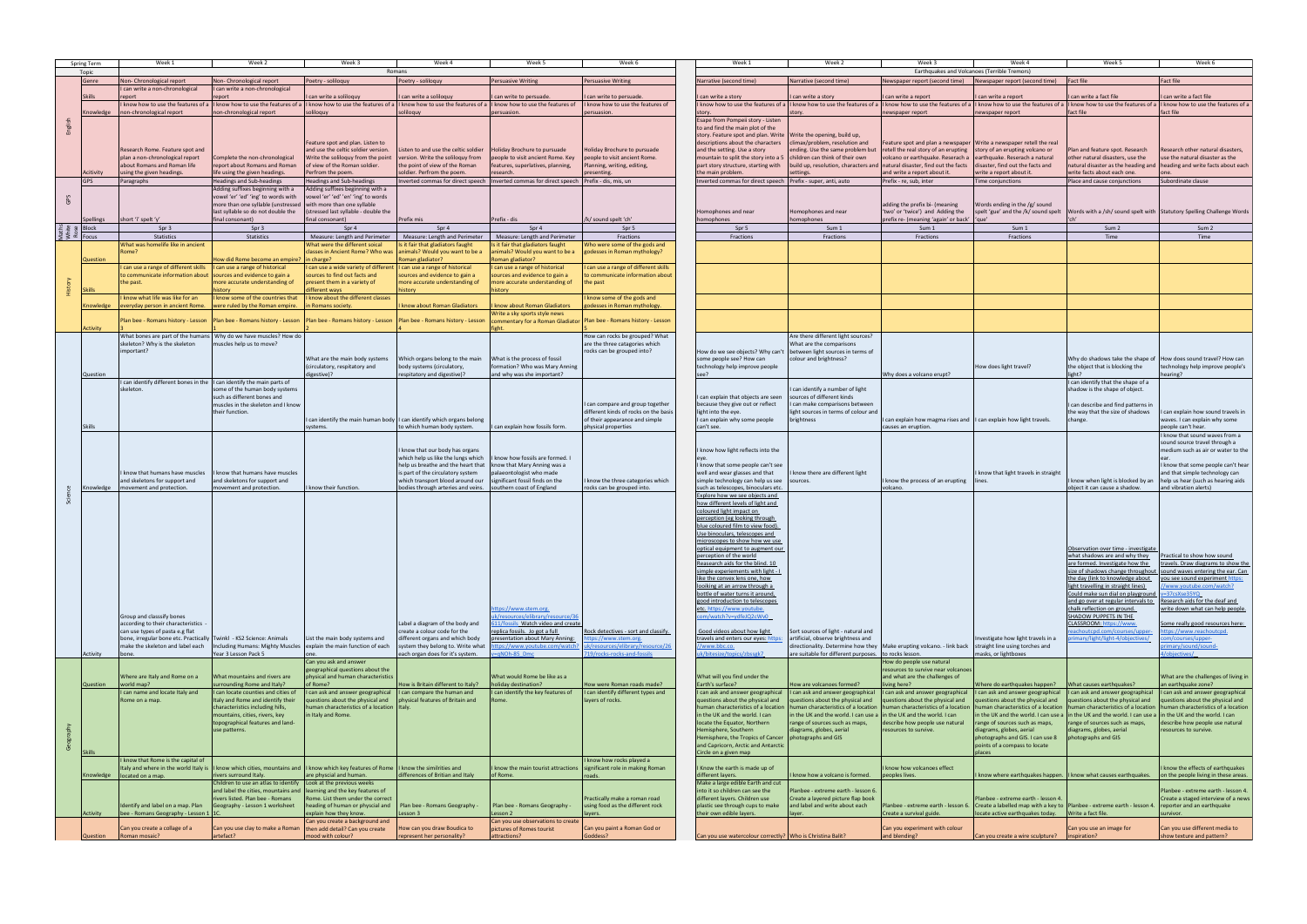| Spring Term                                                                                                                                                                                                                                                                                                         | Week 1                                                                                                                                                                              | Week 2                                                                                                                                                                                                              | Week 3                                                                                                                                                                                                                     | Week 4                                                                                                                                                                                                                   | Week 5                                                                                                                                                                                                              | Week 6                                                                                                                      | Week 1                                                                                                                                                                                                                                                                                                                                                                                                                                                                                                                                                                                                                                                                                                  | Week 2                                                                                                                                                                                                              | Week 3                                                                                                                                                                                                                       | Week 4                                                                                                                                                                                                                                                      | Week 5                                                                                                                                                                                                                                                                                                                                                                                                                                                                        | Week 6                                                                                                                                                                                                                                                                                                                                                                  |
|---------------------------------------------------------------------------------------------------------------------------------------------------------------------------------------------------------------------------------------------------------------------------------------------------------------------|-------------------------------------------------------------------------------------------------------------------------------------------------------------------------------------|---------------------------------------------------------------------------------------------------------------------------------------------------------------------------------------------------------------------|----------------------------------------------------------------------------------------------------------------------------------------------------------------------------------------------------------------------------|--------------------------------------------------------------------------------------------------------------------------------------------------------------------------------------------------------------------------|---------------------------------------------------------------------------------------------------------------------------------------------------------------------------------------------------------------------|-----------------------------------------------------------------------------------------------------------------------------|---------------------------------------------------------------------------------------------------------------------------------------------------------------------------------------------------------------------------------------------------------------------------------------------------------------------------------------------------------------------------------------------------------------------------------------------------------------------------------------------------------------------------------------------------------------------------------------------------------------------------------------------------------------------------------------------------------|---------------------------------------------------------------------------------------------------------------------------------------------------------------------------------------------------------------------|------------------------------------------------------------------------------------------------------------------------------------------------------------------------------------------------------------------------------|-------------------------------------------------------------------------------------------------------------------------------------------------------------------------------------------------------------------------------------------------------------|-------------------------------------------------------------------------------------------------------------------------------------------------------------------------------------------------------------------------------------------------------------------------------------------------------------------------------------------------------------------------------------------------------------------------------------------------------------------------------|-------------------------------------------------------------------------------------------------------------------------------------------------------------------------------------------------------------------------------------------------------------------------------------------------------------------------------------------------------------------------|
| Topic                                                                                                                                                                                                                                                                                                               |                                                                                                                                                                                     |                                                                                                                                                                                                                     |                                                                                                                                                                                                                            | Romans                                                                                                                                                                                                                   |                                                                                                                                                                                                                     |                                                                                                                             |                                                                                                                                                                                                                                                                                                                                                                                                                                                                                                                                                                                                                                                                                                         |                                                                                                                                                                                                                     |                                                                                                                                                                                                                              | Earthquakes and Volcanoes (Terrible Tremors)                                                                                                                                                                                                                |                                                                                                                                                                                                                                                                                                                                                                                                                                                                               |                                                                                                                                                                                                                                                                                                                                                                         |
| Genre                                                                                                                                                                                                                                                                                                               | Non- Chronological report                                                                                                                                                           | Non-Chronological report                                                                                                                                                                                            | Poetry - soliloquy                                                                                                                                                                                                         | Poetry - soliloquy                                                                                                                                                                                                       | Persuasive Writing                                                                                                                                                                                                  | <b>Persuasive Writing</b>                                                                                                   | Narrative (second time)                                                                                                                                                                                                                                                                                                                                                                                                                                                                                                                                                                                                                                                                                 | Narrative (second time)                                                                                                                                                                                             | Newspaper report (second time)                                                                                                                                                                                               | Newspaper report (second time)                                                                                                                                                                                                                              | Fact file                                                                                                                                                                                                                                                                                                                                                                                                                                                                     | <b>Fact file</b>                                                                                                                                                                                                                                                                                                                                                        |
| <b>Skills</b>                                                                                                                                                                                                                                                                                                       | I can write a non-chronological<br>report                                                                                                                                           | I can write a non-chronological<br>report                                                                                                                                                                           | I can write a soliloquy                                                                                                                                                                                                    | can write a soliloquy                                                                                                                                                                                                    | I can write to persuade.                                                                                                                                                                                            | can write to persuade.                                                                                                      | can write a story                                                                                                                                                                                                                                                                                                                                                                                                                                                                                                                                                                                                                                                                                       | I can write a story                                                                                                                                                                                                 | can write a report                                                                                                                                                                                                           | can write a report                                                                                                                                                                                                                                          | can write a fact file                                                                                                                                                                                                                                                                                                                                                                                                                                                         | I can write a fact file                                                                                                                                                                                                                                                                                                                                                 |
|                                                                                                                                                                                                                                                                                                                     |                                                                                                                                                                                     |                                                                                                                                                                                                                     | I know how to use the features of a  I know how to use the features of a  I know how to use the features of a  I know how to use the features of a  I know how to use the features of a  I know how to use the features of |                                                                                                                                                                                                                          |                                                                                                                                                                                                                     | know how to use the features of                                                                                             |                                                                                                                                                                                                                                                                                                                                                                                                                                                                                                                                                                                                                                                                                                         |                                                                                                                                                                                                                     | I know how to use the features of a  I know how to use the features of a  I know how to use the features of a  I know how to use the features of a  I know how to use the features of a  I know how to use the features of a |                                                                                                                                                                                                                                                             |                                                                                                                                                                                                                                                                                                                                                                                                                                                                               | I know how to use the features of a                                                                                                                                                                                                                                                                                                                                     |
| Knowledge                                                                                                                                                                                                                                                                                                           | non-chronological report                                                                                                                                                            | non-chronological report                                                                                                                                                                                            | soliloquy                                                                                                                                                                                                                  | soliloquy                                                                                                                                                                                                                | persuasion.                                                                                                                                                                                                         | ersuasion.                                                                                                                  |                                                                                                                                                                                                                                                                                                                                                                                                                                                                                                                                                                                                                                                                                                         |                                                                                                                                                                                                                     | newspaper report                                                                                                                                                                                                             | newspaper report                                                                                                                                                                                                                                            | fact file                                                                                                                                                                                                                                                                                                                                                                                                                                                                     | fact file                                                                                                                                                                                                                                                                                                                                                               |
|                                                                                                                                                                                                                                                                                                                     | Research Rome. Feature spot and<br>plan a non-chronological report                                                                                                                  | Complete the non-chronological                                                                                                                                                                                      | Feature spot and plan. Listen to<br>and use the celtic soldier version.<br>Write the soliloquy from the point                                                                                                              | Listen to and use the celtic soldier<br>version. Write the soliloguy from                                                                                                                                                | Holiday Brochure to pursuade<br>people to visit ancient Rome. Key                                                                                                                                                   | Holiday Brochure to pursuade<br>people to visit ancient Rome.                                                               | Esape from Pompeii story - Listen<br>to and find the main plot of the<br>story. Feature spot and plan. Write Write the opening, build up,<br>descriptions about the characters<br>and the setting. Use a story<br>mountain to split the story into a 5   children can think of their own                                                                                                                                                                                                                                                                                                                                                                                                                | climax/problem, resolution and<br>ending. Use the same problem but                                                                                                                                                  | Feature spot and plan a newspaper   Write a newspaper retell the real<br>retell the real story of an erupting<br>volcano or earthquake. Reserach a   earthquake. Reserach a natural                                          | story of an erupting volcano or                                                                                                                                                                                                                             | Plan and feature spot. Research<br>other natural disasters, use the                                                                                                                                                                                                                                                                                                                                                                                                           | Research other natural disasters,<br>use the natural disaster as the                                                                                                                                                                                                                                                                                                    |
|                                                                                                                                                                                                                                                                                                                     | about Romans and Roman life                                                                                                                                                         | report about Romans and Roman                                                                                                                                                                                       | of view of the Roman soldier.                                                                                                                                                                                              | the point of view of the Roman                                                                                                                                                                                           | features, superlatives, planning,                                                                                                                                                                                   | lanning, writing, editing,                                                                                                  | part story structure, starting with                                                                                                                                                                                                                                                                                                                                                                                                                                                                                                                                                                                                                                                                     | build up, resolution, characters and natural disaster, find out the facts                                                                                                                                           |                                                                                                                                                                                                                              | disaster, find out the facts and                                                                                                                                                                                                                            |                                                                                                                                                                                                                                                                                                                                                                                                                                                                               | natural disaster as the heading and   heading and write facts about each                                                                                                                                                                                                                                                                                                |
| Acitivity                                                                                                                                                                                                                                                                                                           | using the given headings.                                                                                                                                                           | life using the given headings.                                                                                                                                                                                      | Perfrom the poem.                                                                                                                                                                                                          | soldier. Perfrom the poem.                                                                                                                                                                                               | research.                                                                                                                                                                                                           | esenting                                                                                                                    | the main problem.                                                                                                                                                                                                                                                                                                                                                                                                                                                                                                                                                                                                                                                                                       | ettings                                                                                                                                                                                                             | and write a report about it.                                                                                                                                                                                                 | write a report about it.                                                                                                                                                                                                                                    | write facts about each one.                                                                                                                                                                                                                                                                                                                                                                                                                                                   |                                                                                                                                                                                                                                                                                                                                                                         |
| GPS                                                                                                                                                                                                                                                                                                                 | Paragraphs                                                                                                                                                                          | <b>Headings and Sub-headings</b><br>Adding suffixes beginning with a<br>vowel 'er' 'ed' 'ing' to words with<br>more than one syllable (unstressed with more than one syllable<br>last syllable so do not double the | Headings and Sub-headings<br>Adding suffixes beginning with a<br>vowel 'er' 'ed' 'en' 'ing' to words<br>(stressed last syllable - double the                                                                               |                                                                                                                                                                                                                          | Inverted commas for direct speech   Inverted commas for direct speech   Prefix - dis, mis, un                                                                                                                       |                                                                                                                             | Inverted commas for direct speech   Prefix - super, anti, auto<br>Iomophones and near                                                                                                                                                                                                                                                                                                                                                                                                                                                                                                                                                                                                                   | Homophones and near                                                                                                                                                                                                 | Prefix - re, sub, inter<br>adding the prefix bi- (meaning<br>'two' or 'twice') and Adding the                                                                                                                                | Time conjunctions<br>Words ending in the /g/ sound<br>spelt 'gue' and the /k/ sound spelt                                                                                                                                                                   | Place and cause conjunctions                                                                                                                                                                                                                                                                                                                                                                                                                                                  | Subordinate clause<br>Words with a /sh/ sound spelt with Statutory Spelling Challenge Words                                                                                                                                                                                                                                                                             |
| Spellings<br>$\frac{16}{5}$ $\frac{16}{5}$ $\frac{16}{5}$ $\frac{16}{5}$ $\frac{16}{5}$ $\frac{16}{5}$ $\frac{16}{5}$ $\frac{16}{5}$                                                                                                                                                                                | short 'i' spelt 'y'<br>Spr 3                                                                                                                                                        | final consonant)<br>Spr 3                                                                                                                                                                                           | final consonant)<br>Spr 4                                                                                                                                                                                                  | Prefix mis<br>Spr 4                                                                                                                                                                                                      | Prefix - dis<br>Spr 4                                                                                                                                                                                               | /k/ sound spelt 'ch'<br>Spr 5                                                                                               | homophones<br>Spr 5                                                                                                                                                                                                                                                                                                                                                                                                                                                                                                                                                                                                                                                                                     | homophones<br>Sum 1                                                                                                                                                                                                 | prefix re- (meaning 'again' or back'   'que'<br>Sum 1                                                                                                                                                                        | Sum 1                                                                                                                                                                                                                                                       | Sum <sub>2</sub>                                                                                                                                                                                                                                                                                                                                                                                                                                                              | Sum <sub>2</sub>                                                                                                                                                                                                                                                                                                                                                        |
| $\frac{1}{5}$ $\frac{1}{5}$ $\frac{1}{5}$ $\frac{1}{5}$ $\frac{1}{5}$ $\frac{1}{5}$ $\frac{1}{5}$ $\frac{1}{5}$ $\frac{1}{5}$ $\frac{1}{5}$ $\frac{1}{5}$ $\frac{1}{5}$ $\frac{1}{5}$ $\frac{1}{5}$ $\frac{1}{5}$ $\frac{1}{5}$ $\frac{1}{5}$ $\frac{1}{5}$ $\frac{1}{5}$ $\frac{1}{5}$ $\frac{1}{5}$ $\frac{1}{5}$ | Statistics                                                                                                                                                                          | Statistics                                                                                                                                                                                                          | Measure: Length and Perimeter                                                                                                                                                                                              | Measure: Length and Perimeter                                                                                                                                                                                            | Measure: Length and Perimeter                                                                                                                                                                                       | Fractions                                                                                                                   | Fractions                                                                                                                                                                                                                                                                                                                                                                                                                                                                                                                                                                                                                                                                                               | Fractions                                                                                                                                                                                                           | Fractions                                                                                                                                                                                                                    | Fractions                                                                                                                                                                                                                                                   | Time                                                                                                                                                                                                                                                                                                                                                                                                                                                                          | Time                                                                                                                                                                                                                                                                                                                                                                    |
|                                                                                                                                                                                                                                                                                                                     | What was homelife like in ancient                                                                                                                                                   |                                                                                                                                                                                                                     | What were the different soical                                                                                                                                                                                             | Is it fair that gladiators faught                                                                                                                                                                                        | s it fair that gladiators faught                                                                                                                                                                                    | Who were some of the gods and                                                                                               |                                                                                                                                                                                                                                                                                                                                                                                                                                                                                                                                                                                                                                                                                                         |                                                                                                                                                                                                                     |                                                                                                                                                                                                                              |                                                                                                                                                                                                                                                             |                                                                                                                                                                                                                                                                                                                                                                                                                                                                               |                                                                                                                                                                                                                                                                                                                                                                         |
| Question                                                                                                                                                                                                                                                                                                            | Rome?                                                                                                                                                                               | How did Rome become an empire?   in charge?                                                                                                                                                                         | classes in Ancient Rome? Who was                                                                                                                                                                                           | animals? Would you want to be a                                                                                                                                                                                          | animals? Would you want to be a                                                                                                                                                                                     | godesses in Roman mythology?                                                                                                |                                                                                                                                                                                                                                                                                                                                                                                                                                                                                                                                                                                                                                                                                                         |                                                                                                                                                                                                                     |                                                                                                                                                                                                                              |                                                                                                                                                                                                                                                             |                                                                                                                                                                                                                                                                                                                                                                                                                                                                               |                                                                                                                                                                                                                                                                                                                                                                         |
|                                                                                                                                                                                                                                                                                                                     | I can use a range of different skills    can use a range of historical<br>to communicate information about   sources and evidence to gain a                                         |                                                                                                                                                                                                                     | I can use a wide variety of different  I can use a range of historical<br>sources to find out facts and                                                                                                                    | Roman gladiator?<br>sources and evidence to gain a                                                                                                                                                                       | Roman gladiator?<br>can use a range of historical<br>sources and evidence to gain a                                                                                                                                 | can use a range of different skills<br>o communicate information about                                                      |                                                                                                                                                                                                                                                                                                                                                                                                                                                                                                                                                                                                                                                                                                         |                                                                                                                                                                                                                     |                                                                                                                                                                                                                              |                                                                                                                                                                                                                                                             |                                                                                                                                                                                                                                                                                                                                                                                                                                                                               |                                                                                                                                                                                                                                                                                                                                                                         |
| <b>Skills</b>                                                                                                                                                                                                                                                                                                       | the past.                                                                                                                                                                           | more accurate understanding of<br>history                                                                                                                                                                           | present them in a variety of<br>different ways                                                                                                                                                                             | more accurate understanding of<br>history                                                                                                                                                                                | more accurate understanding of<br>history                                                                                                                                                                           | the past                                                                                                                    |                                                                                                                                                                                                                                                                                                                                                                                                                                                                                                                                                                                                                                                                                                         |                                                                                                                                                                                                                     |                                                                                                                                                                                                                              |                                                                                                                                                                                                                                                             |                                                                                                                                                                                                                                                                                                                                                                                                                                                                               |                                                                                                                                                                                                                                                                                                                                                                         |
| Knowledge                                                                                                                                                                                                                                                                                                           | I know what life was like for an                                                                                                                                                    | I know some of the countries that<br>everyday person in ancient Rome. were ruled by the Roman empire.                                                                                                               | I know about the different classes<br>in Romans society.                                                                                                                                                                   | know about Roman Gladiators                                                                                                                                                                                              | know about Roman Gladiators<br>Write a sky sports style news                                                                                                                                                        | know some of the gods and<br>godesses in Roman mythology.                                                                   |                                                                                                                                                                                                                                                                                                                                                                                                                                                                                                                                                                                                                                                                                                         |                                                                                                                                                                                                                     |                                                                                                                                                                                                                              |                                                                                                                                                                                                                                                             |                                                                                                                                                                                                                                                                                                                                                                                                                                                                               |                                                                                                                                                                                                                                                                                                                                                                         |
| <b>Activity</b>                                                                                                                                                                                                                                                                                                     |                                                                                                                                                                                     |                                                                                                                                                                                                                     | Plan bee - Romans history - Lesson   Plan bee - Romans history - Lesson   Plan bee - Romans history - Lesson                                                                                                               | Plan bee - Romans history - Lesson                                                                                                                                                                                       |                                                                                                                                                                                                                     | commentary for a Roman Gladiator   Plan bee - Romans history - Lesson                                                       |                                                                                                                                                                                                                                                                                                                                                                                                                                                                                                                                                                                                                                                                                                         |                                                                                                                                                                                                                     |                                                                                                                                                                                                                              |                                                                                                                                                                                                                                                             |                                                                                                                                                                                                                                                                                                                                                                                                                                                                               |                                                                                                                                                                                                                                                                                                                                                                         |
|                                                                                                                                                                                                                                                                                                                     |                                                                                                                                                                                     | What bones are part of the humans Why do we have muscles? How do                                                                                                                                                    |                                                                                                                                                                                                                            |                                                                                                                                                                                                                          |                                                                                                                                                                                                                     | How can rocks be grouped? What                                                                                              |                                                                                                                                                                                                                                                                                                                                                                                                                                                                                                                                                                                                                                                                                                         | Are there different light sources?                                                                                                                                                                                  |                                                                                                                                                                                                                              |                                                                                                                                                                                                                                                             |                                                                                                                                                                                                                                                                                                                                                                                                                                                                               |                                                                                                                                                                                                                                                                                                                                                                         |
|                                                                                                                                                                                                                                                                                                                     | skeleton? Why is the skeleton<br>important?                                                                                                                                         | muscles help us to move?                                                                                                                                                                                            |                                                                                                                                                                                                                            |                                                                                                                                                                                                                          |                                                                                                                                                                                                                     | are the three catagories which<br>rocks can be grouped into?                                                                |                                                                                                                                                                                                                                                                                                                                                                                                                                                                                                                                                                                                                                                                                                         | What are the comparisons<br>How do we see objects? Why can't between light sources in terms of                                                                                                                      |                                                                                                                                                                                                                              |                                                                                                                                                                                                                                                             |                                                                                                                                                                                                                                                                                                                                                                                                                                                                               |                                                                                                                                                                                                                                                                                                                                                                         |
|                                                                                                                                                                                                                                                                                                                     |                                                                                                                                                                                     |                                                                                                                                                                                                                     | What are the main body systems                                                                                                                                                                                             | Which organs belong to the main                                                                                                                                                                                          | What is the process of fossil                                                                                                                                                                                       |                                                                                                                             | some people see? How can                                                                                                                                                                                                                                                                                                                                                                                                                                                                                                                                                                                                                                                                                | colour and brightness?                                                                                                                                                                                              |                                                                                                                                                                                                                              |                                                                                                                                                                                                                                                             |                                                                                                                                                                                                                                                                                                                                                                                                                                                                               | Why do shadows take the shape of   How does sound travel? How can                                                                                                                                                                                                                                                                                                       |
| Question                                                                                                                                                                                                                                                                                                            |                                                                                                                                                                                     |                                                                                                                                                                                                                     | (circulatory, respitatory and<br>digestive)?                                                                                                                                                                               | body systems (circulatory,<br>respitatory and digestive)?                                                                                                                                                                | formation? Who was Mary Anning<br>and why was she important?                                                                                                                                                        |                                                                                                                             | technology help improve people<br>see?                                                                                                                                                                                                                                                                                                                                                                                                                                                                                                                                                                                                                                                                  |                                                                                                                                                                                                                     | Why does a volcano erupt?                                                                                                                                                                                                    | How does light travel?                                                                                                                                                                                                                                      | the object that is blocking the<br>light?                                                                                                                                                                                                                                                                                                                                                                                                                                     | technology help improve people's<br>hearing?                                                                                                                                                                                                                                                                                                                            |
|                                                                                                                                                                                                                                                                                                                     | I can identify different bones in the  I can identify the main parts of                                                                                                             |                                                                                                                                                                                                                     |                                                                                                                                                                                                                            |                                                                                                                                                                                                                          |                                                                                                                                                                                                                     |                                                                                                                             |                                                                                                                                                                                                                                                                                                                                                                                                                                                                                                                                                                                                                                                                                                         |                                                                                                                                                                                                                     |                                                                                                                                                                                                                              |                                                                                                                                                                                                                                                             | I can identify that the shape of a                                                                                                                                                                                                                                                                                                                                                                                                                                            |                                                                                                                                                                                                                                                                                                                                                                         |
|                                                                                                                                                                                                                                                                                                                     | skeleton                                                                                                                                                                            | some of the human body systems                                                                                                                                                                                      |                                                                                                                                                                                                                            |                                                                                                                                                                                                                          |                                                                                                                                                                                                                     |                                                                                                                             |                                                                                                                                                                                                                                                                                                                                                                                                                                                                                                                                                                                                                                                                                                         | I can identify a number of light                                                                                                                                                                                    |                                                                                                                                                                                                                              |                                                                                                                                                                                                                                                             | shadow is the shape of object.                                                                                                                                                                                                                                                                                                                                                                                                                                                |                                                                                                                                                                                                                                                                                                                                                                         |
|                                                                                                                                                                                                                                                                                                                     |                                                                                                                                                                                     | such as different bones and<br>muscles in the skeleton and I know                                                                                                                                                   |                                                                                                                                                                                                                            |                                                                                                                                                                                                                          |                                                                                                                                                                                                                     | I can compare and group together                                                                                            | I can explain that objects are seen<br>because they give out or reflect                                                                                                                                                                                                                                                                                                                                                                                                                                                                                                                                                                                                                                 | sources of different kinds<br>I can make comparisons between                                                                                                                                                        |                                                                                                                                                                                                                              |                                                                                                                                                                                                                                                             | I can describe and find patterns in                                                                                                                                                                                                                                                                                                                                                                                                                                           |                                                                                                                                                                                                                                                                                                                                                                         |
|                                                                                                                                                                                                                                                                                                                     |                                                                                                                                                                                     | their function.                                                                                                                                                                                                     |                                                                                                                                                                                                                            |                                                                                                                                                                                                                          |                                                                                                                                                                                                                     | different kinds of rocks on the basis                                                                                       | light into the eye.                                                                                                                                                                                                                                                                                                                                                                                                                                                                                                                                                                                                                                                                                     | light sources in terms of colour and                                                                                                                                                                                |                                                                                                                                                                                                                              |                                                                                                                                                                                                                                                             | the way that the size of shadows                                                                                                                                                                                                                                                                                                                                                                                                                                              | can explain how sound travels in                                                                                                                                                                                                                                                                                                                                        |
|                                                                                                                                                                                                                                                                                                                     |                                                                                                                                                                                     |                                                                                                                                                                                                                     | I can identify the main human body  I can identify which organs belong                                                                                                                                                     |                                                                                                                                                                                                                          |                                                                                                                                                                                                                     | of their appearance and simple                                                                                              | I can explain why some people                                                                                                                                                                                                                                                                                                                                                                                                                                                                                                                                                                                                                                                                           | brightness                                                                                                                                                                                                          | I can explain how magma rises and  I can explain how light travels.                                                                                                                                                          |                                                                                                                                                                                                                                                             | change.                                                                                                                                                                                                                                                                                                                                                                                                                                                                       | waves. I can explain why some                                                                                                                                                                                                                                                                                                                                           |
| Skills                                                                                                                                                                                                                                                                                                              |                                                                                                                                                                                     |                                                                                                                                                                                                                     | systems.                                                                                                                                                                                                                   | o which human body system.                                                                                                                                                                                               | I can explain how fossils form.                                                                                                                                                                                     | physical properties                                                                                                         | can't see.                                                                                                                                                                                                                                                                                                                                                                                                                                                                                                                                                                                                                                                                                              |                                                                                                                                                                                                                     | causes an eruption.                                                                                                                                                                                                          |                                                                                                                                                                                                                                                             |                                                                                                                                                                                                                                                                                                                                                                                                                                                                               | people can't hear.<br>I know that sound waves from a                                                                                                                                                                                                                                                                                                                    |
| Knowledge                                                                                                                                                                                                                                                                                                           | I know that humans have muscles<br>and skeletons for support and<br>movement and protection.                                                                                        | I know that humans have muscles<br>and skeletons for support and<br>movement and protection.                                                                                                                        | I know their function.                                                                                                                                                                                                     | know that our body has organs<br>which help us like the lungs which<br>help us breathe and the heart that<br>is part of the circulatory system<br>which transport blood around our<br>bodies through arteries and veins. | I know how fossils are formed. I<br>know that Mary Anning was a<br>palaeontologist who made<br>significant fossil finds on the<br>southern coast of England                                                         | know the three categories which<br>rocks can be grouped into.                                                               | I know how light reflects into the<br>I know that some people can't see<br>well and wear glasses and that<br>simple technology can help us see<br>such as telescopes, binoculars etc.                                                                                                                                                                                                                                                                                                                                                                                                                                                                                                                   | know there are different light<br>sources.                                                                                                                                                                          | I know the process of an erupting<br>volcano.                                                                                                                                                                                | I know that light travels in straight<br>lines.                                                                                                                                                                                                             | I know when light is blocked by an<br>object it can cause a shadow.                                                                                                                                                                                                                                                                                                                                                                                                           | sound source travel through a<br>medium such as air or water to the<br>I know that some people can't hear<br>and that simple technology can<br>help us hear (such as hearing aids<br>and vibration alerts)                                                                                                                                                              |
| Activity                                                                                                                                                                                                                                                                                                            | Group and classsify bones<br>according to their characteristics<br>can use types of pasta e.g flat<br>bone, irregular bone etc. Practically  Twinkl - KS2 Science: Animals<br>bone. | make the skeleton and label each   Including Humans: Mighty Muscles   explain the main function of each<br>Year 3 Lesson Pack 5                                                                                     | List the main body systems and<br>Can you ask and answer<br>geographical questions about the                                                                                                                               | Label a diagram of the body and<br>create a colour code for the<br>different organs and which body<br>system they belong to. Write what<br>each organ does for it's system.                                              | nttps://www.stem.org.<br>k/resources/elibrary/resource/36<br>611/fossils_Watch video and create<br>replica fossils. Jo got a full<br>presentation about Mary Anning:<br>tps://www.youtube.com/watch?<br>qNOh-85 Dmc | Rock detectives - sort and classify.<br>tps://www.stem.org.<br>/resources/elibrary/resource/26<br>9/rocks-rocks-and-fossils | Explore how we see objects and<br>how different levels of light and<br>coloured light impact on<br>perception (eg looking through<br>blue coloured film to view food)<br>Use binoculars, telescopes and<br>microscopes to show how we use<br>optical equipment to augment our<br>perception of the world<br>Reasearch aids for the blind. 10<br>simple experiements with light - I<br>like the convex lens one, how<br>looiking at an arrow through a<br>bottle of water turns it around,<br>good introduction to telescopes<br>etc. https://www.youtube.<br>com/watch?v=ydfeJQ2cWv0<br>Good videos about how light<br>travels and enters our eyes: https<br>//www.bbc.co.<br>k/bitesize/topics/zbssgk7 | Sort sources of light - natural and<br>artificial, observe brightness and<br>directionality. Determine how they   Make erupting volcano. - link back<br>are suitable for different purposes.   to rocks lesson.     | How do people use natural<br>resources to survive near volcanoes                                                                                                                                                             | Investigate how light travels in a<br>straight line using torches and<br>masks, or lightboxes                                                                                                                                                               | Observation over time - investigate<br>what shadows are and why they<br>are formed. Investigate how the<br>the day (link to knowledge about<br>light travelling in straight lines)<br>Could make sun dial on playground  v=37csXse35YQ<br>and go over at regular intervals to   Research aids for the deaf and<br>chalk reflection on ground.<br>SHADOW PUPPETS IN THE<br>CLASSROOM: https://www.<br><u>eachoutcpd.com/courses/upper-</u><br>rimary/light/light-4/objectives/ | Practical to show how sound<br>travels. Draw diagrams to show the<br>size of shadows change throughout   sound waves entering the ear. Can<br>you see sound experiment https<br>www.youtube.com/watch?<br>write down what can help people.<br>Some really good resources here:<br>ittps://www.reachoutcpd.<br>om/courses/upper-<br>rimary/sound/sound-<br>4/objectives/ |
| Question                                                                                                                                                                                                                                                                                                            | Where are Italy and Rome on a<br>world map?                                                                                                                                         | What mountains and rivers are<br>surrounding Rome and Italy?                                                                                                                                                        | physical and human characteristics<br>of Rome?                                                                                                                                                                             | How is Britain different to Italy?                                                                                                                                                                                       | What would Rome be like as a<br>holiday destination?                                                                                                                                                                | How were Roman roads made?                                                                                                  | What will you find under the<br>Earth's surface?                                                                                                                                                                                                                                                                                                                                                                                                                                                                                                                                                                                                                                                        | How are volcanoes formed?                                                                                                                                                                                           | and what are the challenges of<br>living here?                                                                                                                                                                               | Where do earthquakes happen?                                                                                                                                                                                                                                | What causes earthquakes?                                                                                                                                                                                                                                                                                                                                                                                                                                                      | What are the challenges of living in $ $<br>an earthquake zone?                                                                                                                                                                                                                                                                                                         |
|                                                                                                                                                                                                                                                                                                                     | I can name and locate Italy and                                                                                                                                                     | I can locate counties and cities of                                                                                                                                                                                 | I can ask and answer geographical   I can compare the human and                                                                                                                                                            |                                                                                                                                                                                                                          | I can identify the key features of                                                                                                                                                                                  | I can identify different types and                                                                                          | I can ask and answer geographical                                                                                                                                                                                                                                                                                                                                                                                                                                                                                                                                                                                                                                                                       | I can ask and answer geographical                                                                                                                                                                                   | I can ask and answer geographical                                                                                                                                                                                            | I can ask and answer geographical                                                                                                                                                                                                                           | I can ask and answer geographical                                                                                                                                                                                                                                                                                                                                                                                                                                             | I can ask and answer geographical                                                                                                                                                                                                                                                                                                                                       |
| Skills                                                                                                                                                                                                                                                                                                              | Rome on a map.                                                                                                                                                                      | Italy and Rome and identify their<br>characteristics including hills,<br>mountains, cities, rivers, key<br>topographical features and land-<br>use patterns.                                                        | questions about the physical and<br>human characteristics of a location   Italy.<br>in Italy and Rome.                                                                                                                     | physical features of Britain and                                                                                                                                                                                         | Rome.                                                                                                                                                                                                               | layers of rocks.                                                                                                            | questions about the physical and<br>human characteristics of a location<br>in the UK and the world. I can<br>locate the Equator, Northern<br>Hemisphere, Southern<br>Hemisphere, the Tropics of Cancer   photographs and GIS<br>and Capricorn, Arctic and Antarctic<br>Circle on a given map                                                                                                                                                                                                                                                                                                                                                                                                            | questions about the physical and<br>human characteristics of a location   human characteristics of a location<br>in the UK and the world. I can use a<br>range of sources such as maps,<br>diagrams, globes, aerial | questions about the physical and<br>in the UK and the world. I can<br>describe how people use natural<br>resources to survive.                                                                                               | questions about the physical and<br>human characteristics of a location<br>n the UK and the world. I can use a<br>range of sources such as maps,<br>diagrams, globes, aerial<br>photographs and GIS. I can use 8<br>points of a compass to locate<br>places | questions about the physical and<br>n the UK and the world. I can use a  in the UK and the world. I can<br>range of sources such as maps,<br>diagrams, globes, aerial<br>photographs and GIS                                                                                                                                                                                                                                                                                  | questions about the physical and<br>human characteristics of a location   human characteristics of a location<br>describe how people use natural<br>resources to survive.                                                                                                                                                                                               |
|                                                                                                                                                                                                                                                                                                                     | I know that Rome is the capital of<br>Italy and where in the world Italy is<br>Knowledge   located on a map                                                                         | rivers surround Italy                                                                                                                                                                                               | I know which cities, mountains and  I know which key features of Rome<br>are physcial and human.                                                                                                                           | I know the similrities and<br>differences of Britian and Italy                                                                                                                                                           | know the main tourist attractions<br>of Rome.                                                                                                                                                                       | know how rocks played a<br>significant role in making Roman<br>roads.                                                       | Know the earth is made up of<br>different layers.                                                                                                                                                                                                                                                                                                                                                                                                                                                                                                                                                                                                                                                       | know how a volcano is formed.                                                                                                                                                                                       | know how volcanoes effect<br>peoples lives.                                                                                                                                                                                  |                                                                                                                                                                                                                                                             | know where earthquakes happen. I know what causes earthquakes.                                                                                                                                                                                                                                                                                                                                                                                                                | know the effects of earthquakes<br>on the people living in these areas.                                                                                                                                                                                                                                                                                                 |
| Activity                                                                                                                                                                                                                                                                                                            | Identify and label on a map. Plan<br>bee - Romans Geography - Lesson 1   1C.                                                                                                        | Children to use an atlas to identify   Look at the previous weeks<br>and label the cities, mountains and   learning and the key features of<br>rivers listed. Plan bee - Romans<br>Geography - Lesson 1 worksheet   | Rome. List them under the correct<br>heading of human or physcial and   Plan bee - Romans Geography<br>explain how they know.                                                                                              | Lesson 3                                                                                                                                                                                                                 | Plan bee - Romans Geography -<br>Lesson 2                                                                                                                                                                           | Practically make a roman road<br>using food as the different rock<br>layers.                                                | Make a large edible Earth and cut<br>into it so children can see the<br>different layers. Children use<br>plastic see through cups to make<br>their own edible layers.                                                                                                                                                                                                                                                                                                                                                                                                                                                                                                                                  | Planbee - extreme earth - lesson 6.<br>Create a layered picture flap book<br>and label and write about each<br>layer.                                                                                               | Planbee - extreme earth - lesson 6.<br>Create a survival guide.                                                                                                                                                              | Planbee - extreme earth - lesson 4.<br>Create a labelled map with a key to  Planbee - extreme earth - lesson 4.   reporter and an earthquake<br>locate active earthquakes today.                                                                            | Write a fact file.                                                                                                                                                                                                                                                                                                                                                                                                                                                            | Planbee - extreme earth - lesson 4<br>Create a staged interview of a news<br>survivor.                                                                                                                                                                                                                                                                                  |
|                                                                                                                                                                                                                                                                                                                     |                                                                                                                                                                                     |                                                                                                                                                                                                                     | Can you create a background and                                                                                                                                                                                            |                                                                                                                                                                                                                          | Can you use observations to create                                                                                                                                                                                  |                                                                                                                             |                                                                                                                                                                                                                                                                                                                                                                                                                                                                                                                                                                                                                                                                                                         |                                                                                                                                                                                                                     |                                                                                                                                                                                                                              |                                                                                                                                                                                                                                                             |                                                                                                                                                                                                                                                                                                                                                                                                                                                                               |                                                                                                                                                                                                                                                                                                                                                                         |
| Question                                                                                                                                                                                                                                                                                                            | Can you create a collage of a<br>Roman mosaic?                                                                                                                                      | Can you use clay to make a Roman   then add detail? Can you create<br>artefact?                                                                                                                                     | mood with colour?                                                                                                                                                                                                          | How can you draw Boudica to<br>represent her personality?                                                                                                                                                                | pictures of Romes tourist<br>attractions?                                                                                                                                                                           | Can you paint a Roman God or<br>Goddess?                                                                                    | Can you use watercolour correctly? Who is Christina Balit?                                                                                                                                                                                                                                                                                                                                                                                                                                                                                                                                                                                                                                              |                                                                                                                                                                                                                     | Can you experiment with colour<br>and blending?                                                                                                                                                                              | Can you create a wire sculpture?                                                                                                                                                                                                                            | Can you use an image for<br>inspiration?                                                                                                                                                                                                                                                                                                                                                                                                                                      | Can you use different media to<br>show texture and pattern?                                                                                                                                                                                                                                                                                                             |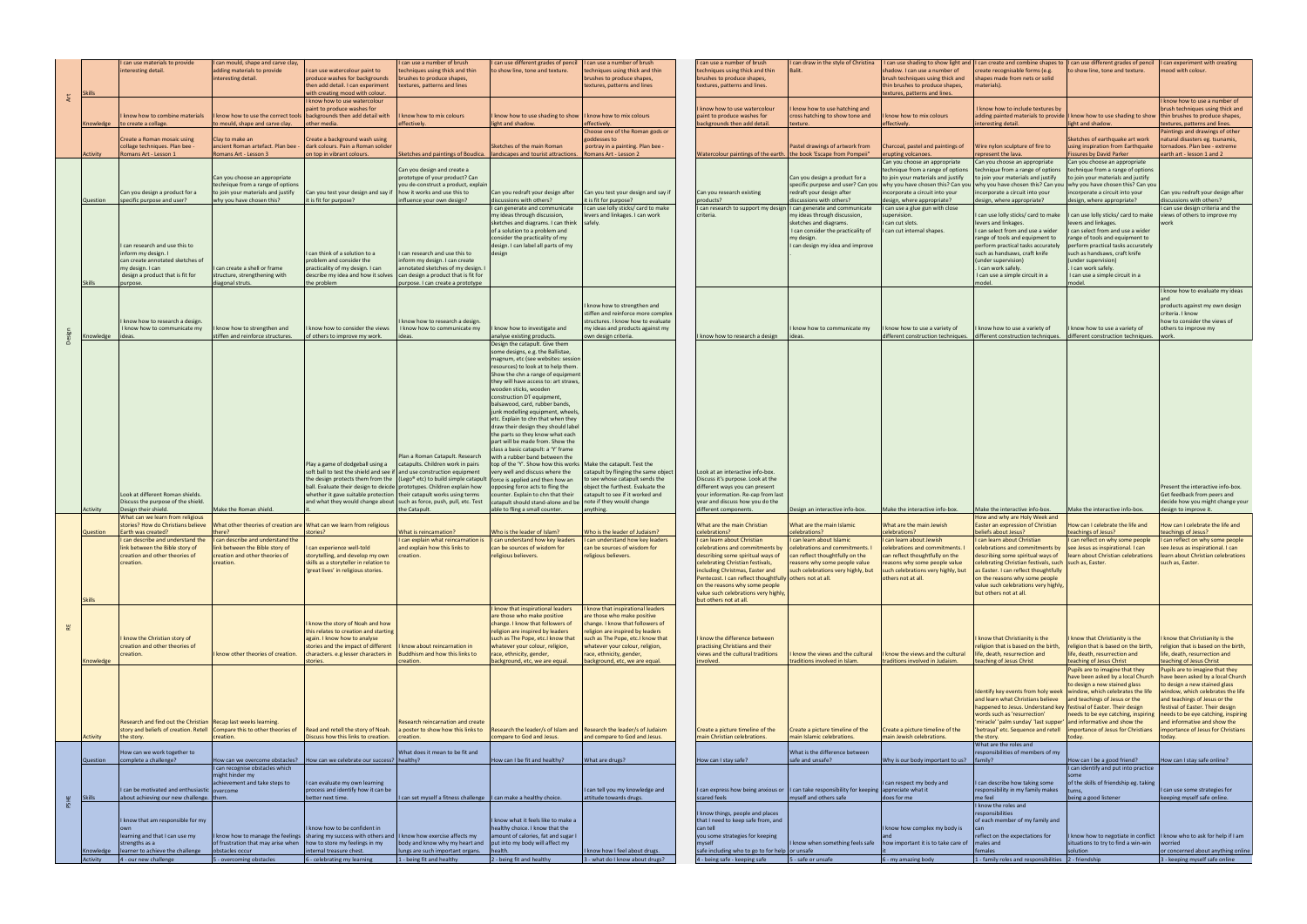| <b>Skills</b>             | I can use materials to provide<br>interesting detail.                                                                                                                                                            | I can mould, shape and carve clay,<br>adding materials to provide<br>interesting detail.                                                                                                               | I can use watercolour paint to<br>produce washes for backgrounds<br>then add detail. I can experiment<br>with creating mood with colour.                                                                                                                                                                                                    | can use a number of brush<br>echniques using thick and thin<br>brushes to produce shapes,<br>textures, patterns and lines                                                                            | I can use different grades of pencil $\vert$ I can use a number of brush<br>to show line, tone and texture.                                                                                                                                                                                                                                                                                                                                                                                                                                                                                                                                                                                                                                                                                                                                                                   | techniques using thick and thin<br>brushes to produce shapes,<br>textures, patterns and lines                                                                                                                                                                                | I can use a number of brush<br>techniques using thick and thin<br>brushes to produce shapes,<br>textures, patterns and lines.                                                                                                                                                                                                                                                             | I can draw in the style of Christina<br><b>Balit</b>                                                                                                                                                     | shadow. I can use a number of<br>brush techniques using thick and<br>thin brushes to produce shapes,<br>textures, patterns and lines.                                                                                                 | I can use shading to show light and  I can create and combine shapes to  I can use different grades of pencil  I can experiment with creating<br>create recognisable forms (e.g.<br>shapes made from nets or solid<br>materials).                                                                                                                                                                     | to show line, tone and texture.                                                                                                                                                                                                                                                                     | mood with colour.                                                                                                                                                                                                                                                                                    |
|---------------------------|------------------------------------------------------------------------------------------------------------------------------------------------------------------------------------------------------------------|--------------------------------------------------------------------------------------------------------------------------------------------------------------------------------------------------------|---------------------------------------------------------------------------------------------------------------------------------------------------------------------------------------------------------------------------------------------------------------------------------------------------------------------------------------------|------------------------------------------------------------------------------------------------------------------------------------------------------------------------------------------------------|-------------------------------------------------------------------------------------------------------------------------------------------------------------------------------------------------------------------------------------------------------------------------------------------------------------------------------------------------------------------------------------------------------------------------------------------------------------------------------------------------------------------------------------------------------------------------------------------------------------------------------------------------------------------------------------------------------------------------------------------------------------------------------------------------------------------------------------------------------------------------------|------------------------------------------------------------------------------------------------------------------------------------------------------------------------------------------------------------------------------------------------------------------------------|-------------------------------------------------------------------------------------------------------------------------------------------------------------------------------------------------------------------------------------------------------------------------------------------------------------------------------------------------------------------------------------------|----------------------------------------------------------------------------------------------------------------------------------------------------------------------------------------------------------|---------------------------------------------------------------------------------------------------------------------------------------------------------------------------------------------------------------------------------------|-------------------------------------------------------------------------------------------------------------------------------------------------------------------------------------------------------------------------------------------------------------------------------------------------------------------------------------------------------------------------------------------------------|-----------------------------------------------------------------------------------------------------------------------------------------------------------------------------------------------------------------------------------------------------------------------------------------------------|------------------------------------------------------------------------------------------------------------------------------------------------------------------------------------------------------------------------------------------------------------------------------------------------------|
|                           | know how to combine materials<br>Knowledge   to create a collage.                                                                                                                                                | know how to use the correct tools<br>to mould, shape and carve clay.                                                                                                                                   | I know how to use watercolour<br>paint to produce washes for<br>backgrounds then add detail with<br>other media.                                                                                                                                                                                                                            | know how to mix colours<br>effectively.                                                                                                                                                              | know how to use shading to show<br>light and shadow.                                                                                                                                                                                                                                                                                                                                                                                                                                                                                                                                                                                                                                                                                                                                                                                                                          | I know how to mix colours<br>effectively.<br>Choose one of the Roman gods or                                                                                                                                                                                                 | I know how to use watercolour<br>paint to produce washes for<br>backgrounds then add detail.                                                                                                                                                                                                                                                                                              | know how to use hatching and<br>cross hatching to show tone and<br>texture.                                                                                                                              | know how to mix colours<br>effectively.                                                                                                                                                                                               | know how to include textures by<br>interesting detail                                                                                                                                                                                                                                                                                                                                                 | adding painted materials to provide  I know how to use shading to show  thin brushes to produce shapes,<br>light and shadow.                                                                                                                                                                        | I know how to use a number of<br>brush techniques using thick and<br>textures, patterns and lines.<br>Paintings and drawings of other                                                                                                                                                                |
| Activity                  | Create a Roman mosaic using<br>collage techniques. Plan bee -<br>Romans Art - Lesson 1                                                                                                                           | Clay to make an<br>ancient Roman artefact. Plan bee<br>Romans Art - Lesson 3                                                                                                                           | Create a background wash using<br>dark colours. Pain a Roman solider<br>on top in vibrant colours.                                                                                                                                                                                                                                          | Sketches and paintings of Boudica.   landscapes and tourist attractions.                                                                                                                             | Sketches of the main Roman                                                                                                                                                                                                                                                                                                                                                                                                                                                                                                                                                                                                                                                                                                                                                                                                                                                    | goddesses to<br>portray in a painting. Plan bee -<br>Romans Art - Lesson 2                                                                                                                                                                                                   | Watercolour paintings of the earth. the book 'Escape from Pompeii"                                                                                                                                                                                                                                                                                                                        | Pastel drawings of artwork from                                                                                                                                                                          | Charcoal, pastel and paintings of<br>erupting volcanoes.<br>Can you choose an appropriate                                                                                                                                             | Wire nylon sculpture of fire to<br>represent the lava.<br>Can you choose an appropriate                                                                                                                                                                                                                                                                                                               | Sketches of earthquake art work<br>using inspiration from Earthquake<br><b>Fissures by David Parker</b><br>Can you choose an appropriate                                                                                                                                                            | natural disasters eg. tsunamis,<br>tornadoes. Plan bee - extreme<br>earth art - lesson 1 and 2                                                                                                                                                                                                       |
| Question                  | Can you design a product for a<br>specific purpose and user?                                                                                                                                                     | Can you choose an appropriate<br>technique from a range of options<br>to join your materials and justify<br>why you have chosen this?                                                                  | Can you test your design and say if<br>it is fit for purpose?                                                                                                                                                                                                                                                                               | Can you design and create a<br>prototype of your product? Can<br>you de-construct a product, explain<br>how it works and use this to<br>influence your own design?                                   | Can you redraft your design after<br>discussions with others?                                                                                                                                                                                                                                                                                                                                                                                                                                                                                                                                                                                                                                                                                                                                                                                                                 | Can you test your design and say if<br>it is fit for purpose?                                                                                                                                                                                                                | Can you research existing<br>products?                                                                                                                                                                                                                                                                                                                                                    | Can you design a product for a<br>specific purpose and user? Can you<br>redraft your design after<br>discussions with others?                                                                            | technique from a range of options<br>to join your materials and justify<br>why you have chosen this? Can you<br>incorporate a circuit into your<br>design, where appropriate?                                                         | technique from a range of options<br>to join your materials and justify<br>why you have chosen this? Can you<br>incorporate a circuit into your<br>design, where appropriate?                                                                                                                                                                                                                         | technique from a range of options<br>to join your materials and justify<br>why you have chosen this? Can you<br>incorporate a circuit into your<br>design, where appropriate?                                                                                                                       | Can you redraft your design after<br>discussions with others?                                                                                                                                                                                                                                        |
| <b>Skills</b>             | I can research and use this to<br>inform my design. I<br>can create annotated sketches of<br>my design. I can<br>design a product that is fit for<br>purpose                                                     | I can create a shell or frame<br>structure, strengthening with<br>diagonal struts.                                                                                                                     | I can think of a solution to a<br>problem and consider the<br>practicality of my design. I can<br>describe my idea and how it solves<br>the problem                                                                                                                                                                                         | can research and use this to<br>inform my design. I can create<br>annotated sketches of my design. I<br>can design a product that is fit for<br>purpose. I can create a prototype                    | I can generate and communicate<br>my ideas through discussion,<br>sketches and diagrams. I can think<br>of a solution to a problem and<br>consider the practicality of my<br>design. I can label all parts of my<br>design                                                                                                                                                                                                                                                                                                                                                                                                                                                                                                                                                                                                                                                    | I can use lolly sticks/ card to make<br>levers and linkages. I can work<br>safely.                                                                                                                                                                                           | I can research to support my design I can generate and communicate<br>criteria.                                                                                                                                                                                                                                                                                                           | my ideas through discussion,<br>sketches and diagrams.<br>I can consider the practicality of<br>my design.<br>I can design my idea and improve                                                           | I can use a glue gun with close<br>supervision.<br>I can cut slots.<br>I can cut internal shapes.                                                                                                                                     | can use lolly sticks/ card to make<br>levers and linkages.<br>I can select from and use a wider<br>range of tools and equipment to<br>perform practical tasks accurately<br>such as handsaws, craft knife<br>(under supervision)<br>I can work safely.<br>I can use a simple circuit in a<br>model                                                                                                    | can use lolly sticks/ card to make<br>levers and linkages.<br>can select from and use a wider<br>range of tools and equipment to<br>perform practical tasks accurately<br>such as handsaws, craft knife<br>(under supervision)<br>. I can work safely.<br>I can use a simple circuit in a<br>model. | can use design criteria and the<br>views of others to improve my                                                                                                                                                                                                                                     |
| Knowledge                 | know how to research a design.<br>I know how to communicate my<br>lideas                                                                                                                                         | I know how to strengthen and<br>stiffen and reinforce structures.                                                                                                                                      | know how to consider the views<br>of others to improve my work.                                                                                                                                                                                                                                                                             | know how to research a design.<br>I know how to communicate my<br>ideas.                                                                                                                             | I know how to investigate and<br>analyse existing products.                                                                                                                                                                                                                                                                                                                                                                                                                                                                                                                                                                                                                                                                                                                                                                                                                   | know how to strengthen and<br>stiffen and reinforce more comple><br>structures. I know how to evaluate<br>my ideas and products against my<br>own design criteria.                                                                                                           | I know how to research a design                                                                                                                                                                                                                                                                                                                                                           | I know how to communicate my<br>ideas.                                                                                                                                                                   | know how to use a variety of<br>different construction techniques.                                                                                                                                                                    | know how to use a variety of<br>different construction techniques.                                                                                                                                                                                                                                                                                                                                    | know how to use a variety of<br>different construction techniques.                                                                                                                                                                                                                                  | I know how to evaluate my ideas<br>products against my own design<br>criteria. I know<br>how to consider the views of<br>others to improve my<br>work                                                                                                                                                |
| Activity                  | Look at different Roman shields.<br>Discuss the purpose of the shield.<br>Design their shield.                                                                                                                   | Make the Roman shield.                                                                                                                                                                                 | Play a game of dodgeball using a<br>soft ball to test the shield and see if and use construction equipment<br>ball. Evaluate their design to deicde   prototypes. Children explain how<br>whether it gave suitable protection   their catapult works using terms<br>and what they would change about   such as force, push, pull, etc. Test | Plan a Roman Catapult. Research<br>catapults. Children work in pairs<br>the design protects them from the   (Lego* etc) to build simple catapult   force is applied and then how an<br>the Catapult. | Design the catapult. Give them<br>some designs, e.g. the Ballistae,<br>magnum, etc (see websites: session<br>resources) to look at to help them.<br>Show the chn a range of equipment<br>they will have access to: art straws<br>wooden sticks, wooden<br>construction DT equipment,<br>balsawood, card, rubber bands,<br>junk modelling equipment, wheels,<br>etc. Explain to chn that when they<br>draw their design they should label<br>the parts so they know what each<br>part will be made from. Show the<br>class a basic catapult: a 'Y' frame<br>with a rubber band between the<br>top of the 'Y'. Show how this works   Make the catapult. Test the<br>very well and discuss where the<br>opposing force acts to fling the<br>counter. Explain to chn that their<br>catapult should stand-alone and be note if they would change<br>able to fling a small counter. | catapult by flinging the same object<br>to see whose catapult sends the<br>object the furthest. Evaluate the<br>catapult to see if it worked and<br>anything.                                                                                                                | Look at an interactive info-box.<br>Discuss it's purpose. Look at the<br>different ways you can present<br>your information. Re-cap from last<br>year and discuss how you do the<br>different components.                                                                                                                                                                                 | Design an interactive info-box.                                                                                                                                                                          | Make the interactive info-box.                                                                                                                                                                                                        | Make the interactive info-box.                                                                                                                                                                                                                                                                                                                                                                        | Make the interactive info-box.                                                                                                                                                                                                                                                                      | Present the interactive info-box<br>Get feedback from peers and<br>decide how you might change your<br>design to improve it.                                                                                                                                                                         |
| Question<br><b>Skills</b> | What can we learn from religious<br>stories? How do Christians believe<br>Earth was created?<br>can describe and understand the<br>ink between the Bible story of<br>creation and other theories of<br>creation. | What other theories of creation are What can we learn from religious<br>there?<br>I can describe and understand the<br>Tiink between the Bible story of<br>creation and other theories of<br>creation. | stories?<br>i can experience well-told<br>storytelling, and develop my own<br>skills as a storyteller in relation to<br>'great lives' in religious stories.                                                                                                                                                                                 | What is reincarnation?<br>can explain what reincarnation is   can understand how key leaders<br>nd explain how this links to<br>creation.                                                            | Who is the leader of Islam?<br>can be sources of wisdom for<br>religious believers.                                                                                                                                                                                                                                                                                                                                                                                                                                                                                                                                                                                                                                                                                                                                                                                           | Who is the leader of Judaism?<br>I can understand how key leaders<br>can be sources of wisdom for<br>religious believers.                                                                                                                                                    | What are the main Christian<br>celebrations?<br>I can learn about Christian<br>elebrations and commitments by<br>describing some spiritual ways of<br>celebrating Christian festivals,<br>including Christmas, Easter and<br>Pentecost. I can reflect thoughtfully others not at all.<br>on the reasons why some people<br>value such celebrations very highly,<br>but others not at all. | What are the main Islamic<br>celebrations?<br>I can learn about Islamic<br>celebrations and co<br>can reflect thoughtfully on the<br>reasons why some people value<br>such celebrations very highly, but | What are the main Jewish<br>celebrations?<br>I can learn about Jewish<br>elebrations and commitments.<br>can reflect thoughtfully on the<br>reasons why some people value<br>such celebrations very highly, but<br>others not at all. | How and why are Holy Week and<br>Easter an expression of Christian<br>beliefs about Jesus?<br>I can learn about Christian<br>elebrations and commitments by Tsee Jesus as inspirational. I can<br>celebrating Christian festivals, such such as, Easter.<br>as Easter. I can reflect thoughtfully<br>on the reasons why some people<br>value such celebrations very highly,<br>but others not at all. | How can I celebrate the life and<br>teachings of Jesus?<br>I can reflect on why some people<br>describing some spiritual ways of   learn about Christian celebrations                                                                                                                               | How can I celebrate the life and<br>teachings of Jesus?<br>I can reflect on why some people<br>see Jesus as Inspirational. I can<br>learn about Christian celebrations<br>such as, Easter.                                                                                                           |
| Knowledge                 | know the Christian story of<br>creation and other theories of<br>creation.                                                                                                                                       | I know other theories of creation.                                                                                                                                                                     | know the story of Noah and how<br>this relates to creation and starting<br>again. I know how to analyse<br>stories and the impact of different<br>characters. e.g lesser characters in<br>stories.                                                                                                                                          | know about reincarnation in<br>Buddhism and how this links to<br>creation.                                                                                                                           | <b>know that inspirational leaders</b><br>are those who make positive<br>change. I know that followers of<br>religion are inspired by leaders<br>such as The Pope, etc.I know that<br>whatever your colour, religion,<br>race, ethnicity, gender,<br>background, etc, we are equal.                                                                                                                                                                                                                                                                                                                                                                                                                                                                                                                                                                                           | know that inspirational leaders<br>are those who make positive<br>change. I know that followers of<br>religion are inspired by leaders<br>such as The Pope, etc.I know that<br>whatever your colour, religion,<br>race, ethnicity, gender,<br>background, etc, we are equal. | I know the difference between<br>practising Christians and their<br>views and the cultural traditions<br>involved.                                                                                                                                                                                                                                                                        | know the views and the cultural<br>traditions involved in Islam.                                                                                                                                         | know the views and the cultural<br>traditions involved in Judaism.                                                                                                                                                                    | know that Christianity is the<br>eligion that is based on the birth,<br>life, death, resurrection and<br>teaching of Jesus Christ                                                                                                                                                                                                                                                                     | know that Christianity is the<br>religion that is based on the birth,<br>life, death, resurrection and<br>teaching of Jesus Christ<br>Pupils are to imagine that they<br>have been asked by a local Church                                                                                          | know that Christianity is the<br>religion that is based on the birth,<br>life, death, resurrection and<br>teaching of Jesus Christ<br>Pupils are to imagine that they<br>have been asked by a local Church                                                                                           |
| Activity                  | Research and find out the Christian Recap last weeks learning.<br>story and beliefs of creation. Retell Compare this to other theories of<br>the story.                                                          | creation.                                                                                                                                                                                              | Read and retell the story of Noah.<br>Discuss how this links to creation.                                                                                                                                                                                                                                                                   | Research reincarnation and create<br>a poster to show how this links to<br>creation.                                                                                                                 | Research the leader/s of Islam and<br>compare to God and Jesus.                                                                                                                                                                                                                                                                                                                                                                                                                                                                                                                                                                                                                                                                                                                                                                                                               | Research the leader/s of Judaism<br>and compare to God and Jesus.                                                                                                                                                                                                            | Create a picture timeline of the<br>main Christian celebrations.                                                                                                                                                                                                                                                                                                                          | Create a picture timeline of the<br>main Islamic celebrations.                                                                                                                                           | Create a picture timeline of the<br>main Jewish celebrations.                                                                                                                                                                         | Identify key events from holy week   window, which celebrates the life<br>and learn what Christians believe<br>happened to Jesus. Understand key   festival of Easter. Their design<br>words such as 'resurrection'<br>miracle' 'palm sunday' 'last supper' and informative and show the<br>'betrayal' etc. Sequence and retell<br>the story.<br>What are the roles and                               | to design a new stained glass<br>and teachings of Jesus or the<br>importance of Jesus for Christians                                                                                                                                                                                                | to design a new stained glass<br>window, which celebrates the life<br>and teachings of Jesus or the<br>festival of Easter. Their design<br>needs to be eye catching, inspiring   needs to be eye catching, inspiring<br>and informative and show the<br>importance of Jesus for Christians<br>today. |
| Question                  | How can we work together to<br>complete a challenge?                                                                                                                                                             | How can we overcome obstacles?<br>I can recognise obstacles which<br>might hinder my                                                                                                                   | How can we celebrate our success?   healthy?                                                                                                                                                                                                                                                                                                | What does it mean to be fit and                                                                                                                                                                      | How can I be fit and healthy?                                                                                                                                                                                                                                                                                                                                                                                                                                                                                                                                                                                                                                                                                                                                                                                                                                                 | What are drugs?                                                                                                                                                                                                                                                              | low can I stay safe?                                                                                                                                                                                                                                                                                                                                                                      | What is the difference between<br>safe and unsafe?                                                                                                                                                       | Why is our body important to us?   family?                                                                                                                                                                                            | responsibilities of members of my                                                                                                                                                                                                                                                                                                                                                                     | How can I be a good friend?<br>I can identify and put into practice                                                                                                                                                                                                                                 | How can I stay safe online?                                                                                                                                                                                                                                                                          |
| Skills                    | I can be motivated and enthusiastic overcome<br>about achieving our new challenge. them.                                                                                                                         | achievement and take steps to                                                                                                                                                                          | I can evaluate my own learning<br>process and identify how it can be<br>better next time.                                                                                                                                                                                                                                                   | can set myself a fitness challenge   I can make a healthy choice.                                                                                                                                    |                                                                                                                                                                                                                                                                                                                                                                                                                                                                                                                                                                                                                                                                                                                                                                                                                                                                               | I can tell you my knowledge and<br>attitude towards drugs.                                                                                                                                                                                                                   | scared feels                                                                                                                                                                                                                                                                                                                                                                              | I can express how being anxious or    can take responsibility for keeping   appreciate what it<br>myself and others safe                                                                                 | I can respect my body and<br>does for me                                                                                                                                                                                              | I can describe how taking some<br>responsibility in my family makes<br>me feel<br>I know the roles and                                                                                                                                                                                                                                                                                                | of the skills of friendship eg. taking<br>being a good listener                                                                                                                                                                                                                                     | I can use some strategies for<br>keeping myself safe online.                                                                                                                                                                                                                                         |
|                           | know that am responsible for my<br>learning and that I can use my<br>strengths as a                                                                                                                              | of frustration that may arise when   how to store my feelings in my                                                                                                                                    | I know how to be confident in<br>I know how to manage the feelings   sharing my success with others and   I know how exercise affects my                                                                                                                                                                                                    | body and know why my heart and   put into my body will affect my                                                                                                                                     | I know what it feels like to make a<br>healthy choice. I know that the<br>amount of calories, fat and sugar I                                                                                                                                                                                                                                                                                                                                                                                                                                                                                                                                                                                                                                                                                                                                                                 |                                                                                                                                                                                                                                                                              | know things, people and places<br>that I need to keep safe from, and<br>can tell<br>you some strategies for keeping<br>myself                                                                                                                                                                                                                                                             | I know when something feels safe                                                                                                                                                                         | know how complex my body is<br>how important it is to take care of                                                                                                                                                                    | responsibilities<br>of each member of my family and<br>reflect on the expectations for<br>males and                                                                                                                                                                                                                                                                                                   | situations to try to find a win-win                                                                                                                                                                                                                                                                 | I know how to negotiate in conflict   I know who to ask for help if I am<br>worried                                                                                                                                                                                                                  |
| Activity                  | Knowledge   learner to achieve the challenge<br>$4 - our new challenge$                                                                                                                                          | obstacles occur<br>5 - overcoming obstacles                                                                                                                                                            | internal treasure chest.<br>6 - celebrating my learning                                                                                                                                                                                                                                                                                     | lungs are such important organs.<br>1 - being fit and healthy                                                                                                                                        | health.<br>2 - being fit and healthy                                                                                                                                                                                                                                                                                                                                                                                                                                                                                                                                                                                                                                                                                                                                                                                                                                          | I know how I feel about drugs.<br>3 - what do I know about drugs?                                                                                                                                                                                                            | safe including who to go to for help or unsafe<br>4 - being safe - keeping safe                                                                                                                                                                                                                                                                                                           | 5 - safe or unsafe                                                                                                                                                                                       | 6 - my amazing body                                                                                                                                                                                                                   | females<br>1 - family roles and responsibilities 2 - friendship                                                                                                                                                                                                                                                                                                                                       | solution                                                                                                                                                                                                                                                                                            | or concerned about anything online<br>3 - keeping myself safe online                                                                                                                                                                                                                                 |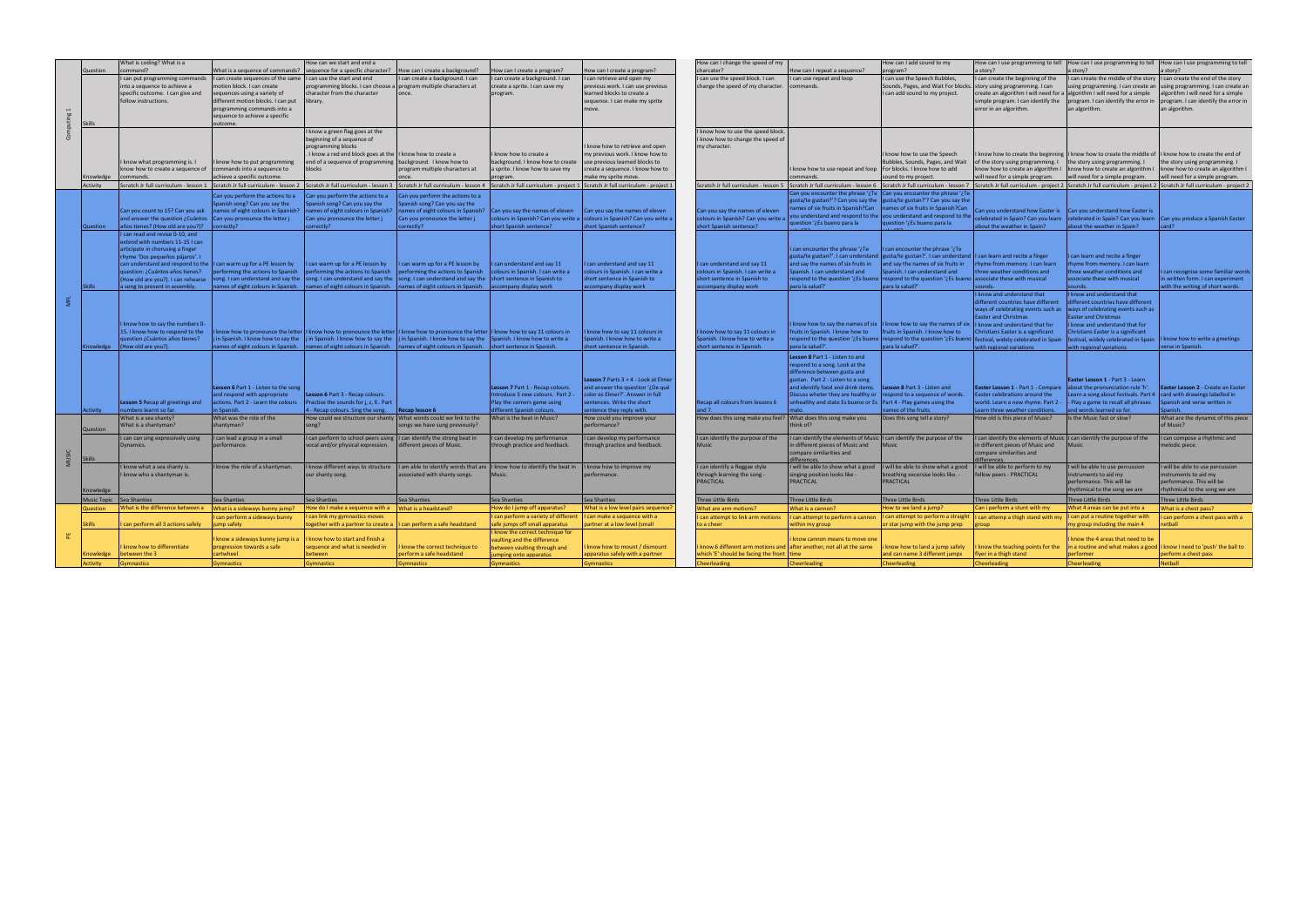|   |                     | What is coding? What is a                                              |                                                                    | How can we start and end a                                                                                                                                                                                                                                                        |                                                                    |                                                                                           |                                                                                                                                                                                                                                | How can I change the speed of my                                    |                                                                                                                                       | How can I add sound to my                                                                                 |                                                                          | How can I use programming to tell   How can I use programming to tell   How can I use programming to tell                                                                         |                                                                                                                                                                                                                                |
|---|---------------------|------------------------------------------------------------------------|--------------------------------------------------------------------|-----------------------------------------------------------------------------------------------------------------------------------------------------------------------------------------------------------------------------------------------------------------------------------|--------------------------------------------------------------------|-------------------------------------------------------------------------------------------|--------------------------------------------------------------------------------------------------------------------------------------------------------------------------------------------------------------------------------|---------------------------------------------------------------------|---------------------------------------------------------------------------------------------------------------------------------------|-----------------------------------------------------------------------------------------------------------|--------------------------------------------------------------------------|-----------------------------------------------------------------------------------------------------------------------------------------------------------------------------------|--------------------------------------------------------------------------------------------------------------------------------------------------------------------------------------------------------------------------------|
|   | Question            | command?                                                               |                                                                    | What is a sequence of commands?   sequence for a specific character?   How can I create a background?                                                                                                                                                                             |                                                                    | How can I create a program?                                                               | How can I create a program?                                                                                                                                                                                                    | charcater?                                                          | How can I repeat a sequence?                                                                                                          | program?                                                                                                  | a story?                                                                 | a story?                                                                                                                                                                          | a story?                                                                                                                                                                                                                       |
|   |                     | I can put programming commands                                         | I can create sequences of the same I can use the start and end     |                                                                                                                                                                                                                                                                                   | can create a background. I can                                     | I can create a background. I can                                                          | can retrieve and open my                                                                                                                                                                                                       | I can use the speed block. I can                                    | I can use repeat and loop                                                                                                             | I can use the Speech Bubbles,                                                                             | I can create the beginning of the                                        | I can create the middle of the story $ 1$ can create the end of the story                                                                                                         |                                                                                                                                                                                                                                |
|   |                     | into a sequence to achieve a                                           | motion block. I can create                                         | programming blocks. I can choose a program multiple characters at                                                                                                                                                                                                                 |                                                                    | create a sprite. I can save my                                                            | previous work. I can use previous                                                                                                                                                                                              | change the speed of my character. commands.                         |                                                                                                                                       | Sounds, Pages, and Wait For blocks. story using programming. I can                                        |                                                                          |                                                                                                                                                                                   | using programming. I can create an using programming. I can create an                                                                                                                                                          |
|   |                     | specific outcome. I can give and<br>follow instructions.               | sequences using a variety of<br>different motion blocks. I can put | character from the character<br>library.                                                                                                                                                                                                                                          | lonce.                                                             | program.                                                                                  | learned blocks to create a<br>sequence. I can make my sprite                                                                                                                                                                   |                                                                     |                                                                                                                                       | I can add sound to my project.                                                                            | simple program. I can identify the                                       | create an algorithm I will need for a algorithm I will need for a simple<br>$\vert$ program. I can identify the error in $\vert$ program. I can identify the error in             | algorithm I will need for a simple                                                                                                                                                                                             |
|   |                     |                                                                        | programming commands into a                                        |                                                                                                                                                                                                                                                                                   |                                                                    |                                                                                           | move                                                                                                                                                                                                                           |                                                                     |                                                                                                                                       |                                                                                                           | error in an algorithm.                                                   | an algorithm.                                                                                                                                                                     | an algorithm.                                                                                                                                                                                                                  |
|   |                     |                                                                        | sequence to achieve a specific                                     |                                                                                                                                                                                                                                                                                   |                                                                    |                                                                                           |                                                                                                                                                                                                                                |                                                                     |                                                                                                                                       |                                                                                                           |                                                                          |                                                                                                                                                                                   |                                                                                                                                                                                                                                |
|   | Skills              |                                                                        | outcome.                                                           |                                                                                                                                                                                                                                                                                   |                                                                    |                                                                                           |                                                                                                                                                                                                                                |                                                                     |                                                                                                                                       |                                                                                                           |                                                                          |                                                                                                                                                                                   |                                                                                                                                                                                                                                |
|   |                     |                                                                        |                                                                    | I know a green flag goes at the                                                                                                                                                                                                                                                   |                                                                    |                                                                                           |                                                                                                                                                                                                                                | I know how to use the speed block.                                  |                                                                                                                                       |                                                                                                           |                                                                          |                                                                                                                                                                                   |                                                                                                                                                                                                                                |
|   |                     |                                                                        |                                                                    | beginning of a sequence of                                                                                                                                                                                                                                                        |                                                                    |                                                                                           |                                                                                                                                                                                                                                | I know how to change the speed of                                   |                                                                                                                                       |                                                                                                           |                                                                          |                                                                                                                                                                                   |                                                                                                                                                                                                                                |
|   |                     |                                                                        |                                                                    | programming blocks                                                                                                                                                                                                                                                                |                                                                    |                                                                                           | know how to retrieve and open                                                                                                                                                                                                  | my character.                                                       |                                                                                                                                       |                                                                                                           |                                                                          |                                                                                                                                                                                   |                                                                                                                                                                                                                                |
|   |                     | know what programming is. I                                            | I know how to put programming                                      | I know a red end block goes at the  I know how to create a<br>end of a sequence of programming background. I know how to                                                                                                                                                          |                                                                    | know how to create a<br>background. I know how to create   use previous learned blocks to | my previous work. I know how to                                                                                                                                                                                                |                                                                     |                                                                                                                                       | I know how to use the Speech<br>Bubbles, Sounds, Pages, and Wait                                          | of the story using programming. $I$ the story using programming. $I$     | I know how to create the beginning I know how to create the middle of $\vert$ I know how to create the end of                                                                     | the story using programming. I                                                                                                                                                                                                 |
|   |                     | know how to create a sequence of commands into a sequence to           |                                                                    | blocks                                                                                                                                                                                                                                                                            | program multiple characters at                                     | a sprite. I know how to save my                                                           | create a sequence. I know how to                                                                                                                                                                                               |                                                                     | I know how to use repeat and loop   For blocks. I know how to add                                                                     |                                                                                                           |                                                                          | $\vert$ know how to create an algorithm $\vert \vert$ know how to create an algorithm $\vert \vert$ know how to create an algorithm i                                             |                                                                                                                                                                                                                                |
|   | Knowledge commands. |                                                                        | achieve a specific outcome.                                        |                                                                                                                                                                                                                                                                                   |                                                                    | program.                                                                                  | make my sprite move.                                                                                                                                                                                                           |                                                                     | commands.                                                                                                                             | sound to my project.                                                                                      | will need for a simple program.                                          | will need for a simple program.                                                                                                                                                   | will need for a simple program.                                                                                                                                                                                                |
|   | Activity            |                                                                        |                                                                    |                                                                                                                                                                                                                                                                                   |                                                                    |                                                                                           | Scratch Jr full curriculum - lesson 1 Scratch Jr full curriculum - lesson 2 Scratch Jr full curriculum - lesson 3 Scratch Jr full curriculum - lesson 3 Scratch Jr full curriculum - lesson 4 Scratch Jr full curriculum - pro |                                                                     |                                                                                                                                       |                                                                                                           |                                                                          |                                                                                                                                                                                   | Scratch Jr full curriculum - lesson 5  Scratch Jr full curriculum - lesson 6  Scratch Jr full curriculum - lesson 7  Scratch Jr full curriculum - project 2  Scratch Jr full curriculum - project 2  Scratch Jr full curriculu |
|   |                     |                                                                        | Can you perform the actions to a                                   | Can you perform the actions to a                                                                                                                                                                                                                                                  | Can you perform the actions to a                                   |                                                                                           |                                                                                                                                                                                                                                |                                                                     | Can you encounter the phrase '¿Te   Can you encounter the phrase '¿Te                                                                 |                                                                                                           |                                                                          |                                                                                                                                                                                   |                                                                                                                                                                                                                                |
|   |                     |                                                                        | Spanish song? Can you say the                                      | Spanish song? Can you say the                                                                                                                                                                                                                                                     | Spanish song? Can you say the                                      |                                                                                           |                                                                                                                                                                                                                                |                                                                     | gusta/te gustan?'? Can you say the   gusta/te gustan?'? Can you say the                                                               |                                                                                                           |                                                                          |                                                                                                                                                                                   |                                                                                                                                                                                                                                |
|   |                     |                                                                        |                                                                    | Can you count to 15? Can you ask   names of eight colours in Spanish?   names of eight colours in Spanish?                                                                                                                                                                        | names of eight colours in Spanish? Can you say the names of eleven |                                                                                           | Can you say the names of eleven                                                                                                                                                                                                | Can you say the names of eleven                                     |                                                                                                                                       | names of six fruits in Spanish?Can   names of six fruits in Spanish?Can                                   |                                                                          | Can you understand how Easter is   Can you understand how Easter is                                                                                                               |                                                                                                                                                                                                                                |
|   |                     | and answer the question ¿Cuántos $ $ Can you pronounce the letter j    |                                                                    | Can you pronounce the letter j                                                                                                                                                                                                                                                    | Can you pronounce the letter j                                     |                                                                                           | colours in Spanish? Can you write a colours in Spanish? Can you write a                                                                                                                                                        |                                                                     | olours in Spanish? Can you write a Vou understand and respond to the vou understand and respond to the<br>question '¿Es bueno para la | auestion '¿Es bueno para la                                                                               |                                                                          | celebrated in Spain? Can you learn   celebrated in Spain? Can you learn   Can you produce a Spanish Easter                                                                        |                                                                                                                                                                                                                                |
|   | Question            | $ a\tilde{a}$ años tienes? (How old are you?)? $ correct $             |                                                                    | orrectly?                                                                                                                                                                                                                                                                         | orrectly?                                                          | hort Spanish sentence?                                                                    | hort Spanish sentence?                                                                                                                                                                                                         | hort Spanish sentence?                                              |                                                                                                                                       |                                                                                                           | about the weather in Spain?                                              | about the weather in Spain?                                                                                                                                                       | lcard?                                                                                                                                                                                                                         |
|   |                     | I can read and revise 0-10, and<br>extend with numbers 11-15 I can     |                                                                    |                                                                                                                                                                                                                                                                                   |                                                                    |                                                                                           |                                                                                                                                                                                                                                |                                                                     |                                                                                                                                       |                                                                                                           |                                                                          |                                                                                                                                                                                   |                                                                                                                                                                                                                                |
|   |                     | articipate in chorusing a finger                                       |                                                                    |                                                                                                                                                                                                                                                                                   |                                                                    |                                                                                           |                                                                                                                                                                                                                                |                                                                     | I can encounter the phrase '¿Te                                                                                                       | I can encounter the phrase '¿Te                                                                           |                                                                          |                                                                                                                                                                                   |                                                                                                                                                                                                                                |
|   |                     | rhyme 'Dos pequeños pájaros'. I                                        |                                                                    |                                                                                                                                                                                                                                                                                   |                                                                    |                                                                                           |                                                                                                                                                                                                                                |                                                                     |                                                                                                                                       | gusta/te gustan?'. I can understand  gusta/te gustan?'. I can understand  I can learn and recite a finger |                                                                          | can learn and recite a finger                                                                                                                                                     |                                                                                                                                                                                                                                |
|   |                     | can understand and respond to the $ I $ can warm up for a PE lesson by |                                                                    | I can warm up for a PE lesson by                                                                                                                                                                                                                                                  | I can warm up for a PE lesson by                                   | I can understand and say 11                                                               | I can understand and say 11                                                                                                                                                                                                    | can understand and say 11                                           | and say the names of six fruits in                                                                                                    | and say the names of six fruits in                                                                        | rhyme from memory. I can learn                                           | rhyme from memory. I can learn                                                                                                                                                    |                                                                                                                                                                                                                                |
|   |                     | question: ¿Cuántos años tienes?                                        |                                                                    | performing the actions to Spanish performing the actions to Spanish performing the actions to Spanish colours in Spanish. I can write a                                                                                                                                           |                                                                    |                                                                                           | colours in Spanish. I can write a                                                                                                                                                                                              | olours in Spanish. I can write a                                    | Spanish. I can understand and                                                                                                         | Spanish. I can understand and                                                                             | three weather conditions and                                             | three weather conditions and                                                                                                                                                      | I can recognise some familiar words                                                                                                                                                                                            |
|   |                     | (How old are you?). I can rehearse                                     |                                                                    | song. I can understand and say the song. I can understand and say the song. I can understand and say the short sentence in Spanish to                                                                                                                                             |                                                                    |                                                                                           | short sentence in Spanish to                                                                                                                                                                                                   | hort sentence in Spanish to                                         |                                                                                                                                       | respond to the question '¿Es bueno respond to the question '¿Es bueno associate these with musical        |                                                                          | associate these with musical                                                                                                                                                      | in written form. I can experiment                                                                                                                                                                                              |
|   | <b>Skills</b>       | a song to present in assembly.                                         |                                                                    | names of eight colours in Spanish. names of eight colours in Spanish. names of eight colours in Spanish. accompany display work                                                                                                                                                   |                                                                    |                                                                                           | accompany display work                                                                                                                                                                                                         | ccompany display work                                               | para la salud?'                                                                                                                       | para la salud?'                                                                                           | sounds.                                                                  | ounds.                                                                                                                                                                            | with the writing of short words.                                                                                                                                                                                               |
|   |                     |                                                                        |                                                                    |                                                                                                                                                                                                                                                                                   |                                                                    |                                                                                           |                                                                                                                                                                                                                                |                                                                     |                                                                                                                                       |                                                                                                           | know and understand that<br>lifferent countries have different           | know and understand that<br>different countries have different                                                                                                                    |                                                                                                                                                                                                                                |
| 5 |                     |                                                                        |                                                                    |                                                                                                                                                                                                                                                                                   |                                                                    |                                                                                           |                                                                                                                                                                                                                                |                                                                     |                                                                                                                                       |                                                                                                           | ways of celebrating events such as                                       | ways of celebrating events such as                                                                                                                                                |                                                                                                                                                                                                                                |
|   |                     |                                                                        |                                                                    |                                                                                                                                                                                                                                                                                   |                                                                    |                                                                                           |                                                                                                                                                                                                                                |                                                                     |                                                                                                                                       |                                                                                                           | <b>Easter and Christmas</b>                                              | Easter and Christmas                                                                                                                                                              |                                                                                                                                                                                                                                |
|   |                     | know how to say the numbers 0                                          |                                                                    |                                                                                                                                                                                                                                                                                   |                                                                    |                                                                                           |                                                                                                                                                                                                                                |                                                                     |                                                                                                                                       | I know how to say the names of six II know how to say the names of six                                    | I know and understand that for                                           | know and understand that for                                                                                                                                                      |                                                                                                                                                                                                                                |
|   |                     | 15. I know how to respond to the                                       |                                                                    | I know how to pronounce the letter  I know how to pronounce the letter  I know how to pronounce the letter  I know how to say 11 colours in                                                                                                                                       |                                                                    |                                                                                           | I know how to say 11 colours in                                                                                                                                                                                                | know how to say 11 colours in                                       | fruits in Spanish. I know how to                                                                                                      | fruits in Spanish. I know how to                                                                          | Christians Easter is a significant                                       | Christians Easter is a significant                                                                                                                                                |                                                                                                                                                                                                                                |
|   |                     | (uestion ¿Cuántos años tienes<br>Knowledge (How old are you?).         |                                                                    | j in Spanish. I know how to say the iin Spanish. I know how to say the ij in Spanish. I know how to say the Spanish. I know how to write a<br>names of eight colours in Spanish. names of eight colours in Spanish. names of eight colours in Spanish. short sentence in Spanish. |                                                                    |                                                                                           | Spanish. I know how to write a<br>short sentence in Spanish.                                                                                                                                                                   | panish. I know how to write a<br>hort sentence in Spanish.          | para la salud?'.                                                                                                                      | vara la salud?'                                                                                           |                                                                          | respond to the question '¿Es bueno respond to the question '¿Es bueno festival, widely celebrated in Spain festival, widely celebrated in Spain   I know how to write a greetings | verse in Spanish.                                                                                                                                                                                                              |
|   |                     |                                                                        |                                                                    |                                                                                                                                                                                                                                                                                   |                                                                    |                                                                                           |                                                                                                                                                                                                                                |                                                                     |                                                                                                                                       |                                                                                                           | with regional variations                                                 | with regional variations                                                                                                                                                          |                                                                                                                                                                                                                                |
|   |                     |                                                                        |                                                                    |                                                                                                                                                                                                                                                                                   |                                                                    |                                                                                           |                                                                                                                                                                                                                                |                                                                     | Lesson 8 Part 1 - Listen to and                                                                                                       |                                                                                                           |                                                                          |                                                                                                                                                                                   |                                                                                                                                                                                                                                |
|   |                     |                                                                        |                                                                    |                                                                                                                                                                                                                                                                                   |                                                                    |                                                                                           |                                                                                                                                                                                                                                |                                                                     | respond to a song. Look at the<br>difference between gusta and                                                                        |                                                                                                           |                                                                          |                                                                                                                                                                                   |                                                                                                                                                                                                                                |
|   |                     |                                                                        |                                                                    |                                                                                                                                                                                                                                                                                   |                                                                    |                                                                                           | Lesson 7 Parts 3 + 4 - Look at Elme                                                                                                                                                                                            |                                                                     | gustan. Part 2 - Listen to a song                                                                                                     |                                                                                                           |                                                                          | Easter Lesson 1 - Part 3 - Learn                                                                                                                                                  |                                                                                                                                                                                                                                |
|   |                     |                                                                        | Lesson 6 Part 1 - Listen to the song                               |                                                                                                                                                                                                                                                                                   |                                                                    | Lesson 7 Part 1 - Recap colours.                                                          | and answer the question '¿De qué                                                                                                                                                                                               |                                                                     | and identify food and drink items.   Lesson 8 Part 3 - Listen and                                                                     |                                                                                                           |                                                                          | <b>Easter Lesson 1</b> - Part $1$ - Compare about the pronunciation rule 'h'.                                                                                                     | Easter Lesson 2 - Create an Easter                                                                                                                                                                                             |
|   |                     |                                                                        | and respond with appropriate                                       | Lesson 6 Part 3 - Recap colours.                                                                                                                                                                                                                                                  |                                                                    | ntroduce 3 new colours. Part 2 -                                                          | color es Elmer?'. Answer in full                                                                                                                                                                                               |                                                                     | Discuss wheter they are healthy or $ $ respond to a sequence of words.                                                                |                                                                                                           | Easter celebrations around the                                           | Learn a song about festivals. Part $4 \vert$ card with drawings labelled in                                                                                                       |                                                                                                                                                                                                                                |
|   |                     | Lesson 5 Recap all greetings and                                       | actions. Part 2 - Learn the colours                                | Practise the sounds for j, z, II Part                                                                                                                                                                                                                                             |                                                                    | Play the corners game using                                                               | sentences. Write the short                                                                                                                                                                                                     | ecap all colours from lessons 6                                     | unhealthy and state Es bueno or Es Part 4 - Play games using the                                                                      |                                                                                                           | world. Learn a new rhyme. Part 2 -                                       | Play a game to recall all phrases                                                                                                                                                 | Spanish and verse written in                                                                                                                                                                                                   |
|   | Activity            | numbers learnt so far.                                                 | in Spanish.                                                        | 4 - Recap colours. Sing the song.                                                                                                                                                                                                                                                 | Recap lesson 6                                                     | different Spanish colours.                                                                | sentence they reply with.                                                                                                                                                                                                      | nd7                                                                 | malo                                                                                                                                  | names of the fruits.                                                                                      | Learn three weather conditions.                                          | and words learned so far.                                                                                                                                                         | Snanich.                                                                                                                                                                                                                       |
|   |                     | What is a sea shanty?<br>What is a shantyman?                          | What was the role of the<br>shantyman?                             | How could we structure our shanty What words could we link to the<br>song?                                                                                                                                                                                                        | songs we have sung previously?                                     | What is the beat in Music?                                                                | How could you improve your<br>performance?                                                                                                                                                                                     | How does this song make you feel? What does this song make you      | think of?                                                                                                                             | Does this song tell a story?                                                                              | How old is this piece of Music?                                          | Is the Music fast or slow?                                                                                                                                                        | What are the dynamic of this piece<br>of Music?                                                                                                                                                                                |
|   | Question            |                                                                        |                                                                    |                                                                                                                                                                                                                                                                                   |                                                                    |                                                                                           |                                                                                                                                                                                                                                |                                                                     |                                                                                                                                       |                                                                                                           |                                                                          |                                                                                                                                                                                   |                                                                                                                                                                                                                                |
|   |                     | I can can sing expressively using                                      | I can lead a group in a small                                      | I can perform to school peers using  I can identify the strong beat in                                                                                                                                                                                                            |                                                                    | I can develop my performance                                                              | I can develop my performance                                                                                                                                                                                                   | I can identify the purpose of the                                   | I can identify the elements of Music I can identify the purpose of the                                                                |                                                                                                           | I can identify the elements of Music   I can identify the purpose of the |                                                                                                                                                                                   | I can compose a rhythmic and                                                                                                                                                                                                   |
|   |                     | Dynamics.                                                              | performance.                                                       | vocal and/or physical expression.                                                                                                                                                                                                                                                 | different pieces of Music.                                         | hrough practice and feedback.                                                             | hrough practice and feedback.                                                                                                                                                                                                  | Music                                                               | in different pieces of Music and<br>compare similarities and                                                                          | <b>Music</b>                                                                                              | in different pieces of Music and<br>compare similarities and             | <b>Music</b>                                                                                                                                                                      | melodic piece.                                                                                                                                                                                                                 |
|   | Skills              |                                                                        |                                                                    |                                                                                                                                                                                                                                                                                   |                                                                    |                                                                                           |                                                                                                                                                                                                                                |                                                                     | lifferences.                                                                                                                          |                                                                                                           | fferences                                                                |                                                                                                                                                                                   |                                                                                                                                                                                                                                |
|   |                     | I know what a sea shanty is.                                           | I know the role of a shantyman.                                    | I know different ways to structure                                                                                                                                                                                                                                                |                                                                    | I am able to identify words that are  I know how to identify the beat in                  | I know how to improve my                                                                                                                                                                                                       | I can identify a Reggae style                                       | I will be able to show what a good                                                                                                    | I will be able to show what a good                                                                        | I will be able to perform to my                                          | will be able to use percussion                                                                                                                                                    | I will be able to use percussion                                                                                                                                                                                               |
|   |                     | I know who a shantyman is.                                             |                                                                    | our shanty song.                                                                                                                                                                                                                                                                  | associated with shanty songs.                                      | Music.                                                                                    | performance.                                                                                                                                                                                                                   | through learning the song -                                         | singing position looks like -                                                                                                         | breathing excersise looks like. -                                                                         | fellow peers - PRACTICAL                                                 | instruments to aid my                                                                                                                                                             | instruments to aid my                                                                                                                                                                                                          |
|   |                     |                                                                        |                                                                    |                                                                                                                                                                                                                                                                                   |                                                                    |                                                                                           |                                                                                                                                                                                                                                | PRACTICAL                                                           | <b>PRACTICAL</b>                                                                                                                      | PRACTICAL                                                                                                 |                                                                          | erformance. This will be                                                                                                                                                          | performance. This will be                                                                                                                                                                                                      |
|   | Knowledge           |                                                                        |                                                                    |                                                                                                                                                                                                                                                                                   |                                                                    |                                                                                           |                                                                                                                                                                                                                                |                                                                     |                                                                                                                                       |                                                                                                           |                                                                          | rhythmical to the song we are                                                                                                                                                     | rhythmical to the song we are                                                                                                                                                                                                  |
|   |                     | Music Topic Sea Shanties                                               | Sea Shanties                                                       | Sea Shanties                                                                                                                                                                                                                                                                      | Sea Shanties                                                       | Sea Shanties                                                                              | Sea Shanties                                                                                                                                                                                                                   | Three Little Birds                                                  | Three Little Birds                                                                                                                    | Three Little Birds                                                                                        | Three Little Birds                                                       | <b>Three Little Birds</b>                                                                                                                                                         | Three Little Birds                                                                                                                                                                                                             |
|   | Question            | What is the difference between a What is a sideways bunny jump?        |                                                                    | How do I make a sequence with $a$ What is a headstand?                                                                                                                                                                                                                            |                                                                    | How do I jump off apparatus?                                                              | What is a low level pairs sequence?                                                                                                                                                                                            | What are arm motions?                                               | What is a cannon?                                                                                                                     | How to we land a jump?                                                                                    | Can i perform a stunt with my                                            | What 4 areas can be put into a                                                                                                                                                    | What is a chest pass?                                                                                                                                                                                                          |
|   |                     |                                                                        | can perform a sideways bunny                                       | I can link my gymnastics moves<br>cogether with a partner to create a $\vert$ I can perform a safe headstand                                                                                                                                                                      |                                                                    | I can perform a variety of differer                                                       | I can make a sequence with a<br>partner at a low level (small                                                                                                                                                                  | can attempt to link arm motions                                     | I can attempt to perform a cannon                                                                                                     | I can attempt to perform a straight                                                                       | I can attemp a thigh stand with my                                       | I can put a routine together with<br>my group including the main 4                                                                                                                | I can perform a chest pass with a<br>Inethall                                                                                                                                                                                  |
|   | <b>Skills</b>       | can perform all 3 actions safely                                       | jump safely                                                        |                                                                                                                                                                                                                                                                                   |                                                                    | safe jumps off small apparatus<br>know the correct technique for                          |                                                                                                                                                                                                                                | to a cheer                                                          | within my group                                                                                                                       | or star jump with the jump prep                                                                           | group                                                                    |                                                                                                                                                                                   |                                                                                                                                                                                                                                |
| 置 |                     |                                                                        | I know a sideways bunny jump is a                                  | I know how to start and finish a                                                                                                                                                                                                                                                  |                                                                    | vaulting and the difference                                                               |                                                                                                                                                                                                                                |                                                                     | i know cannon means to move one                                                                                                       |                                                                                                           |                                                                          | know the 4 areas that need to be                                                                                                                                                  |                                                                                                                                                                                                                                |
|   |                     | know how to differentiate                                              | progression towards a safe                                         | sequence and what is needed in                                                                                                                                                                                                                                                    | know the correct technique to                                      | between vaulting through and                                                              | know how to mount / dismount                                                                                                                                                                                                   | know 6 different arm motions and after another, not all at the same |                                                                                                                                       | know how to land a jump safely                                                                            | I know the teaching points for the                                       |                                                                                                                                                                                   | n a routine and what makes a good   I know I need to 'push' the ball to                                                                                                                                                        |
|   | Knowledge           | between the 3                                                          | cartwheel                                                          | hetween                                                                                                                                                                                                                                                                           | perform a safe headstand                                           | umping onto apparatus                                                                     | apparatus safely with a partner                                                                                                                                                                                                | which 'E' should be facing the front time                           |                                                                                                                                       | and can name 3 different jumps                                                                            | flyer in a thigh stand                                                   | erformer                                                                                                                                                                          | perform a chest pass                                                                                                                                                                                                           |
|   | Activity            | Gymnastics                                                             | Gymnastics                                                         | Gymnastics                                                                                                                                                                                                                                                                        | <b>Gymnastics</b>                                                  | Gymnastics                                                                                | Gymnastics                                                                                                                                                                                                                     | Cheerleading                                                        | Cheerleading                                                                                                                          | Cheerleading                                                                                              | Cheerleading                                                             | Cheerleading                                                                                                                                                                      | Netball                                                                                                                                                                                                                        |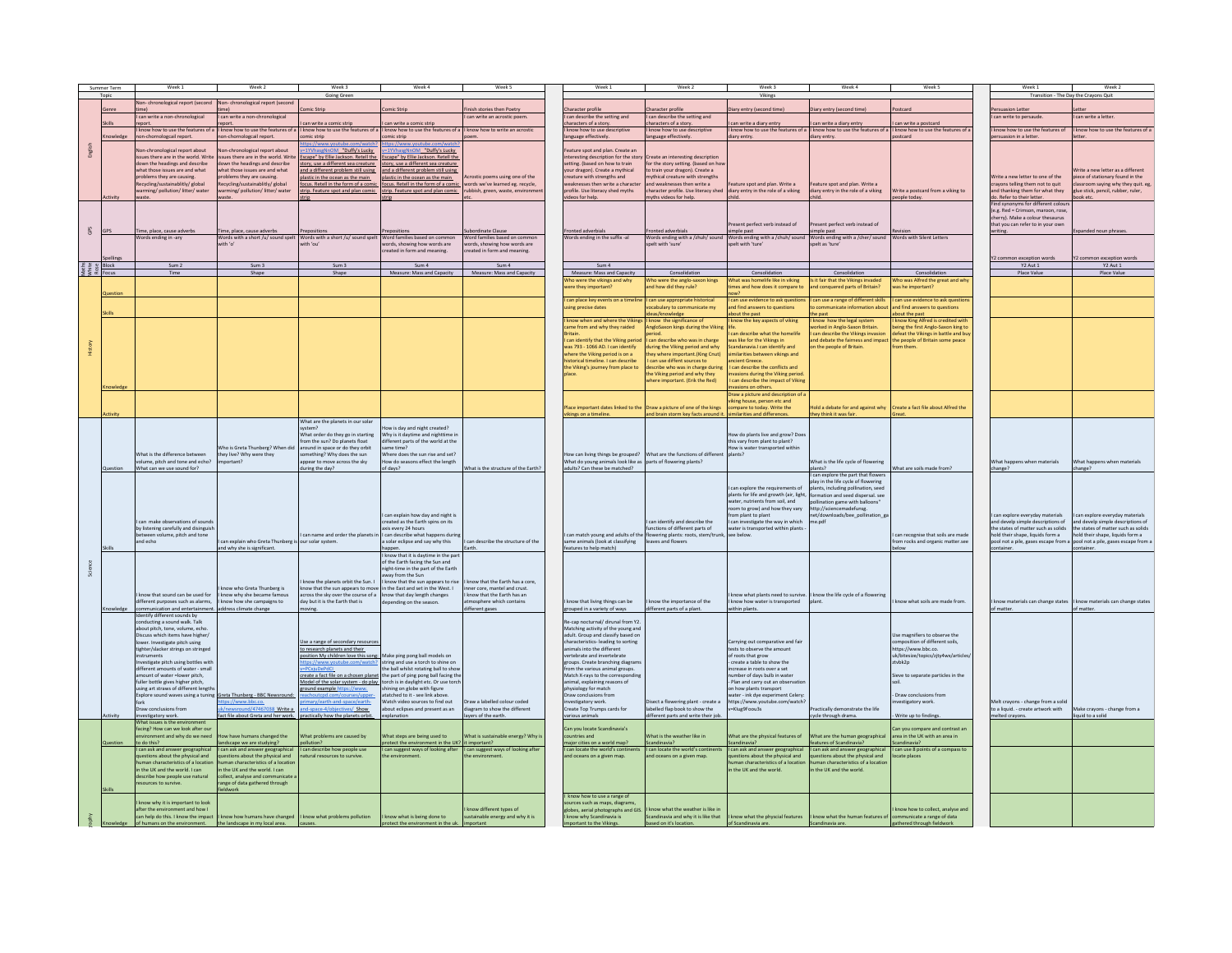| on-chronological report (second Non-chronological report (second<br>omic Stric<br>omic Strip<br>inish stories then Poetry<br>haracter profile<br>haracter profile<br>ary entry (second time)<br>liary entry (second time)<br>Persuasion Letter<br>etter<br>Genre<br><b>xtcard</b><br>can write an acrostic poem.<br>can describe the setting and<br>I can describe the setting and<br>can write a letter.<br>can write a non-chronological<br>I can write a non-chronological<br>I can write to persaude<br>an write a comic strip<br>can write a comic strip<br>aracters of a story.<br>aracters of a story.<br>an write a diary entry<br>can write a diary entry<br>can write a postcard<br>know how to use the features of a<br>I know how to use the features of a<br>I know how to use the features of a I know how to use the features of a I know how to write an acrostic<br>know how to use descriptive<br>know how to use descriptive<br>know how to use the features of a I know how to use the features of a<br>I know how to use the features of a<br>I know how to use the features of<br>know how to use the features of<br>non-chornologcail report.<br>on-chornologcail report.<br>omic strip<br>mic strip<br>language effectively.<br>inguage effectively.<br>iary entry.<br>diary entry.<br>ostcard<br>persuasion in a letter.<br>tter<br>tps://www.youtube.c<br>ttps://www.youtube.c<br>English<br>on-chronological report about<br>on-chronological report about<br>1YVhasgNnOM_"Duffy's Lucky<br>=1YVhasgNnOM Duffy's Lucky<br>eature soot and plan. Create an<br>Create an interesting description<br>issues there are in the world. Write<br>issues there are in the world. Write Escape" by Ellie Jackson. Retell the<br>Escape" by Ellie Jackson, Retell the<br>teresting description for the story<br>or the story setting. (based on how<br>down the headings and describe<br>down the headings and describe<br>story, use a different sea creature<br>story, use a different sea creature<br>setting. (based on how to train<br>what those issues are and what<br>what those issues are and what<br>and a different problem still using<br>and a different problem still using<br>your dragon). Create a mythical<br>to train your dragon). Create a<br>/rite a new letter as a different<br>roblems they are causing.<br>reature with strengths and<br>wthical creature with strengths<br>Write a new letter to one of the<br>problems they are causing.<br>plastic in the ocean as the main<br>plastic in the ocean as the main<br>Acrostic poems using one of the<br>iece of stationary found in the<br>words we've learned eg. recycle,<br>crayons telling them not to quit<br>Recycling/sustainablitly/ global<br>Recycling/sustainablitly/ global<br>focus. Retell in the form of a comic<br>focus. Retell in the form of a comic<br>eaknesses then write a characte<br>d weaknesses then write a<br>ature spot and plan. Write a<br>ature spot and plan. Write a<br>room saying why they quit. eg<br>warming/pollution/litter/water<br>warming/ pollution/ litter/ water<br>strip. Feature spot and plan comic<br>strip. Feature spot and plan comic<br>rubbish, green, waste, environn<br>profile. Use literacy shed myths<br>character profile. Use literacy shed<br>diary entry in the role of a viking<br>diary entry in the role of a viking<br>Write a postcard from a viking to<br>and thanking them for what they<br>lue stick, pencil, rubber, ruler,<br>videos for help.<br>wths videos for help.<br>do. Refer to their letter.<br>ctivity<br>eople today.<br>ook etc.<br>raste<br>nd synonyms for different colou<br>(e.g. Red = Crimson, maroon, rose<br>cherry). Make a colour thesaurus<br>ent perfect verb instead of<br>sent perfect verb instead of<br>that you can refer to in your owr<br>GPS<br>lime, place, cause adverbs<br>bordinate Clause<br>onted adverbials<br>onted adverbials<br>cpanded noun phrases<br>GPS<br>ime, place, cause adverbs<br>repositions<br>positions<br>imple past<br>simple past<br>writing.<br>Words ending in -arv<br>Words with a short /u/ sound spelt Words with a short /u/ sound spelt Word families based on common<br>Word families based on common<br>Words ending in the suffix -al<br>Words ending with a /zhuh/ sound<br>Words ending with a /chuh/ sound Words ending with a /cher/ sound Words with Silent Letters<br>with 'o'<br>rith 'ou'<br>words, showing how words are<br>words, showing how words are<br>elt with 'sure<br>pelt with 'ture'<br>spelt as 'ture<br>created in form and meaning.<br>created in form and meaning.<br>Y2 common exception words<br>Y2 common exception word:<br>$\frac{25}{36}$ $\frac{8}{36}$ $\frac{18 \text{lock}}{50 \text{crit}}$<br>Sum 2<br>Sum 3<br>Sum 3<br>Sum 4<br>Sum 4<br>Sum 4<br>Y2 Aut 1<br>Y2 Aut 1<br>Measure: Mass and Capacity<br>Consolidation<br>Time<br>Shape<br>Shape<br>Measure: Mass and Capacity<br>Measure: Mass and Capacity<br>Consolidation<br>Consolidation<br>Consolidation<br>Place Value<br>Place Value<br>Who was Alfred the great and why<br>ho were the anglo-saxon kings<br>hat was homelife like in viking<br>Is it fair that the Vikings invaded<br>ho were the vikings and why<br>nd how did they rule?<br>ere they important?<br>nes and how does it compare t<br>ind conquered parts of Britain?<br>ras he important?<br>can use a range of different skills<br>can place key events on a timeli<br>can use appropriate historical<br>can use evidence to ask questio<br>can use evidence to ask question<br>nd find answers to questions<br>nd find answers to questions<br>ing precise dates<br>cabulary to communicate my<br>communicate information abou<br>leas/knowledge<br>bout the past<br>the past<br>bout the past<br>know when and where the Viking<br>know the key aspects of viking<br>know how the legal system<br>know the significance of<br>know King Alfred is credited with<br>eing the first Anglo-Saxon king to<br>me from and why they raided<br>ngloSaxon kings during the Viking<br>orked in Anglo-Saxon Britain<br>can describe what the bomelife<br>can describe the Vikings invasion<br>defeat the Vikings in battle and but<br><b>Aritain</b><br>hoiv<br>can identify that the Viking period<br>and debate the fairness and impact<br>can describe who was in charge<br>vas like for the Vikings in<br>the people of Britain some peace<br>was 793 - 1066 AD. I can identify<br>luring the Viking period and why<br>andanavia. I can identify and<br>on the people of Britain.<br>where the Viking period is on a<br>ev where important. (King Cnut)<br>milarities between vikings and<br>torical timeline. I can describe<br>can use diffent sources to<br>cient Greece.<br>the Viking's journey from place to<br>escribe who was in charge during<br>can describe the conflicts and<br>he Viking period and why they<br>vasions during the Viking period<br>can describe the impact of Viking<br>here important. (Erik the Red)<br>ssions on others<br>Draw a nicture and description of<br>king house, person etc and<br>Place important dates linked to the Draw a picture of one of the kings<br>mpare to today. Write the<br>Hold a debate for and against why<br>Create a fact file about Alfred the<br>ctivity<br>vikings on a timeline.<br>and brain storm key facts around it<br>ilarities and differences.<br>they think it was fair.<br>What are the planets in our solar<br>ow is day and night created?<br>What order do they go in starting<br>Why is it daytime and nighttime is<br>How do plants live and grow? Doe<br>rom the sun? Do planets float<br>different parts of the world at the<br>this vary from plant to plant?<br>Who is Greta Thunberg? When did<br>around in space or do they orbit<br>me time?<br>low is water transported within<br>What is the difference between<br>they live? Why were they<br>omething? Why does the sun<br>Where does the sun rise and set?<br>How can living things be grouped? What are the functions of different<br>Sztnak<br>What do young animals look like as parts of flowering plants?<br>What is the life cycle of flowering<br>What happens when materials<br>volume, pitch and tone and echo?<br>low do seasons effect the length<br>What happens when materials<br>appear to move across the sky<br>important?<br>What can we use sound for?<br>during the day?<br>What is the structure of the Earth?<br>adults? Can these be matched?<br>What are soils made from?<br>Question<br>f days?<br>plants?<br>change?<br>change?<br>can explore the part that flowers<br>play in the life cycle of flowering<br>plants, including pollination, se<br>can explore the requirements of<br>plants for life and growth (air, light,<br>formation and seed dispersal see<br>water, nutrients from soil, and<br>pollination game with balloons'<br>oom to grow) and how they vary<br>http://sciencemadefunsg.<br>I can explain how day and night is<br>om plant to plant<br>net/downloads/bee pollination g<br>can explore everyday materials<br>can explore everyday materials.<br>I can make observations of sound<br>created as the Earth spins on its<br>can identify and describe the<br>can investigate the way in which<br>and develp simple descriptions of<br>and develp simple descriptions of<br>me.pdf<br>by listening carefully and disinguish<br>axis every 24 hours<br>unctions of different parts of<br>ater is transported within plants<br>the states of matter such as solids<br>the states of matter such as solids<br>I can match young and adults of the flowering plants: roots, stem/trun<br>between volume, pitch and tone<br>I can name and order the planets in<br>I can describe what happens during<br>ee below.<br>can recognise that soils are made<br>hold their shape. liquids form a<br>hold their shape, liquids form a<br>and echo<br>can explain who Greta Thunberg is our solar system.<br>same animals (look at classifying<br>a solar eclipse and say why this<br>can describe the structure of the<br>eaves and flowers<br>om rocks and organic matter.see<br>pool not a pile, gases escape from a pool not a pile, gases escape from<br>and why she is significant.<br>features to help match)<br>ontaine<br>appen<br>I know that it is daytime in the nart<br>of the Earth facing the Sun and<br>Science<br>night-time in the part of the Earth<br>way from the Sun<br>know that the sun appears to rise<br>I know that the Earth has a core.<br>know the planets orbit the Sun. I<br>know who Greta Thunberg is<br>mow that the sun appears to move<br>in the East and set in the West. I<br>inner core, mantel and crust.<br>I know that sound can be used for<br>know that the Earth has an<br>know what plants need to survive. I know the life cycle of a flowering<br>I know why she became famous<br>across the sky over the course of a<br>know that day length changes<br>different purposes such as alarms.<br>I know how she campaigns to<br>day but it is the Earth that is<br>depending on the season<br>atmosphere which contains<br>know that living things can be<br>know the importance of the<br>know how water is transported<br>mow what soils are made from.<br>know materials can change states    know materials can change states<br>communication and entertainme<br>address climate change<br>different gases<br>grouped in a variety of ways<br>different parts of a plant.<br>vithin plants.<br>of matter<br>of matter.<br>Identify different sounds by<br>conducting a sound walk. Talk<br>Re-cap nocturnal/ dirunal from Y2.<br>about pitch, tone, volume, echo.<br>Matching activity of the young and<br>adult. Group and classify based on<br>Use magnifiers to observe the<br>Discuss which items have higher/<br>lower. Investigate pitch using<br>Use a range of secondary resource<br>characteristics-leading to sorting<br>Carrying out comparative and fair<br>composition of different soils,<br>tighter/slacker strings on stringed<br>to research planets and their<br>animals into the different<br>tests to observe the amount<br>httns://www.bhc.co.<br>Make ping pong ball models on<br>of roots that grow<br>instruments<br>position My children love this song<br>vertebrate and invertebrate<br>uk/bitesize/topics/zitv4wx/articles<br>string and use a torch to shine on<br>create a table to show the<br>nvestigate pitch using bottles wit<br>groups. Create branching diagram<br>tvbk2p<br>is://www.youtube.c<br>different amounts of water - small<br><b>PCxiuDePdCI</b><br>the ball whilst rotating ball to show<br>from the various animal groups.<br>ncrease in roots over a set<br>umber of days bulb in water<br>the part of ping pong ball facing the<br>Match X-rays to the correspondir<br>create a fact file on a chosen planet<br>Sieve to separate particles in the<br>amount of water =lower pitch,<br>fuller bottle gives higher pitch,<br>orch is in daylight etc. Or use torch<br>Plan and carry out an observa<br>Model of the solar system - do play<br>animal, explaining reasons of<br>using art straws of different length<br>round example https://www.<br>shining on globe with figure<br>physiology for match<br>on how plants transport<br>Explore sound waves using a tuning Greta Thunberg - BBC Newsround:<br>atatched to it - see link above.<br>ater - ink dye experiment Celery<br>Draw conclusions from<br>Draw conclusions from<br>ttps://www.youtube.com/watch<br>ps://www.bbc.co.<br>/earth-and-space/ea<br>Watch video sources to find out<br>Draw a labelled colour coded<br>vestigatory work.<br>sect a flowering plant - create a<br>vestigatory work.<br>Melt crayons - change from a solic<br>Create Top Trumps cards for<br>Draw conclusions from<br>k/newsround/47467038 Write a<br>nd-space-4/objectives/ Show<br>about eclipses and present as an<br>diagram to show the different<br>labelled flap book to show the<br>=Klug9Foou3s<br>Practically demonstrate the life<br>to a liquid. - create artwork with<br>Make crayons - change from a<br>ifferent parts and write their job<br>Write up to findings.<br>act file about Greta and her work.<br>practically how the planets orbi<br>avers of the earth.<br>cycle through drama.<br>liquid to a solid<br>ctivity<br>various animals<br>melted crayons.<br>nvestigatory work.<br>planation<br>What issues is the environ<br>facing? How can we look after ou<br>Can you locate Scandinavia's<br>an you compare and contrast an<br>What steps are being used to<br>Mat is the weather like in<br>What are the physical features of<br>What are the human geographical<br>How have humans changed the<br>What problems are caused by<br>What is sustainable energy? Why i<br>area in the UK with an area in<br>nent and why do we need<br>untries and<br>to do this?<br>landscape we are studying?<br>pollution?<br>rotect the environment in the UK? it important?<br>major cities on a world map?<br>Scandinavia?<br>Scandinavia?<br>features of Scandinavia?<br>Scandinavia?<br>I can ask and answer geographical<br>I can ask and answer geographical   I can describe how people use<br>I can suggest ways of looking after   I can suggest ways of looking after<br>I can locate the world's continents<br>I can ask and answer geographical<br>I can ask and answer geographical<br>I can use 8 points of a compass to<br>can locate the world's contine<br>questions about the physical and<br>questions about the physical and<br>uestions about the physical and<br>natural resources to survive.<br>and oceans on a given map.<br>nd oceans on a given map.<br>estions about the physical and<br>ocate places<br>man characteristics of a location<br>nan characteristics of a location<br>nan characteristics of a location<br>man characteristics of a locatio<br>in the UK and the world. Lcan<br>in the UK and the world Lcan<br>in the LIK and the world<br>in the LIK and the world<br>describe how people use natural<br>collect, analyse and communicate<br>sources to survive.<br>range of data gathered through<br>fieldwork<br>know how to use a range of<br>know why it is important to look<br>jources such as maps, diagrams<br>after the environment and how I<br>know different types of<br>globes, aerial photographs and GIS.<br>I know what the weather is like in<br>know how to collect, analyse and<br>can help do this. I know the impact<br>know what is being done to<br>know what the physcial features<br>know what the human features of<br>know how humans have changed<br>I know what problems pollution<br>candinavia and why it is like that<br>sustainable energy and why it is<br>mmunicate a range of data<br>know why Scandinavia is<br>of humans on the environ<br>the landscape in my local area.<br>protect the environment in the uk. important<br>important to the Vikings.<br>ased on it's location.<br>of Scandinavia are.<br>Scandinavia are.<br>gathered through fieldworl<br>causes. | Summer Term<br>Topic | Week 1 | Week 7 | Week 3<br>Going Green | Week 4 | Week 5 | Week 1 | Week 2 | Week 3<br>Vikings | Week 4 | Week 5 | Week 1 | Week 2<br>Transition - The Day the Crayons Quit |
|---------------------------------------------------------------------------------------------------------------------------------------------------------------------------------------------------------------------------------------------------------------------------------------------------------------------------------------------------------------------------------------------------------------------------------------------------------------------------------------------------------------------------------------------------------------------------------------------------------------------------------------------------------------------------------------------------------------------------------------------------------------------------------------------------------------------------------------------------------------------------------------------------------------------------------------------------------------------------------------------------------------------------------------------------------------------------------------------------------------------------------------------------------------------------------------------------------------------------------------------------------------------------------------------------------------------------------------------------------------------------------------------------------------------------------------------------------------------------------------------------------------------------------------------------------------------------------------------------------------------------------------------------------------------------------------------------------------------------------------------------------------------------------------------------------------------------------------------------------------------------------------------------------------------------------------------------------------------------------------------------------------------------------------------------------------------------------------------------------------------------------------------------------------------------------------------------------------------------------------------------------------------------------------------------------------------------------------------------------------------------------------------------------------------------------------------------------------------------------------------------------------------------------------------------------------------------------------------------------------------------------------------------------------------------------------------------------------------------------------------------------------------------------------------------------------------------------------------------------------------------------------------------------------------------------------------------------------------------------------------------------------------------------------------------------------------------------------------------------------------------------------------------------------------------------------------------------------------------------------------------------------------------------------------------------------------------------------------------------------------------------------------------------------------------------------------------------------------------------------------------------------------------------------------------------------------------------------------------------------------------------------------------------------------------------------------------------------------------------------------------------------------------------------------------------------------------------------------------------------------------------------------------------------------------------------------------------------------------------------------------------------------------------------------------------------------------------------------------------------------------------------------------------------------------------------------------------------------------------------------------------------------------------------------------------------------------------------------------------------------------------------------------------------------------------------------------------------------------------------------------------------------------------------------------------------------------------------------------------------------------------------------------------------------------------------------------------------------------------------------------------------------------------------------------------------------------------------------------------------------------------------------------------------------------------------------------------------------------------------------------------------------------------------------------------------------------------------------------------------------------------------------------------------------------------------------------------------------------------------------------------------------------------------------------------------------------------------------------------------------------------------------------------------------------------------------------------------------------------------------------------------------------------------------------------------------------------------------------------------------------------------------------------------------------------------------------------------------------------------------------------------------------------------------------------------------------------------------------------------------------------------------------------------------------------------------------------------------------------------------------------------------------------------------------------------------------------------------------------------------------------------------------------------------------------------------------------------------------------------------------------------------------------------------------------------------------------------------------------------------------------------------------------------------------------------------------------------------------------------------------------------------------------------------------------------------------------------------------------------------------------------------------------------------------------------------------------------------------------------------------------------------------------------------------------------------------------------------------------------------------------------------------------------------------------------------------------------------------------------------------------------------------------------------------------------------------------------------------------------------------------------------------------------------------------------------------------------------------------------------------------------------------------------------------------------------------------------------------------------------------------------------------------------------------------------------------------------------------------------------------------------------------------------------------------------------------------------------------------------------------------------------------------------------------------------------------------------------------------------------------------------------------------------------------------------------------------------------------------------------------------------------------------------------------------------------------------------------------------------------------------------------------------------------------------------------------------------------------------------------------------------------------------------------------------------------------------------------------------------------------------------------------------------------------------------------------------------------------------------------------------------------------------------------------------------------------------------------------------------------------------------------------------------------------------------------------------------------------------------------------------------------------------------------------------------------------------------------------------------------------------------------------------------------------------------------------------------------------------------------------------------------------------------------------------------------------------------------------------------------------------------------------------------------------------------------------------------------------------------------------------------------------------------------------------------------------------------------------------------------------------------------------------------------------------------------------------------------------------------------------------------------------------------------------------------------------------------------------------------------------------------------------------------------------------------------------------------------------------------------------------------------------------------------------------------------------------------------------------------------------------------------------------------------------------------------------------------------------------------------------------------------------------------------------------------------------------------------------------------------------------------------------------------------------------------------------------------------------------------------------------------------------------------------------------------------------------------------------------------------------------------------------------------------------------------------------------------------------------------------------------------------------------------------------------------------------------------------------------------------------------------------------------------------------------------------------------------------------------------------------------------------------------------------------------------------------------------------------------------------------------------------------------------------------------------------------------------------------------------------------------------------------------------------------------------------------------------------------------------------------------------------------------------------------------------------------------------------------------------------------------------------------------------------------------------------------------------------------------------------------------------------------------------------------------------------------------------------------------------------------------------------------------------------------------------------------------------------------------------------------------------------------------------------------------------------------------------------------------------------------------------------------------------------------------------------------------------------------------------------------------------------------------------------------------------------------------------------------------------------------------------------------------------------------------------------------------------------------------------------------------------------------------------------------------------------------------------------------------------------------------------------------------------------------------------------------------------------------------------------------------------------------------------------------------------------------------------------------------------------------------------------------------------------------------------------------------------------------------------------------------------------------------------------------------------------------------------------------------------------------------------------------------------------------------------------------------------------------------------------------------------------------------------------------------------------------------------------------------------------------------------------------------------------------------------------------------------------------------------------------------------------------------------------------------------------------------------------------------------------------------------------------------------------------------------------------------------------------------------------------------------------------------------------------------------------------------------------------------------------------------------------------------------------------------------------------------------------------------------------------------------------------------------------------------------------------------------------------------------------------------------------------------------------------------------------------------------------------------------------------------------------------------------------------------------------------------------------------------------------------------------------------------------------------------------------------------------------------------------------------------------------------------------------------------------------------------------------------------------------------------------------------------------------------------------------------------------------------------------------------------------------------------------------------------------------------------------------------------------------------------------------------------------------------------------------------------------------------------------------------------------------------------------------------------------------------------------------------------------------------------------------------------------------------------------------------------------------------------------------------------------------------------------------------------------------------------------------------------------------------------------------------------------------------------------------------------------------------------------------------------------------------------------------------------------------------------------------------------------------------------------------------------------------------------------------------------------------------------------------------------------------------------------------------------------------------------------------------------------------------------------------------------------------------------------------------------------------------------------------------------------------------------------------------------------------------------------------------------------------------------------------------------------------------------------------------------------------------------------------------------------------------------------------------------------------------------------------------------------------------------------------------------------------------------------------------------------------------------------------------------------------------------------------------------------------------------------------------------------------------------------------------------------------------------------------------------------------------------------------------------------------------------------------------------------------------------------------------------------------------------------------------------------------------------------------------------------------------------------------------------------------------------------------------------------------------------------------------------------------------------------------------------------------------------------------------------------------------------------------------------------------------------------------------------------------------------------------------------------------------------------------------------------------------------------------------------------------------------------------------------------------------------------------------------------------------------------------------------------------|----------------------|--------|--------|-----------------------|--------|--------|--------|--------|-------------------|--------|--------|--------|-------------------------------------------------|
|                                                                                                                                                                                                                                                                                                                                                                                                                                                                                                                                                                                                                                                                                                                                                                                                                                                                                                                                                                                                                                                                                                                                                                                                                                                                                                                                                                                                                                                                                                                                                                                                                                                                                                                                                                                                                                                                                                                                                                                                                                                                                                                                                                                                                                                                                                                                                                                                                                                                                                                                                                                                                                                                                                                                                                                                                                                                                                                                                                                                                                                                                                                                                                                                                                                                                                                                                                                                                                                                                                                                                                                                                                                                                                                                                                                                                                                                                                                                                                                                                                                                                                                                                                                                                                                                                                                                                                                                                                                                                                                                                                                                                                                                                                                                                                                                                                                                                                                                                                                                                                                                                                                                                                                                                                                                                                                                                                                                                                                                                                                                                                                                                                                                                                                                                                                                                                                                                                                                                                                                                                                                                                                                                                                                                                                                                                                                                                                                                                                                                                                                                                                                                                                                                                                                                                                                                                                                                                                                                                                                                                                                                                                                                                                                                                                                                                                                                                                                                                                                                                                                                                                                                                                                                                                                                                                                                                                                                                                                                                                                                                                                                                                                                                                                                                                                                                                                                                                                                                                                                                                                                                                                                                                                                                                                                                                                                                                                                                                                                                                                                                                                                                                                                                                                                                                                                                                                                                                                                                                                                                                                                                                                                                                                                                                                                                                                                                                                                                                                                                                                                                                                                                                                                                                                                                                                                                                                                                                                                                                                                                                                                                                                                                                                                                                                                                                                                                                                                                                                                                                                                                                                                                                                                                                                                                                                                                                                                                                                                                                                                                                                                                                                                                                                                                                                                                                                                                                                                                                                                                                                                                                                                                                                                                                                                                                                                                                                                                                                                                                                                                                                                                                                                                                                                                                                                                                                                                                                                                                                                                                                                                                                                                                                                                                                                                                                                                                                                                                                                                                                                                                                                                                                                                                                                                                                                                                                                                                                                                                                                                                                                                                                                                                                                                                                                                                                                                                                                                                                                                                                                                                                                                                                                                                                                                                                                                                                                                                                                                                                                                                                                                                                                                                                                                                                                                                                                                                                                                                                                                                                                                                                                                                                                                                                                                                                                                                                                                                                                                                                                                                                                                                                                                                                                                                                                                                                                                                                                                                                                                                                                                                                                                                                                                                                                                                                                                                                                                                                                                                                                                                                                                                                                                                     |                      |        |        |                       |        |        |        |        |                   |        |        |        |                                                 |
|                                                                                                                                                                                                                                                                                                                                                                                                                                                                                                                                                                                                                                                                                                                                                                                                                                                                                                                                                                                                                                                                                                                                                                                                                                                                                                                                                                                                                                                                                                                                                                                                                                                                                                                                                                                                                                                                                                                                                                                                                                                                                                                                                                                                                                                                                                                                                                                                                                                                                                                                                                                                                                                                                                                                                                                                                                                                                                                                                                                                                                                                                                                                                                                                                                                                                                                                                                                                                                                                                                                                                                                                                                                                                                                                                                                                                                                                                                                                                                                                                                                                                                                                                                                                                                                                                                                                                                                                                                                                                                                                                                                                                                                                                                                                                                                                                                                                                                                                                                                                                                                                                                                                                                                                                                                                                                                                                                                                                                                                                                                                                                                                                                                                                                                                                                                                                                                                                                                                                                                                                                                                                                                                                                                                                                                                                                                                                                                                                                                                                                                                                                                                                                                                                                                                                                                                                                                                                                                                                                                                                                                                                                                                                                                                                                                                                                                                                                                                                                                                                                                                                                                                                                                                                                                                                                                                                                                                                                                                                                                                                                                                                                                                                                                                                                                                                                                                                                                                                                                                                                                                                                                                                                                                                                                                                                                                                                                                                                                                                                                                                                                                                                                                                                                                                                                                                                                                                                                                                                                                                                                                                                                                                                                                                                                                                                                                                                                                                                                                                                                                                                                                                                                                                                                                                                                                                                                                                                                                                                                                                                                                                                                                                                                                                                                                                                                                                                                                                                                                                                                                                                                                                                                                                                                                                                                                                                                                                                                                                                                                                                                                                                                                                                                                                                                                                                                                                                                                                                                                                                                                                                                                                                                                                                                                                                                                                                                                                                                                                                                                                                                                                                                                                                                                                                                                                                                                                                                                                                                                                                                                                                                                                                                                                                                                                                                                                                                                                                                                                                                                                                                                                                                                                                                                                                                                                                                                                                                                                                                                                                                                                                                                                                                                                                                                                                                                                                                                                                                                                                                                                                                                                                                                                                                                                                                                                                                                                                                                                                                                                                                                                                                                                                                                                                                                                                                                                                                                                                                                                                                                                                                                                                                                                                                                                                                                                                                                                                                                                                                                                                                                                                                                                                                                                                                                                                                                                                                                                                                                                                                                                                                                                                                                                                                                                                                                                                                                                                                                                                                                                                                                                                                                                                                     |                      |        |        |                       |        |        |        |        |                   |        |        |        |                                                 |
|                                                                                                                                                                                                                                                                                                                                                                                                                                                                                                                                                                                                                                                                                                                                                                                                                                                                                                                                                                                                                                                                                                                                                                                                                                                                                                                                                                                                                                                                                                                                                                                                                                                                                                                                                                                                                                                                                                                                                                                                                                                                                                                                                                                                                                                                                                                                                                                                                                                                                                                                                                                                                                                                                                                                                                                                                                                                                                                                                                                                                                                                                                                                                                                                                                                                                                                                                                                                                                                                                                                                                                                                                                                                                                                                                                                                                                                                                                                                                                                                                                                                                                                                                                                                                                                                                                                                                                                                                                                                                                                                                                                                                                                                                                                                                                                                                                                                                                                                                                                                                                                                                                                                                                                                                                                                                                                                                                                                                                                                                                                                                                                                                                                                                                                                                                                                                                                                                                                                                                                                                                                                                                                                                                                                                                                                                                                                                                                                                                                                                                                                                                                                                                                                                                                                                                                                                                                                                                                                                                                                                                                                                                                                                                                                                                                                                                                                                                                                                                                                                                                                                                                                                                                                                                                                                                                                                                                                                                                                                                                                                                                                                                                                                                                                                                                                                                                                                                                                                                                                                                                                                                                                                                                                                                                                                                                                                                                                                                                                                                                                                                                                                                                                                                                                                                                                                                                                                                                                                                                                                                                                                                                                                                                                                                                                                                                                                                                                                                                                                                                                                                                                                                                                                                                                                                                                                                                                                                                                                                                                                                                                                                                                                                                                                                                                                                                                                                                                                                                                                                                                                                                                                                                                                                                                                                                                                                                                                                                                                                                                                                                                                                                                                                                                                                                                                                                                                                                                                                                                                                                                                                                                                                                                                                                                                                                                                                                                                                                                                                                                                                                                                                                                                                                                                                                                                                                                                                                                                                                                                                                                                                                                                                                                                                                                                                                                                                                                                                                                                                                                                                                                                                                                                                                                                                                                                                                                                                                                                                                                                                                                                                                                                                                                                                                                                                                                                                                                                                                                                                                                                                                                                                                                                                                                                                                                                                                                                                                                                                                                                                                                                                                                                                                                                                                                                                                                                                                                                                                                                                                                                                                                                                                                                                                                                                                                                                                                                                                                                                                                                                                                                                                                                                                                                                                                                                                                                                                                                                                                                                                                                                                                                                                                                                                                                                                                                                                                                                                                                                                                                                                                                                                                                                                     |                      |        |        |                       |        |        |        |        |                   |        |        |        |                                                 |
|                                                                                                                                                                                                                                                                                                                                                                                                                                                                                                                                                                                                                                                                                                                                                                                                                                                                                                                                                                                                                                                                                                                                                                                                                                                                                                                                                                                                                                                                                                                                                                                                                                                                                                                                                                                                                                                                                                                                                                                                                                                                                                                                                                                                                                                                                                                                                                                                                                                                                                                                                                                                                                                                                                                                                                                                                                                                                                                                                                                                                                                                                                                                                                                                                                                                                                                                                                                                                                                                                                                                                                                                                                                                                                                                                                                                                                                                                                                                                                                                                                                                                                                                                                                                                                                                                                                                                                                                                                                                                                                                                                                                                                                                                                                                                                                                                                                                                                                                                                                                                                                                                                                                                                                                                                                                                                                                                                                                                                                                                                                                                                                                                                                                                                                                                                                                                                                                                                                                                                                                                                                                                                                                                                                                                                                                                                                                                                                                                                                                                                                                                                                                                                                                                                                                                                                                                                                                                                                                                                                                                                                                                                                                                                                                                                                                                                                                                                                                                                                                                                                                                                                                                                                                                                                                                                                                                                                                                                                                                                                                                                                                                                                                                                                                                                                                                                                                                                                                                                                                                                                                                                                                                                                                                                                                                                                                                                                                                                                                                                                                                                                                                                                                                                                                                                                                                                                                                                                                                                                                                                                                                                                                                                                                                                                                                                                                                                                                                                                                                                                                                                                                                                                                                                                                                                                                                                                                                                                                                                                                                                                                                                                                                                                                                                                                                                                                                                                                                                                                                                                                                                                                                                                                                                                                                                                                                                                                                                                                                                                                                                                                                                                                                                                                                                                                                                                                                                                                                                                                                                                                                                                                                                                                                                                                                                                                                                                                                                                                                                                                                                                                                                                                                                                                                                                                                                                                                                                                                                                                                                                                                                                                                                                                                                                                                                                                                                                                                                                                                                                                                                                                                                                                                                                                                                                                                                                                                                                                                                                                                                                                                                                                                                                                                                                                                                                                                                                                                                                                                                                                                                                                                                                                                                                                                                                                                                                                                                                                                                                                                                                                                                                                                                                                                                                                                                                                                                                                                                                                                                                                                                                                                                                                                                                                                                                                                                                                                                                                                                                                                                                                                                                                                                                                                                                                                                                                                                                                                                                                                                                                                                                                                                                                                                                                                                                                                                                                                                                                                                                                                                                                                                                                                                                     |                      |        |        |                       |        |        |        |        |                   |        |        |        |                                                 |
|                                                                                                                                                                                                                                                                                                                                                                                                                                                                                                                                                                                                                                                                                                                                                                                                                                                                                                                                                                                                                                                                                                                                                                                                                                                                                                                                                                                                                                                                                                                                                                                                                                                                                                                                                                                                                                                                                                                                                                                                                                                                                                                                                                                                                                                                                                                                                                                                                                                                                                                                                                                                                                                                                                                                                                                                                                                                                                                                                                                                                                                                                                                                                                                                                                                                                                                                                                                                                                                                                                                                                                                                                                                                                                                                                                                                                                                                                                                                                                                                                                                                                                                                                                                                                                                                                                                                                                                                                                                                                                                                                                                                                                                                                                                                                                                                                                                                                                                                                                                                                                                                                                                                                                                                                                                                                                                                                                                                                                                                                                                                                                                                                                                                                                                                                                                                                                                                                                                                                                                                                                                                                                                                                                                                                                                                                                                                                                                                                                                                                                                                                                                                                                                                                                                                                                                                                                                                                                                                                                                                                                                                                                                                                                                                                                                                                                                                                                                                                                                                                                                                                                                                                                                                                                                                                                                                                                                                                                                                                                                                                                                                                                                                                                                                                                                                                                                                                                                                                                                                                                                                                                                                                                                                                                                                                                                                                                                                                                                                                                                                                                                                                                                                                                                                                                                                                                                                                                                                                                                                                                                                                                                                                                                                                                                                                                                                                                                                                                                                                                                                                                                                                                                                                                                                                                                                                                                                                                                                                                                                                                                                                                                                                                                                                                                                                                                                                                                                                                                                                                                                                                                                                                                                                                                                                                                                                                                                                                                                                                                                                                                                                                                                                                                                                                                                                                                                                                                                                                                                                                                                                                                                                                                                                                                                                                                                                                                                                                                                                                                                                                                                                                                                                                                                                                                                                                                                                                                                                                                                                                                                                                                                                                                                                                                                                                                                                                                                                                                                                                                                                                                                                                                                                                                                                                                                                                                                                                                                                                                                                                                                                                                                                                                                                                                                                                                                                                                                                                                                                                                                                                                                                                                                                                                                                                                                                                                                                                                                                                                                                                                                                                                                                                                                                                                                                                                                                                                                                                                                                                                                                                                                                                                                                                                                                                                                                                                                                                                                                                                                                                                                                                                                                                                                                                                                                                                                                                                                                                                                                                                                                                                                                                                                                                                                                                                                                                                                                                                                                                                                                                                                                                                                                                                     |                      |        |        |                       |        |        |        |        |                   |        |        |        |                                                 |
|                                                                                                                                                                                                                                                                                                                                                                                                                                                                                                                                                                                                                                                                                                                                                                                                                                                                                                                                                                                                                                                                                                                                                                                                                                                                                                                                                                                                                                                                                                                                                                                                                                                                                                                                                                                                                                                                                                                                                                                                                                                                                                                                                                                                                                                                                                                                                                                                                                                                                                                                                                                                                                                                                                                                                                                                                                                                                                                                                                                                                                                                                                                                                                                                                                                                                                                                                                                                                                                                                                                                                                                                                                                                                                                                                                                                                                                                                                                                                                                                                                                                                                                                                                                                                                                                                                                                                                                                                                                                                                                                                                                                                                                                                                                                                                                                                                                                                                                                                                                                                                                                                                                                                                                                                                                                                                                                                                                                                                                                                                                                                                                                                                                                                                                                                                                                                                                                                                                                                                                                                                                                                                                                                                                                                                                                                                                                                                                                                                                                                                                                                                                                                                                                                                                                                                                                                                                                                                                                                                                                                                                                                                                                                                                                                                                                                                                                                                                                                                                                                                                                                                                                                                                                                                                                                                                                                                                                                                                                                                                                                                                                                                                                                                                                                                                                                                                                                                                                                                                                                                                                                                                                                                                                                                                                                                                                                                                                                                                                                                                                                                                                                                                                                                                                                                                                                                                                                                                                                                                                                                                                                                                                                                                                                                                                                                                                                                                                                                                                                                                                                                                                                                                                                                                                                                                                                                                                                                                                                                                                                                                                                                                                                                                                                                                                                                                                                                                                                                                                                                                                                                                                                                                                                                                                                                                                                                                                                                                                                                                                                                                                                                                                                                                                                                                                                                                                                                                                                                                                                                                                                                                                                                                                                                                                                                                                                                                                                                                                                                                                                                                                                                                                                                                                                                                                                                                                                                                                                                                                                                                                                                                                                                                                                                                                                                                                                                                                                                                                                                                                                                                                                                                                                                                                                                                                                                                                                                                                                                                                                                                                                                                                                                                                                                                                                                                                                                                                                                                                                                                                                                                                                                                                                                                                                                                                                                                                                                                                                                                                                                                                                                                                                                                                                                                                                                                                                                                                                                                                                                                                                                                                                                                                                                                                                                                                                                                                                                                                                                                                                                                                                                                                                                                                                                                                                                                                                                                                                                                                                                                                                                                                                                                                                                                                                                                                                                                                                                                                                                                                                                                                                                                                                                                     |                      |        |        |                       |        |        |        |        |                   |        |        |        |                                                 |
|                                                                                                                                                                                                                                                                                                                                                                                                                                                                                                                                                                                                                                                                                                                                                                                                                                                                                                                                                                                                                                                                                                                                                                                                                                                                                                                                                                                                                                                                                                                                                                                                                                                                                                                                                                                                                                                                                                                                                                                                                                                                                                                                                                                                                                                                                                                                                                                                                                                                                                                                                                                                                                                                                                                                                                                                                                                                                                                                                                                                                                                                                                                                                                                                                                                                                                                                                                                                                                                                                                                                                                                                                                                                                                                                                                                                                                                                                                                                                                                                                                                                                                                                                                                                                                                                                                                                                                                                                                                                                                                                                                                                                                                                                                                                                                                                                                                                                                                                                                                                                                                                                                                                                                                                                                                                                                                                                                                                                                                                                                                                                                                                                                                                                                                                                                                                                                                                                                                                                                                                                                                                                                                                                                                                                                                                                                                                                                                                                                                                                                                                                                                                                                                                                                                                                                                                                                                                                                                                                                                                                                                                                                                                                                                                                                                                                                                                                                                                                                                                                                                                                                                                                                                                                                                                                                                                                                                                                                                                                                                                                                                                                                                                                                                                                                                                                                                                                                                                                                                                                                                                                                                                                                                                                                                                                                                                                                                                                                                                                                                                                                                                                                                                                                                                                                                                                                                                                                                                                                                                                                                                                                                                                                                                                                                                                                                                                                                                                                                                                                                                                                                                                                                                                                                                                                                                                                                                                                                                                                                                                                                                                                                                                                                                                                                                                                                                                                                                                                                                                                                                                                                                                                                                                                                                                                                                                                                                                                                                                                                                                                                                                                                                                                                                                                                                                                                                                                                                                                                                                                                                                                                                                                                                                                                                                                                                                                                                                                                                                                                                                                                                                                                                                                                                                                                                                                                                                                                                                                                                                                                                                                                                                                                                                                                                                                                                                                                                                                                                                                                                                                                                                                                                                                                                                                                                                                                                                                                                                                                                                                                                                                                                                                                                                                                                                                                                                                                                                                                                                                                                                                                                                                                                                                                                                                                                                                                                                                                                                                                                                                                                                                                                                                                                                                                                                                                                                                                                                                                                                                                                                                                                                                                                                                                                                                                                                                                                                                                                                                                                                                                                                                                                                                                                                                                                                                                                                                                                                                                                                                                                                                                                                                                                                                                                                                                                                                                                                                                                                                                                                                                                                                                                                                                     |                      |        |        |                       |        |        |        |        |                   |        |        |        |                                                 |
|                                                                                                                                                                                                                                                                                                                                                                                                                                                                                                                                                                                                                                                                                                                                                                                                                                                                                                                                                                                                                                                                                                                                                                                                                                                                                                                                                                                                                                                                                                                                                                                                                                                                                                                                                                                                                                                                                                                                                                                                                                                                                                                                                                                                                                                                                                                                                                                                                                                                                                                                                                                                                                                                                                                                                                                                                                                                                                                                                                                                                                                                                                                                                                                                                                                                                                                                                                                                                                                                                                                                                                                                                                                                                                                                                                                                                                                                                                                                                                                                                                                                                                                                                                                                                                                                                                                                                                                                                                                                                                                                                                                                                                                                                                                                                                                                                                                                                                                                                                                                                                                                                                                                                                                                                                                                                                                                                                                                                                                                                                                                                                                                                                                                                                                                                                                                                                                                                                                                                                                                                                                                                                                                                                                                                                                                                                                                                                                                                                                                                                                                                                                                                                                                                                                                                                                                                                                                                                                                                                                                                                                                                                                                                                                                                                                                                                                                                                                                                                                                                                                                                                                                                                                                                                                                                                                                                                                                                                                                                                                                                                                                                                                                                                                                                                                                                                                                                                                                                                                                                                                                                                                                                                                                                                                                                                                                                                                                                                                                                                                                                                                                                                                                                                                                                                                                                                                                                                                                                                                                                                                                                                                                                                                                                                                                                                                                                                                                                                                                                                                                                                                                                                                                                                                                                                                                                                                                                                                                                                                                                                                                                                                                                                                                                                                                                                                                                                                                                                                                                                                                                                                                                                                                                                                                                                                                                                                                                                                                                                                                                                                                                                                                                                                                                                                                                                                                                                                                                                                                                                                                                                                                                                                                                                                                                                                                                                                                                                                                                                                                                                                                                                                                                                                                                                                                                                                                                                                                                                                                                                                                                                                                                                                                                                                                                                                                                                                                                                                                                                                                                                                                                                                                                                                                                                                                                                                                                                                                                                                                                                                                                                                                                                                                                                                                                                                                                                                                                                                                                                                                                                                                                                                                                                                                                                                                                                                                                                                                                                                                                                                                                                                                                                                                                                                                                                                                                                                                                                                                                                                                                                                                                                                                                                                                                                                                                                                                                                                                                                                                                                                                                                                                                                                                                                                                                                                                                                                                                                                                                                                                                                                                                                                                                                                                                                                                                                                                                                                                                                                                                                                                                                                                                                                     |                      |        |        |                       |        |        |        |        |                   |        |        |        |                                                 |
|                                                                                                                                                                                                                                                                                                                                                                                                                                                                                                                                                                                                                                                                                                                                                                                                                                                                                                                                                                                                                                                                                                                                                                                                                                                                                                                                                                                                                                                                                                                                                                                                                                                                                                                                                                                                                                                                                                                                                                                                                                                                                                                                                                                                                                                                                                                                                                                                                                                                                                                                                                                                                                                                                                                                                                                                                                                                                                                                                                                                                                                                                                                                                                                                                                                                                                                                                                                                                                                                                                                                                                                                                                                                                                                                                                                                                                                                                                                                                                                                                                                                                                                                                                                                                                                                                                                                                                                                                                                                                                                                                                                                                                                                                                                                                                                                                                                                                                                                                                                                                                                                                                                                                                                                                                                                                                                                                                                                                                                                                                                                                                                                                                                                                                                                                                                                                                                                                                                                                                                                                                                                                                                                                                                                                                                                                                                                                                                                                                                                                                                                                                                                                                                                                                                                                                                                                                                                                                                                                                                                                                                                                                                                                                                                                                                                                                                                                                                                                                                                                                                                                                                                                                                                                                                                                                                                                                                                                                                                                                                                                                                                                                                                                                                                                                                                                                                                                                                                                                                                                                                                                                                                                                                                                                                                                                                                                                                                                                                                                                                                                                                                                                                                                                                                                                                                                                                                                                                                                                                                                                                                                                                                                                                                                                                                                                                                                                                                                                                                                                                                                                                                                                                                                                                                                                                                                                                                                                                                                                                                                                                                                                                                                                                                                                                                                                                                                                                                                                                                                                                                                                                                                                                                                                                                                                                                                                                                                                                                                                                                                                                                                                                                                                                                                                                                                                                                                                                                                                                                                                                                                                                                                                                                                                                                                                                                                                                                                                                                                                                                                                                                                                                                                                                                                                                                                                                                                                                                                                                                                                                                                                                                                                                                                                                                                                                                                                                                                                                                                                                                                                                                                                                                                                                                                                                                                                                                                                                                                                                                                                                                                                                                                                                                                                                                                                                                                                                                                                                                                                                                                                                                                                                                                                                                                                                                                                                                                                                                                                                                                                                                                                                                                                                                                                                                                                                                                                                                                                                                                                                                                                                                                                                                                                                                                                                                                                                                                                                                                                                                                                                                                                                                                                                                                                                                                                                                                                                                                                                                                                                                                                                                                                                                                                                                                                                                                                                                                                                                                                                                                                                                                                                                                                                     |                      |        |        |                       |        |        |        |        |                   |        |        |        |                                                 |
|                                                                                                                                                                                                                                                                                                                                                                                                                                                                                                                                                                                                                                                                                                                                                                                                                                                                                                                                                                                                                                                                                                                                                                                                                                                                                                                                                                                                                                                                                                                                                                                                                                                                                                                                                                                                                                                                                                                                                                                                                                                                                                                                                                                                                                                                                                                                                                                                                                                                                                                                                                                                                                                                                                                                                                                                                                                                                                                                                                                                                                                                                                                                                                                                                                                                                                                                                                                                                                                                                                                                                                                                                                                                                                                                                                                                                                                                                                                                                                                                                                                                                                                                                                                                                                                                                                                                                                                                                                                                                                                                                                                                                                                                                                                                                                                                                                                                                                                                                                                                                                                                                                                                                                                                                                                                                                                                                                                                                                                                                                                                                                                                                                                                                                                                                                                                                                                                                                                                                                                                                                                                                                                                                                                                                                                                                                                                                                                                                                                                                                                                                                                                                                                                                                                                                                                                                                                                                                                                                                                                                                                                                                                                                                                                                                                                                                                                                                                                                                                                                                                                                                                                                                                                                                                                                                                                                                                                                                                                                                                                                                                                                                                                                                                                                                                                                                                                                                                                                                                                                                                                                                                                                                                                                                                                                                                                                                                                                                                                                                                                                                                                                                                                                                                                                                                                                                                                                                                                                                                                                                                                                                                                                                                                                                                                                                                                                                                                                                                                                                                                                                                                                                                                                                                                                                                                                                                                                                                                                                                                                                                                                                                                                                                                                                                                                                                                                                                                                                                                                                                                                                                                                                                                                                                                                                                                                                                                                                                                                                                                                                                                                                                                                                                                                                                                                                                                                                                                                                                                                                                                                                                                                                                                                                                                                                                                                                                                                                                                                                                                                                                                                                                                                                                                                                                                                                                                                                                                                                                                                                                                                                                                                                                                                                                                                                                                                                                                                                                                                                                                                                                                                                                                                                                                                                                                                                                                                                                                                                                                                                                                                                                                                                                                                                                                                                                                                                                                                                                                                                                                                                                                                                                                                                                                                                                                                                                                                                                                                                                                                                                                                                                                                                                                                                                                                                                                                                                                                                                                                                                                                                                                                                                                                                                                                                                                                                                                                                                                                                                                                                                                                                                                                                                                                                                                                                                                                                                                                                                                                                                                                                                                                                                                                                                                                                                                                                                                                                                                                                                                                                                                                                                                                                                     |                      |        |        |                       |        |        |        |        |                   |        |        |        |                                                 |
|                                                                                                                                                                                                                                                                                                                                                                                                                                                                                                                                                                                                                                                                                                                                                                                                                                                                                                                                                                                                                                                                                                                                                                                                                                                                                                                                                                                                                                                                                                                                                                                                                                                                                                                                                                                                                                                                                                                                                                                                                                                                                                                                                                                                                                                                                                                                                                                                                                                                                                                                                                                                                                                                                                                                                                                                                                                                                                                                                                                                                                                                                                                                                                                                                                                                                                                                                                                                                                                                                                                                                                                                                                                                                                                                                                                                                                                                                                                                                                                                                                                                                                                                                                                                                                                                                                                                                                                                                                                                                                                                                                                                                                                                                                                                                                                                                                                                                                                                                                                                                                                                                                                                                                                                                                                                                                                                                                                                                                                                                                                                                                                                                                                                                                                                                                                                                                                                                                                                                                                                                                                                                                                                                                                                                                                                                                                                                                                                                                                                                                                                                                                                                                                                                                                                                                                                                                                                                                                                                                                                                                                                                                                                                                                                                                                                                                                                                                                                                                                                                                                                                                                                                                                                                                                                                                                                                                                                                                                                                                                                                                                                                                                                                                                                                                                                                                                                                                                                                                                                                                                                                                                                                                                                                                                                                                                                                                                                                                                                                                                                                                                                                                                                                                                                                                                                                                                                                                                                                                                                                                                                                                                                                                                                                                                                                                                                                                                                                                                                                                                                                                                                                                                                                                                                                                                                                                                                                                                                                                                                                                                                                                                                                                                                                                                                                                                                                                                                                                                                                                                                                                                                                                                                                                                                                                                                                                                                                                                                                                                                                                                                                                                                                                                                                                                                                                                                                                                                                                                                                                                                                                                                                                                                                                                                                                                                                                                                                                                                                                                                                                                                                                                                                                                                                                                                                                                                                                                                                                                                                                                                                                                                                                                                                                                                                                                                                                                                                                                                                                                                                                                                                                                                                                                                                                                                                                                                                                                                                                                                                                                                                                                                                                                                                                                                                                                                                                                                                                                                                                                                                                                                                                                                                                                                                                                                                                                                                                                                                                                                                                                                                                                                                                                                                                                                                                                                                                                                                                                                                                                                                                                                                                                                                                                                                                                                                                                                                                                                                                                                                                                                                                                                                                                                                                                                                                                                                                                                                                                                                                                                                                                                                                                                                                                                                                                                                                                                                                                                                                                                                                                                                                                                                                                     |                      |        |        |                       |        |        |        |        |                   |        |        |        |                                                 |
|                                                                                                                                                                                                                                                                                                                                                                                                                                                                                                                                                                                                                                                                                                                                                                                                                                                                                                                                                                                                                                                                                                                                                                                                                                                                                                                                                                                                                                                                                                                                                                                                                                                                                                                                                                                                                                                                                                                                                                                                                                                                                                                                                                                                                                                                                                                                                                                                                                                                                                                                                                                                                                                                                                                                                                                                                                                                                                                                                                                                                                                                                                                                                                                                                                                                                                                                                                                                                                                                                                                                                                                                                                                                                                                                                                                                                                                                                                                                                                                                                                                                                                                                                                                                                                                                                                                                                                                                                                                                                                                                                                                                                                                                                                                                                                                                                                                                                                                                                                                                                                                                                                                                                                                                                                                                                                                                                                                                                                                                                                                                                                                                                                                                                                                                                                                                                                                                                                                                                                                                                                                                                                                                                                                                                                                                                                                                                                                                                                                                                                                                                                                                                                                                                                                                                                                                                                                                                                                                                                                                                                                                                                                                                                                                                                                                                                                                                                                                                                                                                                                                                                                                                                                                                                                                                                                                                                                                                                                                                                                                                                                                                                                                                                                                                                                                                                                                                                                                                                                                                                                                                                                                                                                                                                                                                                                                                                                                                                                                                                                                                                                                                                                                                                                                                                                                                                                                                                                                                                                                                                                                                                                                                                                                                                                                                                                                                                                                                                                                                                                                                                                                                                                                                                                                                                                                                                                                                                                                                                                                                                                                                                                                                                                                                                                                                                                                                                                                                                                                                                                                                                                                                                                                                                                                                                                                                                                                                                                                                                                                                                                                                                                                                                                                                                                                                                                                                                                                                                                                                                                                                                                                                                                                                                                                                                                                                                                                                                                                                                                                                                                                                                                                                                                                                                                                                                                                                                                                                                                                                                                                                                                                                                                                                                                                                                                                                                                                                                                                                                                                                                                                                                                                                                                                                                                                                                                                                                                                                                                                                                                                                                                                                                                                                                                                                                                                                                                                                                                                                                                                                                                                                                                                                                                                                                                                                                                                                                                                                                                                                                                                                                                                                                                                                                                                                                                                                                                                                                                                                                                                                                                                                                                                                                                                                                                                                                                                                                                                                                                                                                                                                                                                                                                                                                                                                                                                                                                                                                                                                                                                                                                                                                                                                                                                                                                                                                                                                                                                                                                                                                                                                                                                                                                     |                      |        |        |                       |        |        |        |        |                   |        |        |        |                                                 |
|                                                                                                                                                                                                                                                                                                                                                                                                                                                                                                                                                                                                                                                                                                                                                                                                                                                                                                                                                                                                                                                                                                                                                                                                                                                                                                                                                                                                                                                                                                                                                                                                                                                                                                                                                                                                                                                                                                                                                                                                                                                                                                                                                                                                                                                                                                                                                                                                                                                                                                                                                                                                                                                                                                                                                                                                                                                                                                                                                                                                                                                                                                                                                                                                                                                                                                                                                                                                                                                                                                                                                                                                                                                                                                                                                                                                                                                                                                                                                                                                                                                                                                                                                                                                                                                                                                                                                                                                                                                                                                                                                                                                                                                                                                                                                                                                                                                                                                                                                                                                                                                                                                                                                                                                                                                                                                                                                                                                                                                                                                                                                                                                                                                                                                                                                                                                                                                                                                                                                                                                                                                                                                                                                                                                                                                                                                                                                                                                                                                                                                                                                                                                                                                                                                                                                                                                                                                                                                                                                                                                                                                                                                                                                                                                                                                                                                                                                                                                                                                                                                                                                                                                                                                                                                                                                                                                                                                                                                                                                                                                                                                                                                                                                                                                                                                                                                                                                                                                                                                                                                                                                                                                                                                                                                                                                                                                                                                                                                                                                                                                                                                                                                                                                                                                                                                                                                                                                                                                                                                                                                                                                                                                                                                                                                                                                                                                                                                                                                                                                                                                                                                                                                                                                                                                                                                                                                                                                                                                                                                                                                                                                                                                                                                                                                                                                                                                                                                                                                                                                                                                                                                                                                                                                                                                                                                                                                                                                                                                                                                                                                                                                                                                                                                                                                                                                                                                                                                                                                                                                                                                                                                                                                                                                                                                                                                                                                                                                                                                                                                                                                                                                                                                                                                                                                                                                                                                                                                                                                                                                                                                                                                                                                                                                                                                                                                                                                                                                                                                                                                                                                                                                                                                                                                                                                                                                                                                                                                                                                                                                                                                                                                                                                                                                                                                                                                                                                                                                                                                                                                                                                                                                                                                                                                                                                                                                                                                                                                                                                                                                                                                                                                                                                                                                                                                                                                                                                                                                                                                                                                                                                                                                                                                                                                                                                                                                                                                                                                                                                                                                                                                                                                                                                                                                                                                                                                                                                                                                                                                                                                                                                                                                                                                                                                                                                                                                                                                                                                                                                                                                                                                                                                                                                                     |                      |        |        |                       |        |        |        |        |                   |        |        |        |                                                 |
|                                                                                                                                                                                                                                                                                                                                                                                                                                                                                                                                                                                                                                                                                                                                                                                                                                                                                                                                                                                                                                                                                                                                                                                                                                                                                                                                                                                                                                                                                                                                                                                                                                                                                                                                                                                                                                                                                                                                                                                                                                                                                                                                                                                                                                                                                                                                                                                                                                                                                                                                                                                                                                                                                                                                                                                                                                                                                                                                                                                                                                                                                                                                                                                                                                                                                                                                                                                                                                                                                                                                                                                                                                                                                                                                                                                                                                                                                                                                                                                                                                                                                                                                                                                                                                                                                                                                                                                                                                                                                                                                                                                                                                                                                                                                                                                                                                                                                                                                                                                                                                                                                                                                                                                                                                                                                                                                                                                                                                                                                                                                                                                                                                                                                                                                                                                                                                                                                                                                                                                                                                                                                                                                                                                                                                                                                                                                                                                                                                                                                                                                                                                                                                                                                                                                                                                                                                                                                                                                                                                                                                                                                                                                                                                                                                                                                                                                                                                                                                                                                                                                                                                                                                                                                                                                                                                                                                                                                                                                                                                                                                                                                                                                                                                                                                                                                                                                                                                                                                                                                                                                                                                                                                                                                                                                                                                                                                                                                                                                                                                                                                                                                                                                                                                                                                                                                                                                                                                                                                                                                                                                                                                                                                                                                                                                                                                                                                                                                                                                                                                                                                                                                                                                                                                                                                                                                                                                                                                                                                                                                                                                                                                                                                                                                                                                                                                                                                                                                                                                                                                                                                                                                                                                                                                                                                                                                                                                                                                                                                                                                                                                                                                                                                                                                                                                                                                                                                                                                                                                                                                                                                                                                                                                                                                                                                                                                                                                                                                                                                                                                                                                                                                                                                                                                                                                                                                                                                                                                                                                                                                                                                                                                                                                                                                                                                                                                                                                                                                                                                                                                                                                                                                                                                                                                                                                                                                                                                                                                                                                                                                                                                                                                                                                                                                                                                                                                                                                                                                                                                                                                                                                                                                                                                                                                                                                                                                                                                                                                                                                                                                                                                                                                                                                                                                                                                                                                                                                                                                                                                                                                                                                                                                                                                                                                                                                                                                                                                                                                                                                                                                                                                                                                                                                                                                                                                                                                                                                                                                                                                                                                                                                                                                                                                                                                                                                                                                                                                                                                                                                                                                                                                                                                                                     |                      |        |        |                       |        |        |        |        |                   |        |        |        |                                                 |
|                                                                                                                                                                                                                                                                                                                                                                                                                                                                                                                                                                                                                                                                                                                                                                                                                                                                                                                                                                                                                                                                                                                                                                                                                                                                                                                                                                                                                                                                                                                                                                                                                                                                                                                                                                                                                                                                                                                                                                                                                                                                                                                                                                                                                                                                                                                                                                                                                                                                                                                                                                                                                                                                                                                                                                                                                                                                                                                                                                                                                                                                                                                                                                                                                                                                                                                                                                                                                                                                                                                                                                                                                                                                                                                                                                                                                                                                                                                                                                                                                                                                                                                                                                                                                                                                                                                                                                                                                                                                                                                                                                                                                                                                                                                                                                                                                                                                                                                                                                                                                                                                                                                                                                                                                                                                                                                                                                                                                                                                                                                                                                                                                                                                                                                                                                                                                                                                                                                                                                                                                                                                                                                                                                                                                                                                                                                                                                                                                                                                                                                                                                                                                                                                                                                                                                                                                                                                                                                                                                                                                                                                                                                                                                                                                                                                                                                                                                                                                                                                                                                                                                                                                                                                                                                                                                                                                                                                                                                                                                                                                                                                                                                                                                                                                                                                                                                                                                                                                                                                                                                                                                                                                                                                                                                                                                                                                                                                                                                                                                                                                                                                                                                                                                                                                                                                                                                                                                                                                                                                                                                                                                                                                                                                                                                                                                                                                                                                                                                                                                                                                                                                                                                                                                                                                                                                                                                                                                                                                                                                                                                                                                                                                                                                                                                                                                                                                                                                                                                                                                                                                                                                                                                                                                                                                                                                                                                                                                                                                                                                                                                                                                                                                                                                                                                                                                                                                                                                                                                                                                                                                                                                                                                                                                                                                                                                                                                                                                                                                                                                                                                                                                                                                                                                                                                                                                                                                                                                                                                                                                                                                                                                                                                                                                                                                                                                                                                                                                                                                                                                                                                                                                                                                                                                                                                                                                                                                                                                                                                                                                                                                                                                                                                                                                                                                                                                                                                                                                                                                                                                                                                                                                                                                                                                                                                                                                                                                                                                                                                                                                                                                                                                                                                                                                                                                                                                                                                                                                                                                                                                                                                                                                                                                                                                                                                                                                                                                                                                                                                                                                                                                                                                                                                                                                                                                                                                                                                                                                                                                                                                                                                                                                                                                                                                                                                                                                                                                                                                                                                                                                                                                                                                                                                     |                      |        |        |                       |        |        |        |        |                   |        |        |        |                                                 |
|                                                                                                                                                                                                                                                                                                                                                                                                                                                                                                                                                                                                                                                                                                                                                                                                                                                                                                                                                                                                                                                                                                                                                                                                                                                                                                                                                                                                                                                                                                                                                                                                                                                                                                                                                                                                                                                                                                                                                                                                                                                                                                                                                                                                                                                                                                                                                                                                                                                                                                                                                                                                                                                                                                                                                                                                                                                                                                                                                                                                                                                                                                                                                                                                                                                                                                                                                                                                                                                                                                                                                                                                                                                                                                                                                                                                                                                                                                                                                                                                                                                                                                                                                                                                                                                                                                                                                                                                                                                                                                                                                                                                                                                                                                                                                                                                                                                                                                                                                                                                                                                                                                                                                                                                                                                                                                                                                                                                                                                                                                                                                                                                                                                                                                                                                                                                                                                                                                                                                                                                                                                                                                                                                                                                                                                                                                                                                                                                                                                                                                                                                                                                                                                                                                                                                                                                                                                                                                                                                                                                                                                                                                                                                                                                                                                                                                                                                                                                                                                                                                                                                                                                                                                                                                                                                                                                                                                                                                                                                                                                                                                                                                                                                                                                                                                                                                                                                                                                                                                                                                                                                                                                                                                                                                                                                                                                                                                                                                                                                                                                                                                                                                                                                                                                                                                                                                                                                                                                                                                                                                                                                                                                                                                                                                                                                                                                                                                                                                                                                                                                                                                                                                                                                                                                                                                                                                                                                                                                                                                                                                                                                                                                                                                                                                                                                                                                                                                                                                                                                                                                                                                                                                                                                                                                                                                                                                                                                                                                                                                                                                                                                                                                                                                                                                                                                                                                                                                                                                                                                                                                                                                                                                                                                                                                                                                                                                                                                                                                                                                                                                                                                                                                                                                                                                                                                                                                                                                                                                                                                                                                                                                                                                                                                                                                                                                                                                                                                                                                                                                                                                                                                                                                                                                                                                                                                                                                                                                                                                                                                                                                                                                                                                                                                                                                                                                                                                                                                                                                                                                                                                                                                                                                                                                                                                                                                                                                                                                                                                                                                                                                                                                                                                                                                                                                                                                                                                                                                                                                                                                                                                                                                                                                                                                                                                                                                                                                                                                                                                                                                                                                                                                                                                                                                                                                                                                                                                                                                                                                                                                                                                                                                                                                                                                                                                                                                                                                                                                                                                                                                                                                                                                                                                                     |                      |        |        |                       |        |        |        |        |                   |        |        |        |                                                 |
|                                                                                                                                                                                                                                                                                                                                                                                                                                                                                                                                                                                                                                                                                                                                                                                                                                                                                                                                                                                                                                                                                                                                                                                                                                                                                                                                                                                                                                                                                                                                                                                                                                                                                                                                                                                                                                                                                                                                                                                                                                                                                                                                                                                                                                                                                                                                                                                                                                                                                                                                                                                                                                                                                                                                                                                                                                                                                                                                                                                                                                                                                                                                                                                                                                                                                                                                                                                                                                                                                                                                                                                                                                                                                                                                                                                                                                                                                                                                                                                                                                                                                                                                                                                                                                                                                                                                                                                                                                                                                                                                                                                                                                                                                                                                                                                                                                                                                                                                                                                                                                                                                                                                                                                                                                                                                                                                                                                                                                                                                                                                                                                                                                                                                                                                                                                                                                                                                                                                                                                                                                                                                                                                                                                                                                                                                                                                                                                                                                                                                                                                                                                                                                                                                                                                                                                                                                                                                                                                                                                                                                                                                                                                                                                                                                                                                                                                                                                                                                                                                                                                                                                                                                                                                                                                                                                                                                                                                                                                                                                                                                                                                                                                                                                                                                                                                                                                                                                                                                                                                                                                                                                                                                                                                                                                                                                                                                                                                                                                                                                                                                                                                                                                                                                                                                                                                                                                                                                                                                                                                                                                                                                                                                                                                                                                                                                                                                                                                                                                                                                                                                                                                                                                                                                                                                                                                                                                                                                                                                                                                                                                                                                                                                                                                                                                                                                                                                                                                                                                                                                                                                                                                                                                                                                                                                                                                                                                                                                                                                                                                                                                                                                                                                                                                                                                                                                                                                                                                                                                                                                                                                                                                                                                                                                                                                                                                                                                                                                                                                                                                                                                                                                                                                                                                                                                                                                                                                                                                                                                                                                                                                                                                                                                                                                                                                                                                                                                                                                                                                                                                                                                                                                                                                                                                                                                                                                                                                                                                                                                                                                                                                                                                                                                                                                                                                                                                                                                                                                                                                                                                                                                                                                                                                                                                                                                                                                                                                                                                                                                                                                                                                                                                                                                                                                                                                                                                                                                                                                                                                                                                                                                                                                                                                                                                                                                                                                                                                                                                                                                                                                                                                                                                                                                                                                                                                                                                                                                                                                                                                                                                                                                                                                                                                                                                                                                                                                                                                                                                                                                                                                                                                                                                                                     |                      |        |        |                       |        |        |        |        |                   |        |        |        |                                                 |
|                                                                                                                                                                                                                                                                                                                                                                                                                                                                                                                                                                                                                                                                                                                                                                                                                                                                                                                                                                                                                                                                                                                                                                                                                                                                                                                                                                                                                                                                                                                                                                                                                                                                                                                                                                                                                                                                                                                                                                                                                                                                                                                                                                                                                                                                                                                                                                                                                                                                                                                                                                                                                                                                                                                                                                                                                                                                                                                                                                                                                                                                                                                                                                                                                                                                                                                                                                                                                                                                                                                                                                                                                                                                                                                                                                                                                                                                                                                                                                                                                                                                                                                                                                                                                                                                                                                                                                                                                                                                                                                                                                                                                                                                                                                                                                                                                                                                                                                                                                                                                                                                                                                                                                                                                                                                                                                                                                                                                                                                                                                                                                                                                                                                                                                                                                                                                                                                                                                                                                                                                                                                                                                                                                                                                                                                                                                                                                                                                                                                                                                                                                                                                                                                                                                                                                                                                                                                                                                                                                                                                                                                                                                                                                                                                                                                                                                                                                                                                                                                                                                                                                                                                                                                                                                                                                                                                                                                                                                                                                                                                                                                                                                                                                                                                                                                                                                                                                                                                                                                                                                                                                                                                                                                                                                                                                                                                                                                                                                                                                                                                                                                                                                                                                                                                                                                                                                                                                                                                                                                                                                                                                                                                                                                                                                                                                                                                                                                                                                                                                                                                                                                                                                                                                                                                                                                                                                                                                                                                                                                                                                                                                                                                                                                                                                                                                                                                                                                                                                                                                                                                                                                                                                                                                                                                                                                                                                                                                                                                                                                                                                                                                                                                                                                                                                                                                                                                                                                                                                                                                                                                                                                                                                                                                                                                                                                                                                                                                                                                                                                                                                                                                                                                                                                                                                                                                                                                                                                                                                                                                                                                                                                                                                                                                                                                                                                                                                                                                                                                                                                                                                                                                                                                                                                                                                                                                                                                                                                                                                                                                                                                                                                                                                                                                                                                                                                                                                                                                                                                                                                                                                                                                                                                                                                                                                                                                                                                                                                                                                                                                                                                                                                                                                                                                                                                                                                                                                                                                                                                                                                                                                                                                                                                                                                                                                                                                                                                                                                                                                                                                                                                                                                                                                                                                                                                                                                                                                                                                                                                                                                                                                                                                                                                                                                                                                                                                                                                                                                                                                                                                                                                                                                                                                     |                      |        |        |                       |        |        |        |        |                   |        |        |        |                                                 |
|                                                                                                                                                                                                                                                                                                                                                                                                                                                                                                                                                                                                                                                                                                                                                                                                                                                                                                                                                                                                                                                                                                                                                                                                                                                                                                                                                                                                                                                                                                                                                                                                                                                                                                                                                                                                                                                                                                                                                                                                                                                                                                                                                                                                                                                                                                                                                                                                                                                                                                                                                                                                                                                                                                                                                                                                                                                                                                                                                                                                                                                                                                                                                                                                                                                                                                                                                                                                                                                                                                                                                                                                                                                                                                                                                                                                                                                                                                                                                                                                                                                                                                                                                                                                                                                                                                                                                                                                                                                                                                                                                                                                                                                                                                                                                                                                                                                                                                                                                                                                                                                                                                                                                                                                                                                                                                                                                                                                                                                                                                                                                                                                                                                                                                                                                                                                                                                                                                                                                                                                                                                                                                                                                                                                                                                                                                                                                                                                                                                                                                                                                                                                                                                                                                                                                                                                                                                                                                                                                                                                                                                                                                                                                                                                                                                                                                                                                                                                                                                                                                                                                                                                                                                                                                                                                                                                                                                                                                                                                                                                                                                                                                                                                                                                                                                                                                                                                                                                                                                                                                                                                                                                                                                                                                                                                                                                                                                                                                                                                                                                                                                                                                                                                                                                                                                                                                                                                                                                                                                                                                                                                                                                                                                                                                                                                                                                                                                                                                                                                                                                                                                                                                                                                                                                                                                                                                                                                                                                                                                                                                                                                                                                                                                                                                                                                                                                                                                                                                                                                                                                                                                                                                                                                                                                                                                                                                                                                                                                                                                                                                                                                                                                                                                                                                                                                                                                                                                                                                                                                                                                                                                                                                                                                                                                                                                                                                                                                                                                                                                                                                                                                                                                                                                                                                                                                                                                                                                                                                                                                                                                                                                                                                                                                                                                                                                                                                                                                                                                                                                                                                                                                                                                                                                                                                                                                                                                                                                                                                                                                                                                                                                                                                                                                                                                                                                                                                                                                                                                                                                                                                                                                                                                                                                                                                                                                                                                                                                                                                                                                                                                                                                                                                                                                                                                                                                                                                                                                                                                                                                                                                                                                                                                                                                                                                                                                                                                                                                                                                                                                                                                                                                                                                                                                                                                                                                                                                                                                                                                                                                                                                                                                                                                                                                                                                                                                                                                                                                                                                                                                                                                                                                                                                                     |                      |        |        |                       |        |        |        |        |                   |        |        |        |                                                 |
|                                                                                                                                                                                                                                                                                                                                                                                                                                                                                                                                                                                                                                                                                                                                                                                                                                                                                                                                                                                                                                                                                                                                                                                                                                                                                                                                                                                                                                                                                                                                                                                                                                                                                                                                                                                                                                                                                                                                                                                                                                                                                                                                                                                                                                                                                                                                                                                                                                                                                                                                                                                                                                                                                                                                                                                                                                                                                                                                                                                                                                                                                                                                                                                                                                                                                                                                                                                                                                                                                                                                                                                                                                                                                                                                                                                                                                                                                                                                                                                                                                                                                                                                                                                                                                                                                                                                                                                                                                                                                                                                                                                                                                                                                                                                                                                                                                                                                                                                                                                                                                                                                                                                                                                                                                                                                                                                                                                                                                                                                                                                                                                                                                                                                                                                                                                                                                                                                                                                                                                                                                                                                                                                                                                                                                                                                                                                                                                                                                                                                                                                                                                                                                                                                                                                                                                                                                                                                                                                                                                                                                                                                                                                                                                                                                                                                                                                                                                                                                                                                                                                                                                                                                                                                                                                                                                                                                                                                                                                                                                                                                                                                                                                                                                                                                                                                                                                                                                                                                                                                                                                                                                                                                                                                                                                                                                                                                                                                                                                                                                                                                                                                                                                                                                                                                                                                                                                                                                                                                                                                                                                                                                                                                                                                                                                                                                                                                                                                                                                                                                                                                                                                                                                                                                                                                                                                                                                                                                                                                                                                                                                                                                                                                                                                                                                                                                                                                                                                                                                                                                                                                                                                                                                                                                                                                                                                                                                                                                                                                                                                                                                                                                                                                                                                                                                                                                                                                                                                                                                                                                                                                                                                                                                                                                                                                                                                                                                                                                                                                                                                                                                                                                                                                                                                                                                                                                                                                                                                                                                                                                                                                                                                                                                                                                                                                                                                                                                                                                                                                                                                                                                                                                                                                                                                                                                                                                                                                                                                                                                                                                                                                                                                                                                                                                                                                                                                                                                                                                                                                                                                                                                                                                                                                                                                                                                                                                                                                                                                                                                                                                                                                                                                                                                                                                                                                                                                                                                                                                                                                                                                                                                                                                                                                                                                                                                                                                                                                                                                                                                                                                                                                                                                                                                                                                                                                                                                                                                                                                                                                                                                                                                                                                                                                                                                                                                                                                                                                                                                                                                                                                                                                                                                                                     |                      |        |        |                       |        |        |        |        |                   |        |        |        |                                                 |
|                                                                                                                                                                                                                                                                                                                                                                                                                                                                                                                                                                                                                                                                                                                                                                                                                                                                                                                                                                                                                                                                                                                                                                                                                                                                                                                                                                                                                                                                                                                                                                                                                                                                                                                                                                                                                                                                                                                                                                                                                                                                                                                                                                                                                                                                                                                                                                                                                                                                                                                                                                                                                                                                                                                                                                                                                                                                                                                                                                                                                                                                                                                                                                                                                                                                                                                                                                                                                                                                                                                                                                                                                                                                                                                                                                                                                                                                                                                                                                                                                                                                                                                                                                                                                                                                                                                                                                                                                                                                                                                                                                                                                                                                                                                                                                                                                                                                                                                                                                                                                                                                                                                                                                                                                                                                                                                                                                                                                                                                                                                                                                                                                                                                                                                                                                                                                                                                                                                                                                                                                                                                                                                                                                                                                                                                                                                                                                                                                                                                                                                                                                                                                                                                                                                                                                                                                                                                                                                                                                                                                                                                                                                                                                                                                                                                                                                                                                                                                                                                                                                                                                                                                                                                                                                                                                                                                                                                                                                                                                                                                                                                                                                                                                                                                                                                                                                                                                                                                                                                                                                                                                                                                                                                                                                                                                                                                                                                                                                                                                                                                                                                                                                                                                                                                                                                                                                                                                                                                                                                                                                                                                                                                                                                                                                                                                                                                                                                                                                                                                                                                                                                                                                                                                                                                                                                                                                                                                                                                                                                                                                                                                                                                                                                                                                                                                                                                                                                                                                                                                                                                                                                                                                                                                                                                                                                                                                                                                                                                                                                                                                                                                                                                                                                                                                                                                                                                                                                                                                                                                                                                                                                                                                                                                                                                                                                                                                                                                                                                                                                                                                                                                                                                                                                                                                                                                                                                                                                                                                                                                                                                                                                                                                                                                                                                                                                                                                                                                                                                                                                                                                                                                                                                                                                                                                                                                                                                                                                                                                                                                                                                                                                                                                                                                                                                                                                                                                                                                                                                                                                                                                                                                                                                                                                                                                                                                                                                                                                                                                                                                                                                                                                                                                                                                                                                                                                                                                                                                                                                                                                                                                                                                                                                                                                                                                                                                                                                                                                                                                                                                                                                                                                                                                                                                                                                                                                                                                                                                                                                                                                                                                                                                                                                                                                                                                                                                                                                                                                                                                                                                                                                                                                                                                     |                      |        |        |                       |        |        |        |        |                   |        |        |        |                                                 |
|                                                                                                                                                                                                                                                                                                                                                                                                                                                                                                                                                                                                                                                                                                                                                                                                                                                                                                                                                                                                                                                                                                                                                                                                                                                                                                                                                                                                                                                                                                                                                                                                                                                                                                                                                                                                                                                                                                                                                                                                                                                                                                                                                                                                                                                                                                                                                                                                                                                                                                                                                                                                                                                                                                                                                                                                                                                                                                                                                                                                                                                                                                                                                                                                                                                                                                                                                                                                                                                                                                                                                                                                                                                                                                                                                                                                                                                                                                                                                                                                                                                                                                                                                                                                                                                                                                                                                                                                                                                                                                                                                                                                                                                                                                                                                                                                                                                                                                                                                                                                                                                                                                                                                                                                                                                                                                                                                                                                                                                                                                                                                                                                                                                                                                                                                                                                                                                                                                                                                                                                                                                                                                                                                                                                                                                                                                                                                                                                                                                                                                                                                                                                                                                                                                                                                                                                                                                                                                                                                                                                                                                                                                                                                                                                                                                                                                                                                                                                                                                                                                                                                                                                                                                                                                                                                                                                                                                                                                                                                                                                                                                                                                                                                                                                                                                                                                                                                                                                                                                                                                                                                                                                                                                                                                                                                                                                                                                                                                                                                                                                                                                                                                                                                                                                                                                                                                                                                                                                                                                                                                                                                                                                                                                                                                                                                                                                                                                                                                                                                                                                                                                                                                                                                                                                                                                                                                                                                                                                                                                                                                                                                                                                                                                                                                                                                                                                                                                                                                                                                                                                                                                                                                                                                                                                                                                                                                                                                                                                                                                                                                                                                                                                                                                                                                                                                                                                                                                                                                                                                                                                                                                                                                                                                                                                                                                                                                                                                                                                                                                                                                                                                                                                                                                                                                                                                                                                                                                                                                                                                                                                                                                                                                                                                                                                                                                                                                                                                                                                                                                                                                                                                                                                                                                                                                                                                                                                                                                                                                                                                                                                                                                                                                                                                                                                                                                                                                                                                                                                                                                                                                                                                                                                                                                                                                                                                                                                                                                                                                                                                                                                                                                                                                                                                                                                                                                                                                                                                                                                                                                                                                                                                                                                                                                                                                                                                                                                                                                                                                                                                                                                                                                                                                                                                                                                                                                                                                                                                                                                                                                                                                                                                                                                                                                                                                                                                                                                                                                                                                                                                                                                                                                                                                                     |                      |        |        |                       |        |        |        |        |                   |        |        |        |                                                 |
|                                                                                                                                                                                                                                                                                                                                                                                                                                                                                                                                                                                                                                                                                                                                                                                                                                                                                                                                                                                                                                                                                                                                                                                                                                                                                                                                                                                                                                                                                                                                                                                                                                                                                                                                                                                                                                                                                                                                                                                                                                                                                                                                                                                                                                                                                                                                                                                                                                                                                                                                                                                                                                                                                                                                                                                                                                                                                                                                                                                                                                                                                                                                                                                                                                                                                                                                                                                                                                                                                                                                                                                                                                                                                                                                                                                                                                                                                                                                                                                                                                                                                                                                                                                                                                                                                                                                                                                                                                                                                                                                                                                                                                                                                                                                                                                                                                                                                                                                                                                                                                                                                                                                                                                                                                                                                                                                                                                                                                                                                                                                                                                                                                                                                                                                                                                                                                                                                                                                                                                                                                                                                                                                                                                                                                                                                                                                                                                                                                                                                                                                                                                                                                                                                                                                                                                                                                                                                                                                                                                                                                                                                                                                                                                                                                                                                                                                                                                                                                                                                                                                                                                                                                                                                                                                                                                                                                                                                                                                                                                                                                                                                                                                                                                                                                                                                                                                                                                                                                                                                                                                                                                                                                                                                                                                                                                                                                                                                                                                                                                                                                                                                                                                                                                                                                                                                                                                                                                                                                                                                                                                                                                                                                                                                                                                                                                                                                                                                                                                                                                                                                                                                                                                                                                                                                                                                                                                                                                                                                                                                                                                                                                                                                                                                                                                                                                                                                                                                                                                                                                                                                                                                                                                                                                                                                                                                                                                                                                                                                                                                                                                                                                                                                                                                                                                                                                                                                                                                                                                                                                                                                                                                                                                                                                                                                                                                                                                                                                                                                                                                                                                                                                                                                                                                                                                                                                                                                                                                                                                                                                                                                                                                                                                                                                                                                                                                                                                                                                                                                                                                                                                                                                                                                                                                                                                                                                                                                                                                                                                                                                                                                                                                                                                                                                                                                                                                                                                                                                                                                                                                                                                                                                                                                                                                                                                                                                                                                                                                                                                                                                                                                                                                                                                                                                                                                                                                                                                                                                                                                                                                                                                                                                                                                                                                                                                                                                                                                                                                                                                                                                                                                                                                                                                                                                                                                                                                                                                                                                                                                                                                                                                                                                                                                                                                                                                                                                                                                                                                                                                                                                                                                                                                                                     |                      |        |        |                       |        |        |        |        |                   |        |        |        |                                                 |
|                                                                                                                                                                                                                                                                                                                                                                                                                                                                                                                                                                                                                                                                                                                                                                                                                                                                                                                                                                                                                                                                                                                                                                                                                                                                                                                                                                                                                                                                                                                                                                                                                                                                                                                                                                                                                                                                                                                                                                                                                                                                                                                                                                                                                                                                                                                                                                                                                                                                                                                                                                                                                                                                                                                                                                                                                                                                                                                                                                                                                                                                                                                                                                                                                                                                                                                                                                                                                                                                                                                                                                                                                                                                                                                                                                                                                                                                                                                                                                                                                                                                                                                                                                                                                                                                                                                                                                                                                                                                                                                                                                                                                                                                                                                                                                                                                                                                                                                                                                                                                                                                                                                                                                                                                                                                                                                                                                                                                                                                                                                                                                                                                                                                                                                                                                                                                                                                                                                                                                                                                                                                                                                                                                                                                                                                                                                                                                                                                                                                                                                                                                                                                                                                                                                                                                                                                                                                                                                                                                                                                                                                                                                                                                                                                                                                                                                                                                                                                                                                                                                                                                                                                                                                                                                                                                                                                                                                                                                                                                                                                                                                                                                                                                                                                                                                                                                                                                                                                                                                                                                                                                                                                                                                                                                                                                                                                                                                                                                                                                                                                                                                                                                                                                                                                                                                                                                                                                                                                                                                                                                                                                                                                                                                                                                                                                                                                                                                                                                                                                                                                                                                                                                                                                                                                                                                                                                                                                                                                                                                                                                                                                                                                                                                                                                                                                                                                                                                                                                                                                                                                                                                                                                                                                                                                                                                                                                                                                                                                                                                                                                                                                                                                                                                                                                                                                                                                                                                                                                                                                                                                                                                                                                                                                                                                                                                                                                                                                                                                                                                                                                                                                                                                                                                                                                                                                                                                                                                                                                                                                                                                                                                                                                                                                                                                                                                                                                                                                                                                                                                                                                                                                                                                                                                                                                                                                                                                                                                                                                                                                                                                                                                                                                                                                                                                                                                                                                                                                                                                                                                                                                                                                                                                                                                                                                                                                                                                                                                                                                                                                                                                                                                                                                                                                                                                                                                                                                                                                                                                                                                                                                                                                                                                                                                                                                                                                                                                                                                                                                                                                                                                                                                                                                                                                                                                                                                                                                                                                                                                                                                                                                                                                                                                                                                                                                                                                                                                                                                                                                                                                                                                                                                                                                     |                      |        |        |                       |        |        |        |        |                   |        |        |        |                                                 |
|                                                                                                                                                                                                                                                                                                                                                                                                                                                                                                                                                                                                                                                                                                                                                                                                                                                                                                                                                                                                                                                                                                                                                                                                                                                                                                                                                                                                                                                                                                                                                                                                                                                                                                                                                                                                                                                                                                                                                                                                                                                                                                                                                                                                                                                                                                                                                                                                                                                                                                                                                                                                                                                                                                                                                                                                                                                                                                                                                                                                                                                                                                                                                                                                                                                                                                                                                                                                                                                                                                                                                                                                                                                                                                                                                                                                                                                                                                                                                                                                                                                                                                                                                                                                                                                                                                                                                                                                                                                                                                                                                                                                                                                                                                                                                                                                                                                                                                                                                                                                                                                                                                                                                                                                                                                                                                                                                                                                                                                                                                                                                                                                                                                                                                                                                                                                                                                                                                                                                                                                                                                                                                                                                                                                                                                                                                                                                                                                                                                                                                                                                                                                                                                                                                                                                                                                                                                                                                                                                                                                                                                                                                                                                                                                                                                                                                                                                                                                                                                                                                                                                                                                                                                                                                                                                                                                                                                                                                                                                                                                                                                                                                                                                                                                                                                                                                                                                                                                                                                                                                                                                                                                                                                                                                                                                                                                                                                                                                                                                                                                                                                                                                                                                                                                                                                                                                                                                                                                                                                                                                                                                                                                                                                                                                                                                                                                                                                                                                                                                                                                                                                                                                                                                                                                                                                                                                                                                                                                                                                                                                                                                                                                                                                                                                                                                                                                                                                                                                                                                                                                                                                                                                                                                                                                                                                                                                                                                                                                                                                                                                                                                                                                                                                                                                                                                                                                                                                                                                                                                                                                                                                                                                                                                                                                                                                                                                                                                                                                                                                                                                                                                                                                                                                                                                                                                                                                                                                                                                                                                                                                                                                                                                                                                                                                                                                                                                                                                                                                                                                                                                                                                                                                                                                                                                                                                                                                                                                                                                                                                                                                                                                                                                                                                                                                                                                                                                                                                                                                                                                                                                                                                                                                                                                                                                                                                                                                                                                                                                                                                                                                                                                                                                                                                                                                                                                                                                                                                                                                                                                                                                                                                                                                                                                                                                                                                                                                                                                                                                                                                                                                                                                                                                                                                                                                                                                                                                                                                                                                                                                                                                                                                                                                                                                                                                                                                                                                                                                                                                                                                                                                                                                                                                                     |                      |        |        |                       |        |        |        |        |                   |        |        |        |                                                 |
|                                                                                                                                                                                                                                                                                                                                                                                                                                                                                                                                                                                                                                                                                                                                                                                                                                                                                                                                                                                                                                                                                                                                                                                                                                                                                                                                                                                                                                                                                                                                                                                                                                                                                                                                                                                                                                                                                                                                                                                                                                                                                                                                                                                                                                                                                                                                                                                                                                                                                                                                                                                                                                                                                                                                                                                                                                                                                                                                                                                                                                                                                                                                                                                                                                                                                                                                                                                                                                                                                                                                                                                                                                                                                                                                                                                                                                                                                                                                                                                                                                                                                                                                                                                                                                                                                                                                                                                                                                                                                                                                                                                                                                                                                                                                                                                                                                                                                                                                                                                                                                                                                                                                                                                                                                                                                                                                                                                                                                                                                                                                                                                                                                                                                                                                                                                                                                                                                                                                                                                                                                                                                                                                                                                                                                                                                                                                                                                                                                                                                                                                                                                                                                                                                                                                                                                                                                                                                                                                                                                                                                                                                                                                                                                                                                                                                                                                                                                                                                                                                                                                                                                                                                                                                                                                                                                                                                                                                                                                                                                                                                                                                                                                                                                                                                                                                                                                                                                                                                                                                                                                                                                                                                                                                                                                                                                                                                                                                                                                                                                                                                                                                                                                                                                                                                                                                                                                                                                                                                                                                                                                                                                                                                                                                                                                                                                                                                                                                                                                                                                                                                                                                                                                                                                                                                                                                                                                                                                                                                                                                                                                                                                                                                                                                                                                                                                                                                                                                                                                                                                                                                                                                                                                                                                                                                                                                                                                                                                                                                                                                                                                                                                                                                                                                                                                                                                                                                                                                                                                                                                                                                                                                                                                                                                                                                                                                                                                                                                                                                                                                                                                                                                                                                                                                                                                                                                                                                                                                                                                                                                                                                                                                                                                                                                                                                                                                                                                                                                                                                                                                                                                                                                                                                                                                                                                                                                                                                                                                                                                                                                                                                                                                                                                                                                                                                                                                                                                                                                                                                                                                                                                                                                                                                                                                                                                                                                                                                                                                                                                                                                                                                                                                                                                                                                                                                                                                                                                                                                                                                                                                                                                                                                                                                                                                                                                                                                                                                                                                                                                                                                                                                                                                                                                                                                                                                                                                                                                                                                                                                                                                                                                                                                                                                                                                                                                                                                                                                                                                                                                                                                                                                                                                                                     |                      |        |        |                       |        |        |        |        |                   |        |        |        |                                                 |
|                                                                                                                                                                                                                                                                                                                                                                                                                                                                                                                                                                                                                                                                                                                                                                                                                                                                                                                                                                                                                                                                                                                                                                                                                                                                                                                                                                                                                                                                                                                                                                                                                                                                                                                                                                                                                                                                                                                                                                                                                                                                                                                                                                                                                                                                                                                                                                                                                                                                                                                                                                                                                                                                                                                                                                                                                                                                                                                                                                                                                                                                                                                                                                                                                                                                                                                                                                                                                                                                                                                                                                                                                                                                                                                                                                                                                                                                                                                                                                                                                                                                                                                                                                                                                                                                                                                                                                                                                                                                                                                                                                                                                                                                                                                                                                                                                                                                                                                                                                                                                                                                                                                                                                                                                                                                                                                                                                                                                                                                                                                                                                                                                                                                                                                                                                                                                                                                                                                                                                                                                                                                                                                                                                                                                                                                                                                                                                                                                                                                                                                                                                                                                                                                                                                                                                                                                                                                                                                                                                                                                                                                                                                                                                                                                                                                                                                                                                                                                                                                                                                                                                                                                                                                                                                                                                                                                                                                                                                                                                                                                                                                                                                                                                                                                                                                                                                                                                                                                                                                                                                                                                                                                                                                                                                                                                                                                                                                                                                                                                                                                                                                                                                                                                                                                                                                                                                                                                                                                                                                                                                                                                                                                                                                                                                                                                                                                                                                                                                                                                                                                                                                                                                                                                                                                                                                                                                                                                                                                                                                                                                                                                                                                                                                                                                                                                                                                                                                                                                                                                                                                                                                                                                                                                                                                                                                                                                                                                                                                                                                                                                                                                                                                                                                                                                                                                                                                                                                                                                                                                                                                                                                                                                                                                                                                                                                                                                                                                                                                                                                                                                                                                                                                                                                                                                                                                                                                                                                                                                                                                                                                                                                                                                                                                                                                                                                                                                                                                                                                                                                                                                                                                                                                                                                                                                                                                                                                                                                                                                                                                                                                                                                                                                                                                                                                                                                                                                                                                                                                                                                                                                                                                                                                                                                                                                                                                                                                                                                                                                                                                                                                                                                                                                                                                                                                                                                                                                                                                                                                                                                                                                                                                                                                                                                                                                                                                                                                                                                                                                                                                                                                                                                                                                                                                                                                                                                                                                                                                                                                                                                                                                                                                                                                                                                                                                                                                                                                                                                                                                                                                                                                                                                                                                     |                      |        |        |                       |        |        |        |        |                   |        |        |        |                                                 |
|                                                                                                                                                                                                                                                                                                                                                                                                                                                                                                                                                                                                                                                                                                                                                                                                                                                                                                                                                                                                                                                                                                                                                                                                                                                                                                                                                                                                                                                                                                                                                                                                                                                                                                                                                                                                                                                                                                                                                                                                                                                                                                                                                                                                                                                                                                                                                                                                                                                                                                                                                                                                                                                                                                                                                                                                                                                                                                                                                                                                                                                                                                                                                                                                                                                                                                                                                                                                                                                                                                                                                                                                                                                                                                                                                                                                                                                                                                                                                                                                                                                                                                                                                                                                                                                                                                                                                                                                                                                                                                                                                                                                                                                                                                                                                                                                                                                                                                                                                                                                                                                                                                                                                                                                                                                                                                                                                                                                                                                                                                                                                                                                                                                                                                                                                                                                                                                                                                                                                                                                                                                                                                                                                                                                                                                                                                                                                                                                                                                                                                                                                                                                                                                                                                                                                                                                                                                                                                                                                                                                                                                                                                                                                                                                                                                                                                                                                                                                                                                                                                                                                                                                                                                                                                                                                                                                                                                                                                                                                                                                                                                                                                                                                                                                                                                                                                                                                                                                                                                                                                                                                                                                                                                                                                                                                                                                                                                                                                                                                                                                                                                                                                                                                                                                                                                                                                                                                                                                                                                                                                                                                                                                                                                                                                                                                                                                                                                                                                                                                                                                                                                                                                                                                                                                                                                                                                                                                                                                                                                                                                                                                                                                                                                                                                                                                                                                                                                                                                                                                                                                                                                                                                                                                                                                                                                                                                                                                                                                                                                                                                                                                                                                                                                                                                                                                                                                                                                                                                                                                                                                                                                                                                                                                                                                                                                                                                                                                                                                                                                                                                                                                                                                                                                                                                                                                                                                                                                                                                                                                                                                                                                                                                                                                                                                                                                                                                                                                                                                                                                                                                                                                                                                                                                                                                                                                                                                                                                                                                                                                                                                                                                                                                                                                                                                                                                                                                                                                                                                                                                                                                                                                                                                                                                                                                                                                                                                                                                                                                                                                                                                                                                                                                                                                                                                                                                                                                                                                                                                                                                                                                                                                                                                                                                                                                                                                                                                                                                                                                                                                                                                                                                                                                                                                                                                                                                                                                                                                                                                                                                                                                                                                                                                                                                                                                                                                                                                                                                                                                                                                                                                                                                                                                                     |                      |        |        |                       |        |        |        |        |                   |        |        |        |                                                 |
|                                                                                                                                                                                                                                                                                                                                                                                                                                                                                                                                                                                                                                                                                                                                                                                                                                                                                                                                                                                                                                                                                                                                                                                                                                                                                                                                                                                                                                                                                                                                                                                                                                                                                                                                                                                                                                                                                                                                                                                                                                                                                                                                                                                                                                                                                                                                                                                                                                                                                                                                                                                                                                                                                                                                                                                                                                                                                                                                                                                                                                                                                                                                                                                                                                                                                                                                                                                                                                                                                                                                                                                                                                                                                                                                                                                                                                                                                                                                                                                                                                                                                                                                                                                                                                                                                                                                                                                                                                                                                                                                                                                                                                                                                                                                                                                                                                                                                                                                                                                                                                                                                                                                                                                                                                                                                                                                                                                                                                                                                                                                                                                                                                                                                                                                                                                                                                                                                                                                                                                                                                                                                                                                                                                                                                                                                                                                                                                                                                                                                                                                                                                                                                                                                                                                                                                                                                                                                                                                                                                                                                                                                                                                                                                                                                                                                                                                                                                                                                                                                                                                                                                                                                                                                                                                                                                                                                                                                                                                                                                                                                                                                                                                                                                                                                                                                                                                                                                                                                                                                                                                                                                                                                                                                                                                                                                                                                                                                                                                                                                                                                                                                                                                                                                                                                                                                                                                                                                                                                                                                                                                                                                                                                                                                                                                                                                                                                                                                                                                                                                                                                                                                                                                                                                                                                                                                                                                                                                                                                                                                                                                                                                                                                                                                                                                                                                                                                                                                                                                                                                                                                                                                                                                                                                                                                                                                                                                                                                                                                                                                                                                                                                                                                                                                                                                                                                                                                                                                                                                                                                                                                                                                                                                                                                                                                                                                                                                                                                                                                                                                                                                                                                                                                                                                                                                                                                                                                                                                                                                                                                                                                                                                                                                                                                                                                                                                                                                                                                                                                                                                                                                                                                                                                                                                                                                                                                                                                                                                                                                                                                                                                                                                                                                                                                                                                                                                                                                                                                                                                                                                                                                                                                                                                                                                                                                                                                                                                                                                                                                                                                                                                                                                                                                                                                                                                                                                                                                                                                                                                                                                                                                                                                                                                                                                                                                                                                                                                                                                                                                                                                                                                                                                                                                                                                                                                                                                                                                                                                                                                                                                                                                                                                                                                                                                                                                                                                                                                                                                                                                                                                                                                                                                                                     |                      |        |        |                       |        |        |        |        |                   |        |        |        |                                                 |
|                                                                                                                                                                                                                                                                                                                                                                                                                                                                                                                                                                                                                                                                                                                                                                                                                                                                                                                                                                                                                                                                                                                                                                                                                                                                                                                                                                                                                                                                                                                                                                                                                                                                                                                                                                                                                                                                                                                                                                                                                                                                                                                                                                                                                                                                                                                                                                                                                                                                                                                                                                                                                                                                                                                                                                                                                                                                                                                                                                                                                                                                                                                                                                                                                                                                                                                                                                                                                                                                                                                                                                                                                                                                                                                                                                                                                                                                                                                                                                                                                                                                                                                                                                                                                                                                                                                                                                                                                                                                                                                                                                                                                                                                                                                                                                                                                                                                                                                                                                                                                                                                                                                                                                                                                                                                                                                                                                                                                                                                                                                                                                                                                                                                                                                                                                                                                                                                                                                                                                                                                                                                                                                                                                                                                                                                                                                                                                                                                                                                                                                                                                                                                                                                                                                                                                                                                                                                                                                                                                                                                                                                                                                                                                                                                                                                                                                                                                                                                                                                                                                                                                                                                                                                                                                                                                                                                                                                                                                                                                                                                                                                                                                                                                                                                                                                                                                                                                                                                                                                                                                                                                                                                                                                                                                                                                                                                                                                                                                                                                                                                                                                                                                                                                                                                                                                                                                                                                                                                                                                                                                                                                                                                                                                                                                                                                                                                                                                                                                                                                                                                                                                                                                                                                                                                                                                                                                                                                                                                                                                                                                                                                                                                                                                                                                                                                                                                                                                                                                                                                                                                                                                                                                                                                                                                                                                                                                                                                                                                                                                                                                                                                                                                                                                                                                                                                                                                                                                                                                                                                                                                                                                                                                                                                                                                                                                                                                                                                                                                                                                                                                                                                                                                                                                                                                                                                                                                                                                                                                                                                                                                                                                                                                                                                                                                                                                                                                                                                                                                                                                                                                                                                                                                                                                                                                                                                                                                                                                                                                                                                                                                                                                                                                                                                                                                                                                                                                                                                                                                                                                                                                                                                                                                                                                                                                                                                                                                                                                                                                                                                                                                                                                                                                                                                                                                                                                                                                                                                                                                                                                                                                                                                                                                                                                                                                                                                                                                                                                                                                                                                                                                                                                                                                                                                                                                                                                                                                                                                                                                                                                                                                                                                                                                                                                                                                                                                                                                                                                                                                                                                                                                                                                                                                     |                      |        |        |                       |        |        |        |        |                   |        |        |        |                                                 |
|                                                                                                                                                                                                                                                                                                                                                                                                                                                                                                                                                                                                                                                                                                                                                                                                                                                                                                                                                                                                                                                                                                                                                                                                                                                                                                                                                                                                                                                                                                                                                                                                                                                                                                                                                                                                                                                                                                                                                                                                                                                                                                                                                                                                                                                                                                                                                                                                                                                                                                                                                                                                                                                                                                                                                                                                                                                                                                                                                                                                                                                                                                                                                                                                                                                                                                                                                                                                                                                                                                                                                                                                                                                                                                                                                                                                                                                                                                                                                                                                                                                                                                                                                                                                                                                                                                                                                                                                                                                                                                                                                                                                                                                                                                                                                                                                                                                                                                                                                                                                                                                                                                                                                                                                                                                                                                                                                                                                                                                                                                                                                                                                                                                                                                                                                                                                                                                                                                                                                                                                                                                                                                                                                                                                                                                                                                                                                                                                                                                                                                                                                                                                                                                                                                                                                                                                                                                                                                                                                                                                                                                                                                                                                                                                                                                                                                                                                                                                                                                                                                                                                                                                                                                                                                                                                                                                                                                                                                                                                                                                                                                                                                                                                                                                                                                                                                                                                                                                                                                                                                                                                                                                                                                                                                                                                                                                                                                                                                                                                                                                                                                                                                                                                                                                                                                                                                                                                                                                                                                                                                                                                                                                                                                                                                                                                                                                                                                                                                                                                                                                                                                                                                                                                                                                                                                                                                                                                                                                                                                                                                                                                                                                                                                                                                                                                                                                                                                                                                                                                                                                                                                                                                                                                                                                                                                                                                                                                                                                                                                                                                                                                                                                                                                                                                                                                                                                                                                                                                                                                                                                                                                                                                                                                                                                                                                                                                                                                                                                                                                                                                                                                                                                                                                                                                                                                                                                                                                                                                                                                                                                                                                                                                                                                                                                                                                                                                                                                                                                                                                                                                                                                                                                                                                                                                                                                                                                                                                                                                                                                                                                                                                                                                                                                                                                                                                                                                                                                                                                                                                                                                                                                                                                                                                                                                                                                                                                                                                                                                                                                                                                                                                                                                                                                                                                                                                                                                                                                                                                                                                                                                                                                                                                                                                                                                                                                                                                                                                                                                                                                                                                                                                                                                                                                                                                                                                                                                                                                                                                                                                                                                                                                                                                                                                                                                                                                                                                                                                                                                                                                                                                                                                                                                                     |                      |        |        |                       |        |        |        |        |                   |        |        |        |                                                 |
|                                                                                                                                                                                                                                                                                                                                                                                                                                                                                                                                                                                                                                                                                                                                                                                                                                                                                                                                                                                                                                                                                                                                                                                                                                                                                                                                                                                                                                                                                                                                                                                                                                                                                                                                                                                                                                                                                                                                                                                                                                                                                                                                                                                                                                                                                                                                                                                                                                                                                                                                                                                                                                                                                                                                                                                                                                                                                                                                                                                                                                                                                                                                                                                                                                                                                                                                                                                                                                                                                                                                                                                                                                                                                                                                                                                                                                                                                                                                                                                                                                                                                                                                                                                                                                                                                                                                                                                                                                                                                                                                                                                                                                                                                                                                                                                                                                                                                                                                                                                                                                                                                                                                                                                                                                                                                                                                                                                                                                                                                                                                                                                                                                                                                                                                                                                                                                                                                                                                                                                                                                                                                                                                                                                                                                                                                                                                                                                                                                                                                                                                                                                                                                                                                                                                                                                                                                                                                                                                                                                                                                                                                                                                                                                                                                                                                                                                                                                                                                                                                                                                                                                                                                                                                                                                                                                                                                                                                                                                                                                                                                                                                                                                                                                                                                                                                                                                                                                                                                                                                                                                                                                                                                                                                                                                                                                                                                                                                                                                                                                                                                                                                                                                                                                                                                                                                                                                                                                                                                                                                                                                                                                                                                                                                                                                                                                                                                                                                                                                                                                                                                                                                                                                                                                                                                                                                                                                                                                                                                                                                                                                                                                                                                                                                                                                                                                                                                                                                                                                                                                                                                                                                                                                                                                                                                                                                                                                                                                                                                                                                                                                                                                                                                                                                                                                                                                                                                                                                                                                                                                                                                                                                                                                                                                                                                                                                                                                                                                                                                                                                                                                                                                                                                                                                                                                                                                                                                                                                                                                                                                                                                                                                                                                                                                                                                                                                                                                                                                                                                                                                                                                                                                                                                                                                                                                                                                                                                                                                                                                                                                                                                                                                                                                                                                                                                                                                                                                                                                                                                                                                                                                                                                                                                                                                                                                                                                                                                                                                                                                                                                                                                                                                                                                                                                                                                                                                                                                                                                                                                                                                                                                                                                                                                                                                                                                                                                                                                                                                                                                                                                                                                                                                                                                                                                                                                                                                                                                                                                                                                                                                                                                                                                                                                                                                                                                                                                                                                                                                                                                                                                                                                                                                                                     |                      |        |        |                       |        |        |        |        |                   |        |        |        |                                                 |
|                                                                                                                                                                                                                                                                                                                                                                                                                                                                                                                                                                                                                                                                                                                                                                                                                                                                                                                                                                                                                                                                                                                                                                                                                                                                                                                                                                                                                                                                                                                                                                                                                                                                                                                                                                                                                                                                                                                                                                                                                                                                                                                                                                                                                                                                                                                                                                                                                                                                                                                                                                                                                                                                                                                                                                                                                                                                                                                                                                                                                                                                                                                                                                                                                                                                                                                                                                                                                                                                                                                                                                                                                                                                                                                                                                                                                                                                                                                                                                                                                                                                                                                                                                                                                                                                                                                                                                                                                                                                                                                                                                                                                                                                                                                                                                                                                                                                                                                                                                                                                                                                                                                                                                                                                                                                                                                                                                                                                                                                                                                                                                                                                                                                                                                                                                                                                                                                                                                                                                                                                                                                                                                                                                                                                                                                                                                                                                                                                                                                                                                                                                                                                                                                                                                                                                                                                                                                                                                                                                                                                                                                                                                                                                                                                                                                                                                                                                                                                                                                                                                                                                                                                                                                                                                                                                                                                                                                                                                                                                                                                                                                                                                                                                                                                                                                                                                                                                                                                                                                                                                                                                                                                                                                                                                                                                                                                                                                                                                                                                                                                                                                                                                                                                                                                                                                                                                                                                                                                                                                                                                                                                                                                                                                                                                                                                                                                                                                                                                                                                                                                                                                                                                                                                                                                                                                                                                                                                                                                                                                                                                                                                                                                                                                                                                                                                                                                                                                                                                                                                                                                                                                                                                                                                                                                                                                                                                                                                                                                                                                                                                                                                                                                                                                                                                                                                                                                                                                                                                                                                                                                                                                                                                                                                                                                                                                                                                                                                                                                                                                                                                                                                                                                                                                                                                                                                                                                                                                                                                                                                                                                                                                                                                                                                                                                                                                                                                                                                                                                                                                                                                                                                                                                                                                                                                                                                                                                                                                                                                                                                                                                                                                                                                                                                                                                                                                                                                                                                                                                                                                                                                                                                                                                                                                                                                                                                                                                                                                                                                                                                                                                                                                                                                                                                                                                                                                                                                                                                                                                                                                                                                                                                                                                                                                                                                                                                                                                                                                                                                                                                                                                                                                                                                                                                                                                                                                                                                                                                                                                                                                                                                                                                                                                                                                                                                                                                                                                                                                                                                                                                                                                                                                                                                     |                      |        |        |                       |        |        |        |        |                   |        |        |        |                                                 |
|                                                                                                                                                                                                                                                                                                                                                                                                                                                                                                                                                                                                                                                                                                                                                                                                                                                                                                                                                                                                                                                                                                                                                                                                                                                                                                                                                                                                                                                                                                                                                                                                                                                                                                                                                                                                                                                                                                                                                                                                                                                                                                                                                                                                                                                                                                                                                                                                                                                                                                                                                                                                                                                                                                                                                                                                                                                                                                                                                                                                                                                                                                                                                                                                                                                                                                                                                                                                                                                                                                                                                                                                                                                                                                                                                                                                                                                                                                                                                                                                                                                                                                                                                                                                                                                                                                                                                                                                                                                                                                                                                                                                                                                                                                                                                                                                                                                                                                                                                                                                                                                                                                                                                                                                                                                                                                                                                                                                                                                                                                                                                                                                                                                                                                                                                                                                                                                                                                                                                                                                                                                                                                                                                                                                                                                                                                                                                                                                                                                                                                                                                                                                                                                                                                                                                                                                                                                                                                                                                                                                                                                                                                                                                                                                                                                                                                                                                                                                                                                                                                                                                                                                                                                                                                                                                                                                                                                                                                                                                                                                                                                                                                                                                                                                                                                                                                                                                                                                                                                                                                                                                                                                                                                                                                                                                                                                                                                                                                                                                                                                                                                                                                                                                                                                                                                                                                                                                                                                                                                                                                                                                                                                                                                                                                                                                                                                                                                                                                                                                                                                                                                                                                                                                                                                                                                                                                                                                                                                                                                                                                                                                                                                                                                                                                                                                                                                                                                                                                                                                                                                                                                                                                                                                                                                                                                                                                                                                                                                                                                                                                                                                                                                                                                                                                                                                                                                                                                                                                                                                                                                                                                                                                                                                                                                                                                                                                                                                                                                                                                                                                                                                                                                                                                                                                                                                                                                                                                                                                                                                                                                                                                                                                                                                                                                                                                                                                                                                                                                                                                                                                                                                                                                                                                                                                                                                                                                                                                                                                                                                                                                                                                                                                                                                                                                                                                                                                                                                                                                                                                                                                                                                                                                                                                                                                                                                                                                                                                                                                                                                                                                                                                                                                                                                                                                                                                                                                                                                                                                                                                                                                                                                                                                                                                                                                                                                                                                                                                                                                                                                                                                                                                                                                                                                                                                                                                                                                                                                                                                                                                                                                                                                                                                                                                                                                                                                                                                                                                                                                                                                                                                                                                                                                                     |                      |        |        |                       |        |        |        |        |                   |        |        |        |                                                 |
|                                                                                                                                                                                                                                                                                                                                                                                                                                                                                                                                                                                                                                                                                                                                                                                                                                                                                                                                                                                                                                                                                                                                                                                                                                                                                                                                                                                                                                                                                                                                                                                                                                                                                                                                                                                                                                                                                                                                                                                                                                                                                                                                                                                                                                                                                                                                                                                                                                                                                                                                                                                                                                                                                                                                                                                                                                                                                                                                                                                                                                                                                                                                                                                                                                                                                                                                                                                                                                                                                                                                                                                                                                                                                                                                                                                                                                                                                                                                                                                                                                                                                                                                                                                                                                                                                                                                                                                                                                                                                                                                                                                                                                                                                                                                                                                                                                                                                                                                                                                                                                                                                                                                                                                                                                                                                                                                                                                                                                                                                                                                                                                                                                                                                                                                                                                                                                                                                                                                                                                                                                                                                                                                                                                                                                                                                                                                                                                                                                                                                                                                                                                                                                                                                                                                                                                                                                                                                                                                                                                                                                                                                                                                                                                                                                                                                                                                                                                                                                                                                                                                                                                                                                                                                                                                                                                                                                                                                                                                                                                                                                                                                                                                                                                                                                                                                                                                                                                                                                                                                                                                                                                                                                                                                                                                                                                                                                                                                                                                                                                                                                                                                                                                                                                                                                                                                                                                                                                                                                                                                                                                                                                                                                                                                                                                                                                                                                                                                                                                                                                                                                                                                                                                                                                                                                                                                                                                                                                                                                                                                                                                                                                                                                                                                                                                                                                                                                                                                                                                                                                                                                                                                                                                                                                                                                                                                                                                                                                                                                                                                                                                                                                                                                                                                                                                                                                                                                                                                                                                                                                                                                                                                                                                                                                                                                                                                                                                                                                                                                                                                                                                                                                                                                                                                                                                                                                                                                                                                                                                                                                                                                                                                                                                                                                                                                                                                                                                                                                                                                                                                                                                                                                                                                                                                                                                                                                                                                                                                                                                                                                                                                                                                                                                                                                                                                                                                                                                                                                                                                                                                                                                                                                                                                                                                                                                                                                                                                                                                                                                                                                                                                                                                                                                                                                                                                                                                                                                                                                                                                                                                                                                                                                                                                                                                                                                                                                                                                                                                                                                                                                                                                                                                                                                                                                                                                                                                                                                                                                                                                                                                                                                                                                                                                                                                                                                                                                                                                                                                                                                                                                                                                                                                                                     |                      |        |        |                       |        |        |        |        |                   |        |        |        |                                                 |
|                                                                                                                                                                                                                                                                                                                                                                                                                                                                                                                                                                                                                                                                                                                                                                                                                                                                                                                                                                                                                                                                                                                                                                                                                                                                                                                                                                                                                                                                                                                                                                                                                                                                                                                                                                                                                                                                                                                                                                                                                                                                                                                                                                                                                                                                                                                                                                                                                                                                                                                                                                                                                                                                                                                                                                                                                                                                                                                                                                                                                                                                                                                                                                                                                                                                                                                                                                                                                                                                                                                                                                                                                                                                                                                                                                                                                                                                                                                                                                                                                                                                                                                                                                                                                                                                                                                                                                                                                                                                                                                                                                                                                                                                                                                                                                                                                                                                                                                                                                                                                                                                                                                                                                                                                                                                                                                                                                                                                                                                                                                                                                                                                                                                                                                                                                                                                                                                                                                                                                                                                                                                                                                                                                                                                                                                                                                                                                                                                                                                                                                                                                                                                                                                                                                                                                                                                                                                                                                                                                                                                                                                                                                                                                                                                                                                                                                                                                                                                                                                                                                                                                                                                                                                                                                                                                                                                                                                                                                                                                                                                                                                                                                                                                                                                                                                                                                                                                                                                                                                                                                                                                                                                                                                                                                                                                                                                                                                                                                                                                                                                                                                                                                                                                                                                                                                                                                                                                                                                                                                                                                                                                                                                                                                                                                                                                                                                                                                                                                                                                                                                                                                                                                                                                                                                                                                                                                                                                                                                                                                                                                                                                                                                                                                                                                                                                                                                                                                                                                                                                                                                                                                                                                                                                                                                                                                                                                                                                                                                                                                                                                                                                                                                                                                                                                                                                                                                                                                                                                                                                                                                                                                                                                                                                                                                                                                                                                                                                                                                                                                                                                                                                                                                                                                                                                                                                                                                                                                                                                                                                                                                                                                                                                                                                                                                                                                                                                                                                                                                                                                                                                                                                                                                                                                                                                                                                                                                                                                                                                                                                                                                                                                                                                                                                                                                                                                                                                                                                                                                                                                                                                                                                                                                                                                                                                                                                                                                                                                                                                                                                                                                                                                                                                                                                                                                                                                                                                                                                                                                                                                                                                                                                                                                                                                                                                                                                                                                                                                                                                                                                                                                                                                                                                                                                                                                                                                                                                                                                                                                                                                                                                                                                                                                                                                                                                                                                                                                                                                                                                                                                                                                                                                                                                     |                      |        |        |                       |        |        |        |        |                   |        |        |        |                                                 |
|                                                                                                                                                                                                                                                                                                                                                                                                                                                                                                                                                                                                                                                                                                                                                                                                                                                                                                                                                                                                                                                                                                                                                                                                                                                                                                                                                                                                                                                                                                                                                                                                                                                                                                                                                                                                                                                                                                                                                                                                                                                                                                                                                                                                                                                                                                                                                                                                                                                                                                                                                                                                                                                                                                                                                                                                                                                                                                                                                                                                                                                                                                                                                                                                                                                                                                                                                                                                                                                                                                                                                                                                                                                                                                                                                                                                                                                                                                                                                                                                                                                                                                                                                                                                                                                                                                                                                                                                                                                                                                                                                                                                                                                                                                                                                                                                                                                                                                                                                                                                                                                                                                                                                                                                                                                                                                                                                                                                                                                                                                                                                                                                                                                                                                                                                                                                                                                                                                                                                                                                                                                                                                                                                                                                                                                                                                                                                                                                                                                                                                                                                                                                                                                                                                                                                                                                                                                                                                                                                                                                                                                                                                                                                                                                                                                                                                                                                                                                                                                                                                                                                                                                                                                                                                                                                                                                                                                                                                                                                                                                                                                                                                                                                                                                                                                                                                                                                                                                                                                                                                                                                                                                                                                                                                                                                                                                                                                                                                                                                                                                                                                                                                                                                                                                                                                                                                                                                                                                                                                                                                                                                                                                                                                                                                                                                                                                                                                                                                                                                                                                                                                                                                                                                                                                                                                                                                                                                                                                                                                                                                                                                                                                                                                                                                                                                                                                                                                                                                                                                                                                                                                                                                                                                                                                                                                                                                                                                                                                                                                                                                                                                                                                                                                                                                                                                                                                                                                                                                                                                                                                                                                                                                                                                                                                                                                                                                                                                                                                                                                                                                                                                                                                                                                                                                                                                                                                                                                                                                                                                                                                                                                                                                                                                                                                                                                                                                                                                                                                                                                                                                                                                                                                                                                                                                                                                                                                                                                                                                                                                                                                                                                                                                                                                                                                                                                                                                                                                                                                                                                                                                                                                                                                                                                                                                                                                                                                                                                                                                                                                                                                                                                                                                                                                                                                                                                                                                                                                                                                                                                                                                                                                                                                                                                                                                                                                                                                                                                                                                                                                                                                                                                                                                                                                                                                                                                                                                                                                                                                                                                                                                                                                                                                                                                                                                                                                                                                                                                                                                                                                                                                                                                                                                                     |                      |        |        |                       |        |        |        |        |                   |        |        |        |                                                 |
|                                                                                                                                                                                                                                                                                                                                                                                                                                                                                                                                                                                                                                                                                                                                                                                                                                                                                                                                                                                                                                                                                                                                                                                                                                                                                                                                                                                                                                                                                                                                                                                                                                                                                                                                                                                                                                                                                                                                                                                                                                                                                                                                                                                                                                                                                                                                                                                                                                                                                                                                                                                                                                                                                                                                                                                                                                                                                                                                                                                                                                                                                                                                                                                                                                                                                                                                                                                                                                                                                                                                                                                                                                                                                                                                                                                                                                                                                                                                                                                                                                                                                                                                                                                                                                                                                                                                                                                                                                                                                                                                                                                                                                                                                                                                                                                                                                                                                                                                                                                                                                                                                                                                                                                                                                                                                                                                                                                                                                                                                                                                                                                                                                                                                                                                                                                                                                                                                                                                                                                                                                                                                                                                                                                                                                                                                                                                                                                                                                                                                                                                                                                                                                                                                                                                                                                                                                                                                                                                                                                                                                                                                                                                                                                                                                                                                                                                                                                                                                                                                                                                                                                                                                                                                                                                                                                                                                                                                                                                                                                                                                                                                                                                                                                                                                                                                                                                                                                                                                                                                                                                                                                                                                                                                                                                                                                                                                                                                                                                                                                                                                                                                                                                                                                                                                                                                                                                                                                                                                                                                                                                                                                                                                                                                                                                                                                                                                                                                                                                                                                                                                                                                                                                                                                                                                                                                                                                                                                                                                                                                                                                                                                                                                                                                                                                                                                                                                                                                                                                                                                                                                                                                                                                                                                                                                                                                                                                                                                                                                                                                                                                                                                                                                                                                                                                                                                                                                                                                                                                                                                                                                                                                                                                                                                                                                                                                                                                                                                                                                                                                                                                                                                                                                                                                                                                                                                                                                                                                                                                                                                                                                                                                                                                                                                                                                                                                                                                                                                                                                                                                                                                                                                                                                                                                                                                                                                                                                                                                                                                                                                                                                                                                                                                                                                                                                                                                                                                                                                                                                                                                                                                                                                                                                                                                                                                                                                                                                                                                                                                                                                                                                                                                                                                                                                                                                                                                                                                                                                                                                                                                                                                                                                                                                                                                                                                                                                                                                                                                                                                                                                                                                                                                                                                                                                                                                                                                                                                                                                                                                                                                                                                                                                                                                                                                                                                                                                                                                                                                                                                                                                                                                                                                                                     |                      |        |        |                       |        |        |        |        |                   |        |        |        |                                                 |
|                                                                                                                                                                                                                                                                                                                                                                                                                                                                                                                                                                                                                                                                                                                                                                                                                                                                                                                                                                                                                                                                                                                                                                                                                                                                                                                                                                                                                                                                                                                                                                                                                                                                                                                                                                                                                                                                                                                                                                                                                                                                                                                                                                                                                                                                                                                                                                                                                                                                                                                                                                                                                                                                                                                                                                                                                                                                                                                                                                                                                                                                                                                                                                                                                                                                                                                                                                                                                                                                                                                                                                                                                                                                                                                                                                                                                                                                                                                                                                                                                                                                                                                                                                                                                                                                                                                                                                                                                                                                                                                                                                                                                                                                                                                                                                                                                                                                                                                                                                                                                                                                                                                                                                                                                                                                                                                                                                                                                                                                                                                                                                                                                                                                                                                                                                                                                                                                                                                                                                                                                                                                                                                                                                                                                                                                                                                                                                                                                                                                                                                                                                                                                                                                                                                                                                                                                                                                                                                                                                                                                                                                                                                                                                                                                                                                                                                                                                                                                                                                                                                                                                                                                                                                                                                                                                                                                                                                                                                                                                                                                                                                                                                                                                                                                                                                                                                                                                                                                                                                                                                                                                                                                                                                                                                                                                                                                                                                                                                                                                                                                                                                                                                                                                                                                                                                                                                                                                                                                                                                                                                                                                                                                                                                                                                                                                                                                                                                                                                                                                                                                                                                                                                                                                                                                                                                                                                                                                                                                                                                                                                                                                                                                                                                                                                                                                                                                                                                                                                                                                                                                                                                                                                                                                                                                                                                                                                                                                                                                                                                                                                                                                                                                                                                                                                                                                                                                                                                                                                                                                                                                                                                                                                                                                                                                                                                                                                                                                                                                                                                                                                                                                                                                                                                                                                                                                                                                                                                                                                                                                                                                                                                                                                                                                                                                                                                                                                                                                                                                                                                                                                                                                                                                                                                                                                                                                                                                                                                                                                                                                                                                                                                                                                                                                                                                                                                                                                                                                                                                                                                                                                                                                                                                                                                                                                                                                                                                                                                                                                                                                                                                                                                                                                                                                                                                                                                                                                                                                                                                                                                                                                                                                                                                                                                                                                                                                                                                                                                                                                                                                                                                                                                                                                                                                                                                                                                                                                                                                                                                                                                                                                                                                                                                                                                                                                                                                                                                                                                                                                                                                                                                                                                                                                     |                      |        |        |                       |        |        |        |        |                   |        |        |        |                                                 |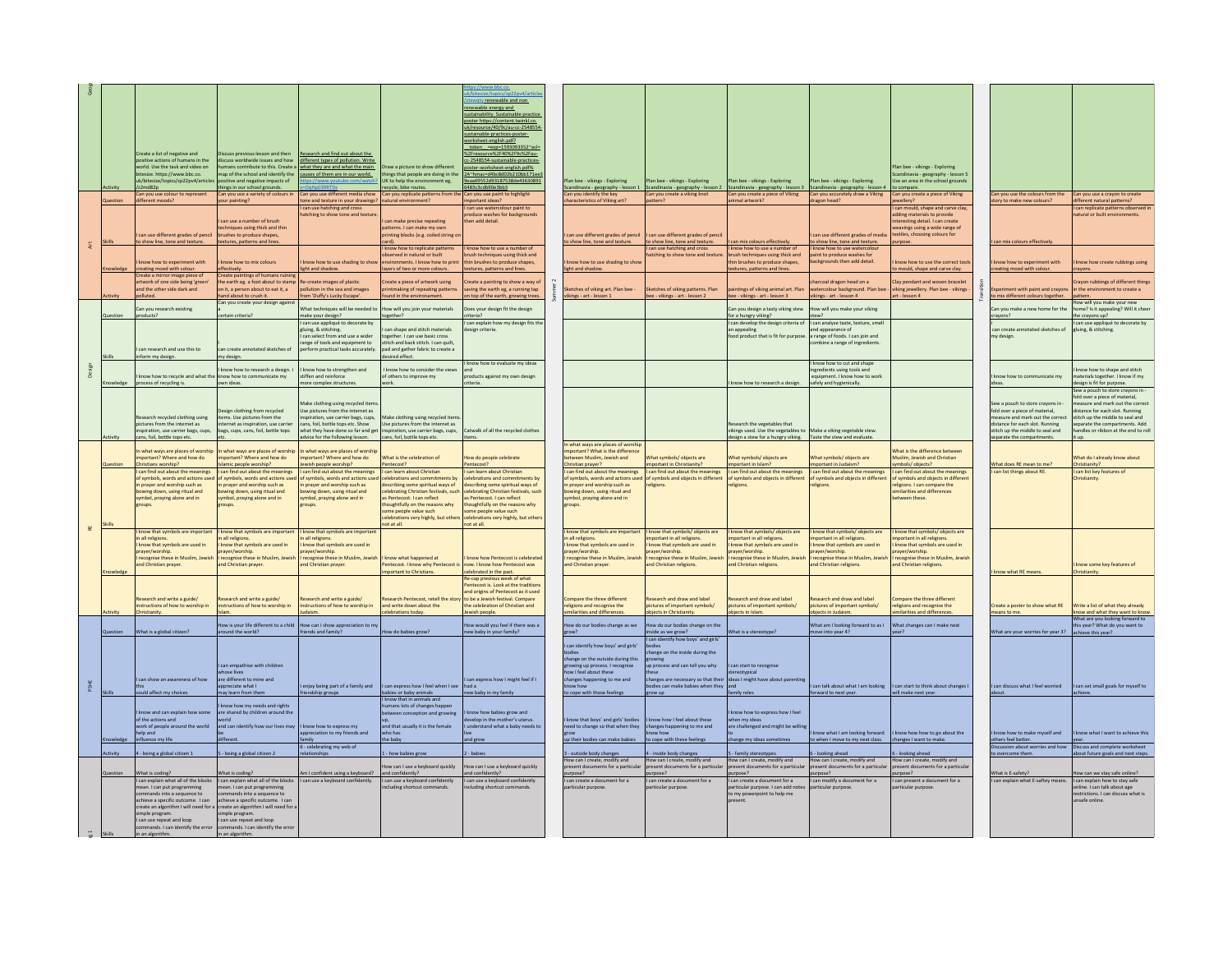|                       |                 |                                                                            |                                                                            |                                                                                                             |                                                                       | my4/articl                                                               |       |                                                                        |                                                                                                          |                                                                                                                                                       |                                                                   |                                                                       |                                                                                        |                                                                     |
|-----------------------|-----------------|----------------------------------------------------------------------------|----------------------------------------------------------------------------|-------------------------------------------------------------------------------------------------------------|-----------------------------------------------------------------------|--------------------------------------------------------------------------|-------|------------------------------------------------------------------------|----------------------------------------------------------------------------------------------------------|-------------------------------------------------------------------------------------------------------------------------------------------------------|-------------------------------------------------------------------|-----------------------------------------------------------------------|----------------------------------------------------------------------------------------|---------------------------------------------------------------------|
|                       |                 |                                                                            |                                                                            |                                                                                                             |                                                                       | wgty renewable and non<br>renewable energy and                           |       |                                                                        |                                                                                                          |                                                                                                                                                       |                                                                   |                                                                       |                                                                                        |                                                                     |
|                       |                 |                                                                            |                                                                            |                                                                                                             |                                                                       | sustainability. Sustainable practice<br>poster https://content.twinkl.co |       |                                                                        |                                                                                                          |                                                                                                                                                       |                                                                   |                                                                       |                                                                                        |                                                                     |
|                       |                 |                                                                            |                                                                            |                                                                                                             |                                                                       | uk/resource/40/9c/au-cc-2548554                                          |       |                                                                        |                                                                                                          |                                                                                                                                                       |                                                                   |                                                                       |                                                                                        |                                                                     |
|                       |                 |                                                                            |                                                                            |                                                                                                             |                                                                       | stainable-practices-poster-<br>worksheet-english.pdf?                    |       |                                                                        |                                                                                                          |                                                                                                                                                       |                                                                   |                                                                       |                                                                                        |                                                                     |
|                       |                 | Create a list of negative and                                              | scuss previous lesson and then                                             | Research and find out about the                                                                             |                                                                       | token =exp=1593093352"acl=<br>%2Fresource%2F40%2F9c%2Fau-                |       |                                                                        |                                                                                                          |                                                                                                                                                       |                                                                   |                                                                       |                                                                                        |                                                                     |
|                       |                 | sitive actions of humans in the<br>world. Use the task and video on        | iscuss worldwide issues and how                                            | different types of pollution. Write<br>umans contribute to this. Create a I what they are and what the main | Draw a picture to show different                                      | cc-2548554-sustainable-practices-<br>poster-worksheet-english.pdf%       |       |                                                                        |                                                                                                          |                                                                                                                                                       |                                                                   | Plan bee - vikings - Exploring                                        |                                                                                        |                                                                     |
|                       |                 | tesize. https://www.bbc.co                                                 | ap of the school and identify th                                           | causes of them are in our world.                                                                            | hings that people are doing in th                                     | 2A"hmac=d4bc8d02b210bb171ee)                                             |       |                                                                        |                                                                                                          |                                                                                                                                                       |                                                                   | andinavia - geography - lesson 5                                      |                                                                                        |                                                                     |
|                       |                 | ik/hitesize/tonics/zn22nv4/articl<br>z2md82p                               | titive and negative impacts of<br>things in our school grounds.            |                                                                                                             | UK to help the environment eg,<br>recycle, bike routes.               | 9eaa69552d93187538de43630891<br>483c3cdb90e3bb3                          |       | Plan bee - vikings - Exploring<br>Scandinavia - geography - lesson 1   | lan bee - vikings - Exploring                                                                            | lan bee - vikings - Exploring<br>Scandinavia - geography - lesson 2 Scandinavia - geography - lesson 3 Scandinavia - geography - lesson 4 to compare. | Plan bee - vikings - Exploring                                    | Use an area in the school grounds                                     |                                                                                        |                                                                     |
|                       | <b>Jestion</b>  | Can you use colour to represent<br>different moods?                        | Can you use a variety of colours in<br>our painting?                       | an you use different media show<br>one and texture in your drawings?                                        | Can you replicate patterns from th<br>Inatural environment?           | Can you use paint to highlight<br>portant ideas?                         |       | Can you identify the ke<br>haracteristics of Viking art?               | an you create a viking knot<br>attern?                                                                   | Can you create a piece of Viking<br>nimal artwork?                                                                                                    | Can you accurately draw a Viking<br>Shean head?                   | Can you create a piece of Viking<br>ewellery?                         | Can you use the colours from the<br>ory to make new colours?                           | Can you use a crayon to create<br>different natural patterns?       |
|                       |                 |                                                                            |                                                                            | can use hatching and cross<br>atching to show tone and texture                                              |                                                                       | can use watercolour paint to<br>roduce washes for backgrounds            |       |                                                                        |                                                                                                          |                                                                                                                                                       |                                                                   | can mould, shape and carve clay,<br>adding materials to provide       |                                                                                        | can replicate patterns observed<br>natural or built environments.   |
|                       |                 |                                                                            | can use a number of brush                                                  |                                                                                                             | can make precise repeating                                            | hen add detail.                                                          |       |                                                                        |                                                                                                          |                                                                                                                                                       |                                                                   | teresting detail. I can create                                        |                                                                                        |                                                                     |
|                       |                 | can use different grades of pencil                                         | echniques using thick and thin<br>brushes to produce shapes,               |                                                                                                             | natterns. I can make my ow<br>printing blocks (e.g. coiled string o   |                                                                          |       | can use different grades of pencil                                     | can use different grades of pencil                                                                       |                                                                                                                                                       | can use different grades of media                                 | weavings using a wide range of<br>extiles, choosing colours for       |                                                                                        |                                                                     |
| $\sharp$              |                 | show line, tone and textur                                                 | textures, patterns and line                                                |                                                                                                             | know how to replicate patterns                                        | know how to use a number of                                              |       | show line, tone and text                                               | show line, tone and texture<br>can use hatching and cross                                                | an mix colours effectivel<br>I know how to use a number of                                                                                            | show line, tone and texture.<br>know how to use watercolou        |                                                                       | an mix colours effecti                                                                 |                                                                     |
|                       |                 | know how to experiment with                                                | know how to mix colours                                                    | know how to use shading to show                                                                             | bserved in natural or built<br>nvironments. I know how to prin        | ush techniques using thick and<br>thin brushes to produce shapes.        |       | know how to use shading to shor                                        | tching to show tone and texture                                                                          | wush techniques using thick and<br>thin brushes to produce shapes.                                                                                    | aint to produce washes fo<br>backgrounds then add detail.         | know how to use the correct tool                                      | know how to experiment with                                                            | know how create rubbings using                                      |
|                       |                 | creating mood with colour.                                                 | ectively.                                                                  | ight and shadow                                                                                             | ayers of two or more colours.                                         | tures, patterns and lines.                                               |       | light and shadow.                                                      |                                                                                                          | xtures, patterns and lines.                                                                                                                           |                                                                   | mould, shape and carve clay.                                          | creating mood with colour.                                                             |                                                                     |
|                       |                 | Create a mirror image piece of<br>artwork of one side being 'green'        | Create paintings of humans ruin<br>the earth eg. a foot about to stam      | e-create images of plastic                                                                                  | reate a piece of artwork using                                        | reate a painting to show a way of                                        |       |                                                                        |                                                                                                          |                                                                                                                                                       | arcoal dragon head on a                                           | lay pendant and woven bracelet                                        |                                                                                        | rayon rubbings of different things                                  |
|                       |                 | and the other side dark and<br>olluted.                                    | on it, a person about to eat it, a<br>hand about to crush it.              | ollution in the sea and images<br>om 'Duffy's Lucky Escape'.                                                | intmaking of repeating patte<br>und in the environament.              | ving the earth eg, a running tap<br>on top of the earth, growing trees.  |       | ketches of viking art. Plan bee<br>vikings - art - lesson 1            | ketches of viking patterns. Plan<br>bee - vikings - art - lesson 2                                       | aintings of viking animal art. Plar<br>bee - vikings - art - lesson 3                                                                                 | atercolour background. Plan bee<br>ikings - art - lesson 4        | viking jewellery. Plan bee - vikings<br>art - lesson 4                | eriment with naint and crayons<br>to mix different colours together.                   | n the environ<br>ment to create a<br>pattern.                       |
|                       |                 | Can you research existing                                                  | Can you create your design agains                                          | What techniques will be needed to                                                                           | low will you join your materials                                      | loes your design fit the design                                          |       |                                                                        |                                                                                                          | Can you design a tasty viking stew                                                                                                                    | How will you make your viking                                     |                                                                       | Can you make a new home for the                                                        | How will you make your new<br>home? Is it appealing? Will it cheer  |
|                       | Question        | products?                                                                  | ertain criteria?                                                           | nake your design?                                                                                           | ogether?                                                              | iteria?                                                                  |       |                                                                        |                                                                                                          | for a hungry viking?                                                                                                                                  | tew?                                                              |                                                                       | crayons?                                                                               | the crayons up?                                                     |
|                       |                 |                                                                            |                                                                            | can use appliqué to decorate b<br>gluing, & stitching.                                                      | can shape and stitch materials                                        | can explain how my design fits the<br>esign criteria.                    |       |                                                                        |                                                                                                          | I can develop the design criteria o<br>an appealing                                                                                                   | can analyse taste, texture, sme<br>and appearance of              |                                                                       | can create annotated sketches of                                                       | can use appliqué to decorate by<br>gluing, & stitching.             |
|                       |                 |                                                                            |                                                                            | can select from and use a wider<br>ange of tools and equipment to                                           | ogether. I can use basic cross<br>litch and back stitch. I can quilt. |                                                                          |       |                                                                        |                                                                                                          | food product that is fit for purpo                                                                                                                    | a range of foods. I can join and<br>mbine a range of ingredients. |                                                                       | y design                                                                               |                                                                     |
|                       |                 | can research and use this to<br>nform my design.                           | an create annotated sketches of<br>my design.                              | form practical tasks accurately                                                                             | pad and gather fabric to create a<br>lesired effect.                  |                                                                          |       |                                                                        |                                                                                                          |                                                                                                                                                       |                                                                   |                                                                       |                                                                                        |                                                                     |
|                       |                 |                                                                            |                                                                            |                                                                                                             |                                                                       | I know how to evaluate my ideas                                          |       |                                                                        |                                                                                                          |                                                                                                                                                       | know how to cut and shape                                         |                                                                       |                                                                                        |                                                                     |
|                       |                 | know how to recycle and what th                                            | cnow how to research a design. I<br>know how to communicate my             | know how to strengthen and<br>tiffen and reinforce                                                          | know how to consider the view<br>of others to improve my              | products against my own design                                           |       |                                                                        |                                                                                                          |                                                                                                                                                       | gredients using tools and<br>equipment. I know how to work        |                                                                       | know how to communicate my                                                             | know how to shape and stitch<br>materials together. I know if my    |
|                       |                 | ocess of recycling is.                                                     | own ideas                                                                  | ore complex structures                                                                                      |                                                                       |                                                                          |       |                                                                        |                                                                                                          | know how to research a design.                                                                                                                        | safely and hygienically.                                          |                                                                       |                                                                                        | lesign is fit for purpose.<br>Sew a nough to store crayons in       |
|                       |                 |                                                                            |                                                                            | Make clothing using recycled items                                                                          |                                                                       |                                                                          |       |                                                                        |                                                                                                          |                                                                                                                                                       |                                                                   |                                                                       | Sew a pouch to store crayons in -                                                      | old over a piece of material,<br>neasure and mark out the correct   |
|                       |                 | esearch recycled clothing using                                            | Design clothing from recycled<br>items. Use pictures from the              | Use pictures from the internet as<br>piration, use carrier bags, cups,                                      | Make clothing using recycled item                                     |                                                                          |       |                                                                        |                                                                                                          |                                                                                                                                                       |                                                                   |                                                                       | fold over a piece of material,<br>neasure and mark out the correr                      | stance for each slot. Running<br>stitch up the middle to seal and   |
|                       |                 | pictures from the internet as                                              | ternet as inspiration, use carrier                                         | cans, foil, bottle tops etc. Show                                                                           | Use pictures from the internet as                                     |                                                                          |       |                                                                        |                                                                                                          | Research the vegetables that                                                                                                                          |                                                                   |                                                                       | distance for each slot. Running                                                        | separate the compartments. Add                                      |
|                       |                 | spiration, use carrier bags, cups,<br>cans, foil, bottle tops etc          | bags, cups, cans, foil, bottle tops                                        | what they have done so far and get<br>dvice for the following lesson.                                       | spiration, use carrier bags, cups,<br>cans, foil, bottle tops etc.    | Catwalk of all the recycled clother                                      |       |                                                                        |                                                                                                          | vikings used. Use the vegetables to Make a viking vegetable stew.<br>design a stew for a hungry viking.                                               | Taste the stew and evaluate.                                      |                                                                       | stitch up the middle to seal and<br>separate the compartments.                         | andles or ribbon at the end to ro<br>t un                           |
|                       |                 | n what ways are places of worship                                          | In what ways are places of worship                                         | what ways are places of worship                                                                             |                                                                       |                                                                          |       | In what ways are places of worshi<br>important? What is the difference |                                                                                                          |                                                                                                                                                       |                                                                   | What is the difference between                                        |                                                                                        |                                                                     |
|                       |                 | nportant? Where and how do                                                 | mportant? Where and how do                                                 | nportant? Where and how do                                                                                  | What is the celebration of                                            | How do people celebrate                                                  |       | between Muslim, Jewish and                                             | What symbols/ objects are                                                                                | What symbols/objects are                                                                                                                              | What symbols/ objects are                                         | Muslim, Jewish and Christian                                          |                                                                                        | What do I already know about                                        |
|                       |                 |                                                                            |                                                                            |                                                                                                             |                                                                       |                                                                          |       |                                                                        |                                                                                                          |                                                                                                                                                       |                                                                   |                                                                       |                                                                                        |                                                                     |
|                       |                 | hristians worship?<br>I can find out about the meanings                    | mic people worship?<br>I can find out about the meanings                   | wish people worship?<br>can find out about the meanings                                                     | entecost?<br>I can learn about Christian                              | can learn about Christian                                                |       | Christian prayer?<br>I can find out about the meanings                 | mportant in Christianity?<br>can find out about the meanings                                             | mportant in Islam?<br>I can find out about the meanings                                                                                               | mportant in Judaism?<br>I can find out about the meanings         | ymbols/objects?<br>can find out about the meanings                    | What does RE mean to me?<br>can list things about RE.                                  | Christianity?<br>I can list key features of                         |
|                       |                 | of symbols, words and actions us<br>in prayer and worship such as          | f symbols, words and actions u<br>in prayer and worship such as            | symbols, words and actions us<br>n prayer and worship such as                                               | elebrations and commitments b<br>describing some spiritual ways of    | lebrations and commitments by<br>scribing some spiritual ways of         |       | of symbols, words and actions us<br>in prayer and worship such as      | f symbols and objects in differer<br>eligions.                                                           | of symbols and objects in differer<br>eligions.                                                                                                       | of symbols and objects in differe<br>eligions.                    | f symbols and objects in differe<br>eligions. I can compare the       |                                                                                        | Christianity                                                        |
|                       |                 | owing down, using ritual and<br>symbol, praying alone and in               | ving down, using ritual and<br>symbol, praying alone and in                | wing down, using ritual and<br>symbol, praying alone and in                                                 | lebrating Christian festivals, suc<br>as Pentecost. I can reflect     | lebrating Christian festivals, suc<br>as Pentecost. I can reflect        |       | bowing down, using ritual and<br>symbol, praying alone and in          |                                                                                                          |                                                                                                                                                       |                                                                   | ilarities and differences<br>between these.                           |                                                                                        |                                                                     |
|                       |                 | oups.                                                                      | oups.                                                                      | oups.                                                                                                       | oughtfully on the reasons why                                         | bughtfully on the reasons why                                            |       | roups.                                                                 |                                                                                                          |                                                                                                                                                       |                                                                   |                                                                       |                                                                                        |                                                                     |
|                       |                 |                                                                            |                                                                            |                                                                                                             | ome people value such<br>elebrations very highly, but othe            | me people value such<br>lebrations very highly, but other                |       |                                                                        |                                                                                                          |                                                                                                                                                       |                                                                   |                                                                       |                                                                                        |                                                                     |
| $\overline{\text{e}}$ | Skills          | I know that symbols are important                                          | I know that symbols are important                                          | I know that symbols are important                                                                           | not at all.                                                           | not at all.                                                              |       | I know that symbols are important                                      | know that symbols/ objects are                                                                           | know that symbols/ objects are                                                                                                                        | know that symbols/ objects are                                    | know that symbols/ objects are                                        |                                                                                        |                                                                     |
|                       |                 | n all religions<br>I know that symbols are used in                         | all religions.<br>know that symbols are used in                            | all religions<br>know that symbols are used in                                                              |                                                                       |                                                                          |       | n all religions.<br>I know that symbols are used in                    | portant in all religions<br>know that symbols are used in                                                | nportant in all religions.<br>know that symbols are used in                                                                                           | portant in all religions<br>know that symbols are used in         | nportant in all religions<br>know that symbols are used in            |                                                                                        |                                                                     |
|                       |                 | prayer/worship.<br>recognise these in Muslim, Jew                          | prayer/worship.<br>recognise these in Muslim, Jewi.                        | rayer/worship.<br>recognise these in Muslim, Jewi                                                           | know what happened at                                                 | know how Pentecost is celebrated                                         |       | prayer/worship.<br>recognise these in Muslim, Jewi                     | ayer/worship.<br>ecognise these in Muslim, Jewis                                                         | rayer/worship.<br>recognise these in Muslim, Jewi                                                                                                     | ayer/worship.<br>recognise these in Muslim, Jewish                | prayer/worship.<br>recognise these in Muslim, Jewisl                  |                                                                                        |                                                                     |
|                       |                 | ind Christian prayer.                                                      | and Christian prayer                                                       | nd Christian prayer                                                                                         | tecost. I know why Pentecos                                           | ow. I know how Pentecost was                                             |       | and Christian prayer                                                   | nd Christian religions.                                                                                  | nd Christian religions                                                                                                                                | and Christian religions.                                          | Ind Christian religions.                                              |                                                                                        | mow some key features of                                            |
|                       |                 |                                                                            |                                                                            |                                                                                                             | nportant to Christians.                                               | elebrated in the past.<br>Re-cap previous week of what                   |       |                                                                        |                                                                                                          |                                                                                                                                                       |                                                                   |                                                                       | I know what RE means                                                                   | Christianity.                                                       |
|                       |                 |                                                                            |                                                                            |                                                                                                             |                                                                       | ntecost is. Look at the tradition<br>and origins of Pentecost as it used |       |                                                                        |                                                                                                          |                                                                                                                                                       |                                                                   |                                                                       |                                                                                        |                                                                     |
|                       |                 | esearch and write a guide/<br>nstructions of how to worship in             | search and write a guide/<br>instructions of how to worship in             | search and write a guide/<br>structions of how to worship in                                                | search Pentecost, retell the sto<br>and write down about the          | to be a Jewish festival. Compare<br>the celebration of Christian and     |       | mpare the three different<br>eligions and recognise the                | esearch and draw and label<br>ictures of important symbols/                                              | earch and draw and label<br>sictures of important symbols/                                                                                            | search and draw and label<br>pictures of important symbols/       | mpare the three different<br>eligions and recognise the               | Create a poster to show what RE                                                        | Write a list of what they already                                   |
|                       |                 | hristianity.                                                               |                                                                            |                                                                                                             | elebrations today.                                                    | vish people.                                                             |       | arities and difference                                                 | pjects in Christianity                                                                                   | bjects in Islam                                                                                                                                       | jects in Judaisn                                                  | ilarities and differences                                             | means to me.                                                                           | now and what they want to know                                      |
|                       |                 |                                                                            | low is your life different to a child                                      | ow can I show appreciation to m                                                                             |                                                                       | ow would you feel if there was a                                         |       | ow do our bodies change as we                                          | ow do our bodies change on the                                                                           |                                                                                                                                                       | What am I looking forward to as I                                 | What changes can I make next                                          |                                                                                        | What are you looking forward to<br>this year? What do you want to   |
|                       |                 | What is a global citizen?                                                  | ound the world?                                                            | ends and family?                                                                                            | w do babies grow                                                      | ew baby in your family?                                                  |       | Swo <sup>-</sup>                                                       | side as we grow?<br>can identify how boys' and girls'                                                    | hat is a stereot                                                                                                                                      | ove into year 4?                                                  | Sar?                                                                  | What are your worries for year 3? achieve this year?                                   |                                                                     |
|                       |                 |                                                                            |                                                                            |                                                                                                             |                                                                       |                                                                          | odies | can identify how boys' and girls'                                      | odies<br>hange on the inside during the                                                                  |                                                                                                                                                       |                                                                   |                                                                       |                                                                                        |                                                                     |
|                       |                 |                                                                            | can empathise with children                                                |                                                                                                             |                                                                       |                                                                          |       | change on the outside during this<br>growing up process. I recognise   | in process and can tell you why                                                                          | can start to recognise                                                                                                                                |                                                                   |                                                                       |                                                                                        |                                                                     |
|                       |                 |                                                                            | hose lives                                                                 |                                                                                                             |                                                                       |                                                                          |       | ow I feel about these                                                  |                                                                                                          | ereotypica                                                                                                                                            |                                                                   |                                                                       |                                                                                        |                                                                     |
|                       |                 | I can show an awareness of how                                             | are different to mine and<br>appreciate what I                             | enjoy being part of a family and                                                                            | can express how I feel when I see                                     | can express how I might feel if I<br>had a                               |       | changes happening to me and<br>ow how                                  | changes are necessary so that their ideas I might have about parentin<br>odies can make babies when they |                                                                                                                                                       |                                                                   | can talk about what I am looking   can start to think about changes I | can discuss what I feel worried                                                        | can set small goals for myself to                                   |
|                       |                 | ould affect my choices                                                     | ay learn from them                                                         | ndship group:                                                                                               | bies or baby animals<br>know that in animals and                      | ew baby in my family                                                     |       | to cope with those feelings                                            |                                                                                                          | mily role:                                                                                                                                            | ward to next year.                                                | vill make next year.                                                  | about.                                                                                 |                                                                     |
|                       |                 | I know and can explain how some                                            | know how my needs and rights<br>are shared by children around the          |                                                                                                             | mans lots of changes happer<br>between conception and growing         | know how babies grow and                                                 |       |                                                                        |                                                                                                          | know how to express how I feel                                                                                                                        |                                                                   |                                                                       |                                                                                        |                                                                     |
|                       |                 | of the actions and<br>work of people around the world                      | and can identify how our lives may                                         | I know how to express my                                                                                    | and that usually it is the female                                     | elop in the mother's ute<br>understand what a baby needs to              |       | know that boys' and girls' bodies                                      | know how I feel about these                                                                              | hen my idea                                                                                                                                           |                                                                   |                                                                       |                                                                                        |                                                                     |
|                       |                 | elp an                                                                     | lifferent                                                                  | appreciation to my friends and                                                                              | ho has                                                                |                                                                          |       | need to change so that when they                                       | changes happening to me and                                                                              | are challenged and might be will                                                                                                                      | now what I am looking forward                                     | know how how to go about the                                          | mow how to make myself and                                                             | now what I want to achieve this                                     |
|                       |                 | influence my life                                                          |                                                                            | nih<br>6 - celebrating my web of                                                                            | he baby                                                               | and grow                                                                 |       | up their bodies can make babies                                        | o cope with these feelings                                                                               | nange my ideas sometimes                                                                                                                              | to when I move to my next class.                                  | changes I want to make.                                               | others feel better<br>scussion about worries and how  Discuss and complete worksheet   |                                                                     |
|                       | <b>Infivity</b> | 4 - being a global citizen 1                                               | - being a global citizen 2                                                 |                                                                                                             | how babies grow                                                       | hahie                                                                    |       | 3 - outside body changes<br>How can I create, modify and               | - inside body changes<br>low can I create, modify and                                                    | - family stereotypes<br>low can I create, modify and                                                                                                  | - looking ahead<br>How can I create, modify and                   | - looking ahead<br>How can I create, modify and                       | vercome then                                                                           | about future goals and next step:                                   |
|                       |                 |                                                                            |                                                                            |                                                                                                             | ow can I use a keyboard quickly                                       | w can I use a keyboard quickly                                           |       | resent documents for a particul                                        | resent documents for a particu                                                                           | esent documents for a particu<br>rpose?                                                                                                               | esent documents for a particul                                    | present documents for a particul<br>rpose?                            |                                                                                        |                                                                     |
|                       | Question        | What is coding?<br>I can explain what all of the blocks                    | What is coding?<br>I can explain what all of the blocks                    | Im I confident using a keyboard?<br>I can use a keyboard confidently.                                       | and confidently?<br>I can use a keyboard confidently                  | nd confidently?<br>I can use a keyboard confidently                      |       | purpose?<br>I can create a document for a<br>articular numos           | urpose?<br>can create a document for a<br>articular nurnose                                              | can create a document for a                                                                                                                           | rpose?<br>I can modify a document for a<br>particular numos       | I can present a document for a                                        | What is E-safety?<br>I can explain what E-saftey means. I can explain how to stay safe | ow can we stay safe online?                                         |
|                       |                 | mean. I can put programn<br>mmands into a sequence to                      | mean. I can put programming<br>mmands into a sequence to                   |                                                                                                             | cluding shortcut command                                              | cluding shortcut com                                                     |       |                                                                        |                                                                                                          | articular purpose. I can add note<br>to my powerpoint to help me                                                                                      |                                                                   | articular purpose                                                     |                                                                                        | online. I can talk about age<br>restrictions. I can discuss what is |
|                       |                 | achieve a specific outcome. I can<br>create an algorithm I will need for a | achieve a specific outcome. I can<br>create an algorithm I will need for a |                                                                                                             |                                                                       |                                                                          |       |                                                                        |                                                                                                          |                                                                                                                                                       |                                                                   |                                                                       |                                                                                        | safe online                                                         |
|                       |                 | imple program<br>I can use repeat and loop                                 | mple program<br>I can use repeat and loop                                  |                                                                                                             |                                                                       |                                                                          |       |                                                                        |                                                                                                          |                                                                                                                                                       |                                                                   |                                                                       |                                                                                        |                                                                     |
|                       |                 | ands. I can identify the erro<br>in an algorithm.                          | mands. I can identify the erro<br>in an algorithm.                         |                                                                                                             |                                                                       |                                                                          |       |                                                                        |                                                                                                          |                                                                                                                                                       |                                                                   |                                                                       |                                                                                        |                                                                     |
|                       |                 |                                                                            |                                                                            |                                                                                                             |                                                                       |                                                                          |       |                                                                        |                                                                                                          |                                                                                                                                                       |                                                                   |                                                                       |                                                                                        |                                                                     |